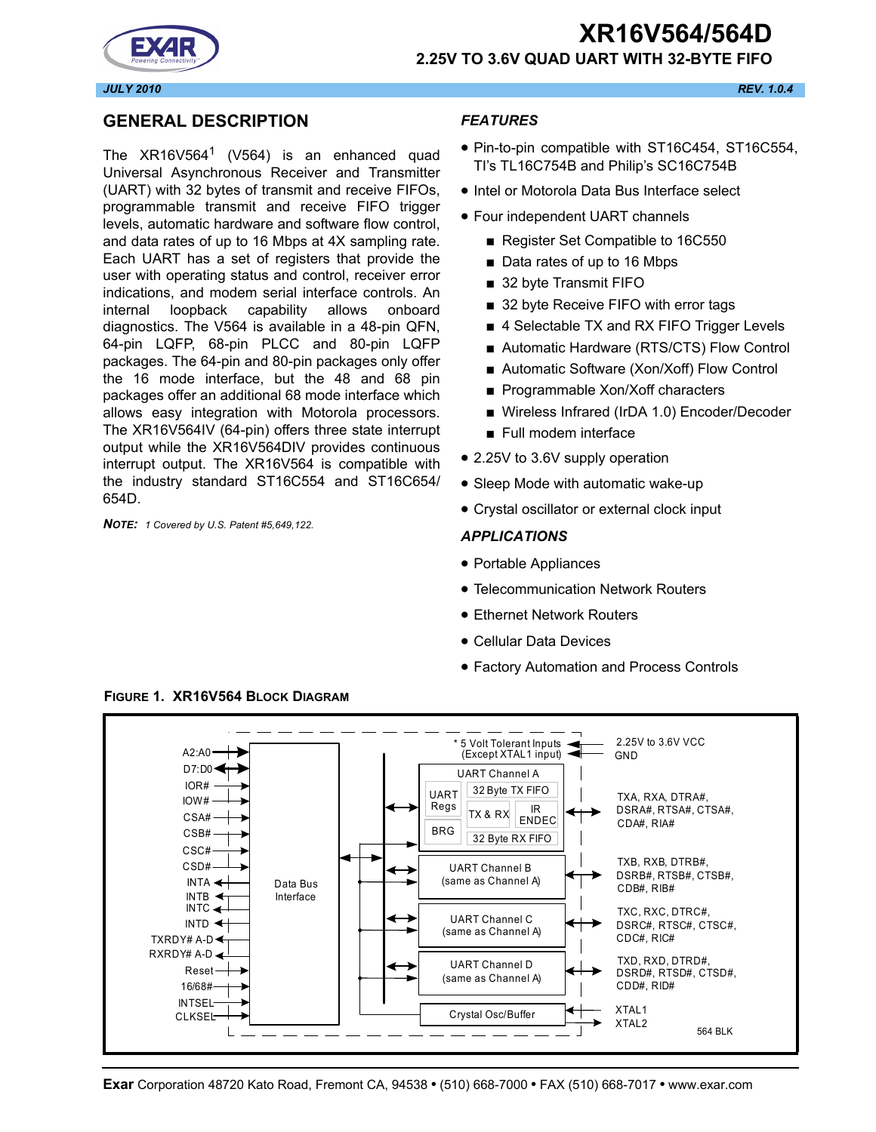# **XR16V564/564D 2.25V TO 3.6V QUAD UART WITH 32-BYTE FIFO**



#### *JULY 2010 REV. 1.0.4*

## **GENERAL DESCRIPTION**

The  $XR16V564^1$  (V564) is an enhanced quad Universal Asynchronous Receiver and Transmitter (UART) with 32 bytes of transmit and receive FIFOs, programmable transmit and receive FIFO trigger levels, automatic hardware and software flow control, and data rates of up to 16 Mbps at 4X sampling rate. Each UART has a set of registers that provide the user with operating status and control, receiver error indications, and modem serial interface controls. An internal loopback capability allows onboard diagnostics. The V564 is available in a 48-pin QFN, 64-pin LQFP, 68-pin PLCC and 80-pin LQFP packages. The 64-pin and 80-pin packages only offer the 16 mode interface, but the 48 and 68 pin packages offer an additional 68 mode interface which allows easy integration with Motorola processors. The XR16V564IV (64-pin) offers three state interrupt output while the XR16V564DIV provides continuous interrupt output. The XR16V564 is compatible with the industry standard ST16C554 and ST16C654/ 654D.

*NOTE: 1 Covered by U.S. Patent #5,649,122.*

#### *FEATURES*

- Pin-to-pin compatible with ST16C454, ST16C554, TI's TL16C754B and Philip's SC16C754B
- Intel or Motorola Data Bus Interface select
- Four independent UART channels
	- Register Set Compatible to 16C550
	- Data rates of up to 16 Mbps
	- 32 byte Transmit FIFO
	- 32 byte Receive FIFO with error tags
	- 4 Selectable TX and RX FIFO Trigger Levels
	- Automatic Hardware (RTS/CTS) Flow Control
	- Automatic Software (Xon/Xoff) Flow Control
	- Programmable Xon/Xoff characters
	- Wireless Infrared (IrDA 1.0) Encoder/Decoder
	- Full modem interface
- 2.25V to 3.6V supply operation
- Sleep Mode with automatic wake-up
- Crystal oscillator or external clock input

#### *APPLICATIONS*

- Portable Appliances
- Telecommunication Network Routers
- Ethernet Network Routers
- Cellular Data Devices
- Factory Automation and Process Controls



#### **FIGURE 1. XR16V564 BLOCK DIAGRAM**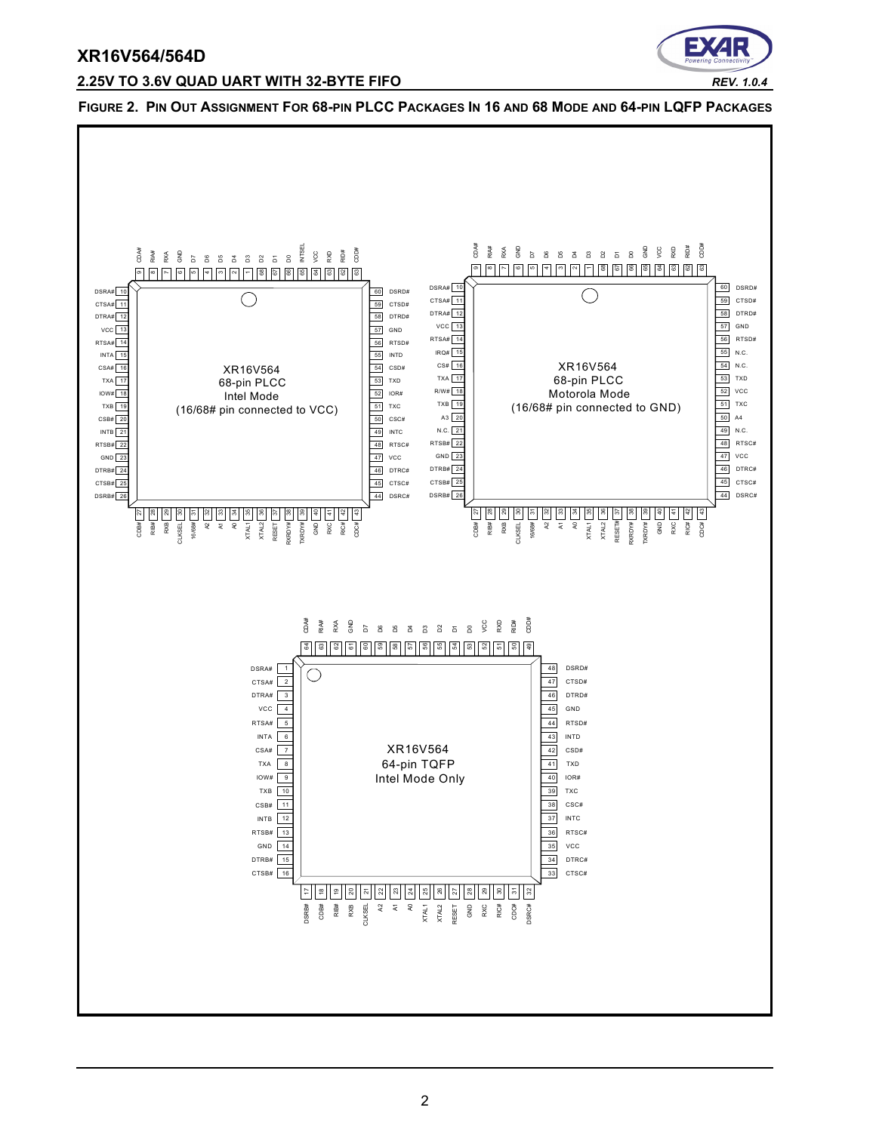



**FIGURE 2. PIN OUT ASSIGNMENT FOR 68-PIN PLCC PACKAGES IN 16 AND 68 MODE AND 64-PIN LQFP PACKAGES**

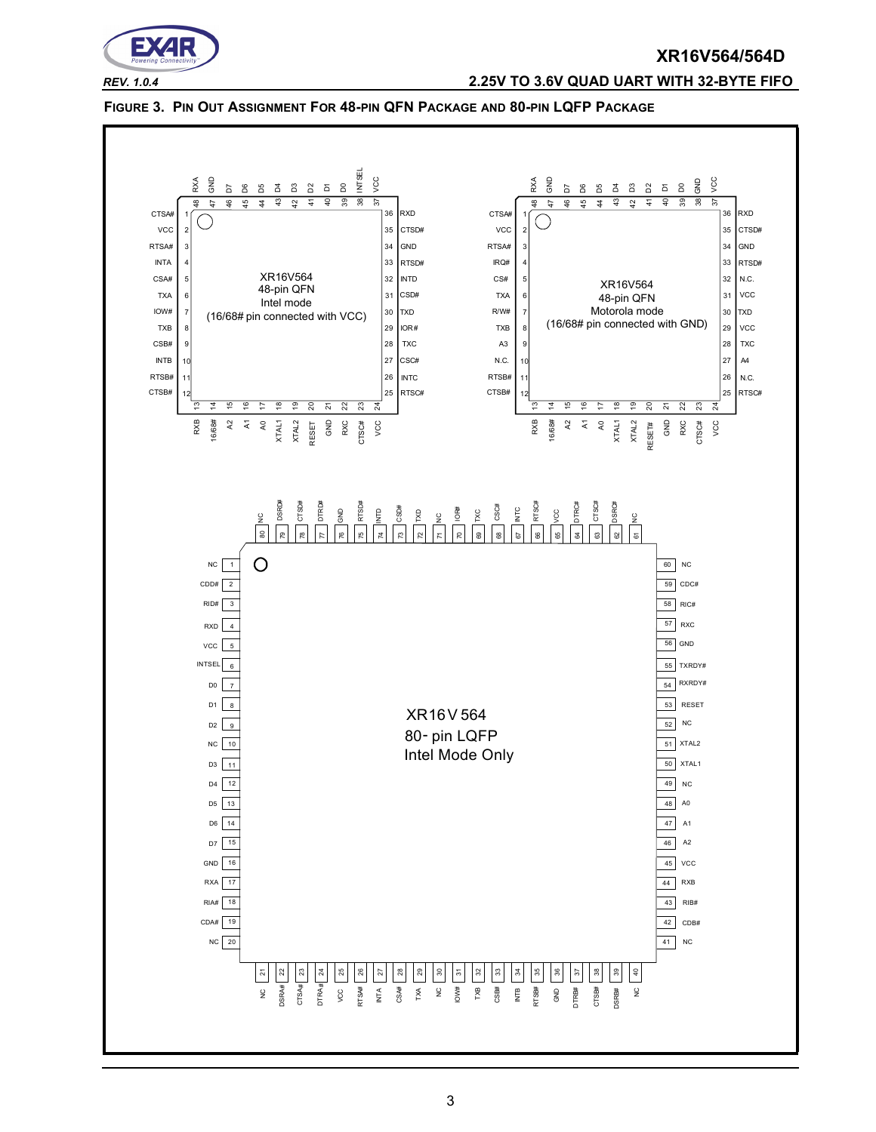

*REV. 1.0.4* **2.25V TO 3.6V QUAD UART WITH 32-BYTE FIFO**

**FIGURE 3. PIN OUT ASSIGNMENT FOR 48-PIN QFN PACKAGE AND 80-PIN LQFP PACKAGE**

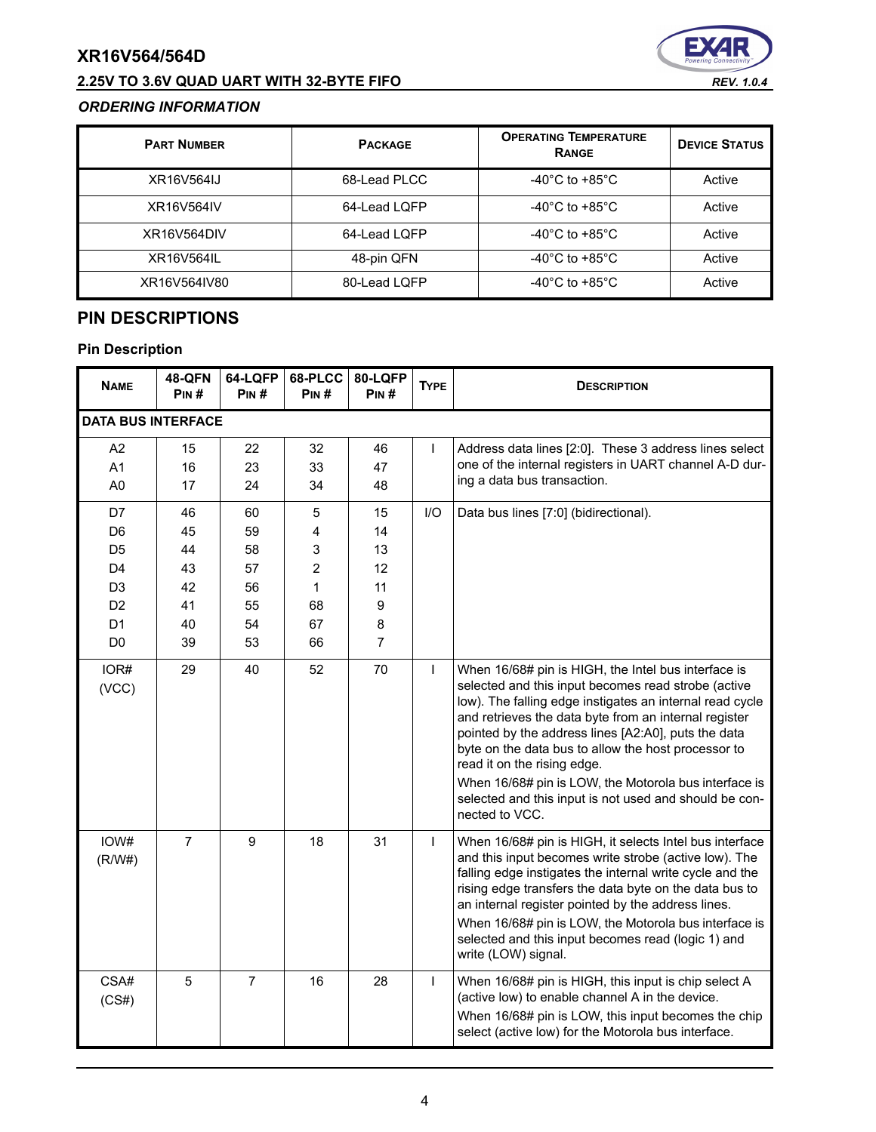# **2.25V TO 3.6V QUAD UART WITH 32-BYTE FIFO** *REV. 1.0.4*



## *ORDERING INFORMATION*

| <b>PART NUMBER</b> | <b>PACKAGE</b> | <b>OPERATING TEMPERATURE</b><br><b>RANGE</b> | <b>DEVICE STATUS</b> |
|--------------------|----------------|----------------------------------------------|----------------------|
| XR16V564IJ         | 68-Lead PLCC   | -40 $^{\circ}$ C to +85 $^{\circ}$ C         | Active               |
| XR16V564IV         | 64-Lead LQFP   | -40 $^{\circ}$ C to +85 $^{\circ}$ C         | Active               |
| XR16V564DIV        | 64-Lead LOFP   | -40 $^{\circ}$ C to +85 $^{\circ}$ C         | Active               |
| XR16V564IL         | 48-pin QFN     | -40 $^{\circ}$ C to +85 $^{\circ}$ C         | Active               |
| XR16V564IV80       | 80-Lead LQFP   | -40 $^{\circ}$ C to +85 $^{\circ}$ C         | Active               |

# **PIN DESCRIPTIONS**

| <b>NAME</b>                                                                                                    | <b>48-QFN</b><br>PIN#                  | 64-LQFP<br>PIN#                        | 68-PLCC<br>PIN#                                                      | 80-LQFP<br>PIN#                      | <b>TYPE</b>  | <b>DESCRIPTION</b>                                                                                                                                                                                                                                                                                                                                                                                                                                                                                                |  |  |  |  |
|----------------------------------------------------------------------------------------------------------------|----------------------------------------|----------------------------------------|----------------------------------------------------------------------|--------------------------------------|--------------|-------------------------------------------------------------------------------------------------------------------------------------------------------------------------------------------------------------------------------------------------------------------------------------------------------------------------------------------------------------------------------------------------------------------------------------------------------------------------------------------------------------------|--|--|--|--|
|                                                                                                                | <b>DATA BUS INTERFACE</b>              |                                        |                                                                      |                                      |              |                                                                                                                                                                                                                                                                                                                                                                                                                                                                                                                   |  |  |  |  |
| A <sub>2</sub><br>A <sub>1</sub><br>A <sub>0</sub>                                                             | 15<br>16<br>17                         | 22<br>23<br>24                         | 32<br>33<br>34                                                       | 46<br>47<br>48                       | $\mathbf{I}$ | Address data lines [2:0]. These 3 address lines select<br>one of the internal registers in UART channel A-D dur-<br>ing a data bus transaction.                                                                                                                                                                                                                                                                                                                                                                   |  |  |  |  |
| D7<br>D <sub>6</sub><br>D <sub>5</sub><br>D <sub>4</sub><br>D <sub>3</sub><br>D <sub>2</sub><br>D <sub>1</sub> | 46<br>45<br>44<br>43<br>42<br>41<br>40 | 60<br>59<br>58<br>57<br>56<br>55<br>54 | 5<br>$\overline{\mathbf{4}}$<br>3<br>$\overline{2}$<br>1<br>68<br>67 | 15<br>14<br>13<br>12<br>11<br>9<br>8 | I/O          | Data bus lines [7:0] (bidirectional).                                                                                                                                                                                                                                                                                                                                                                                                                                                                             |  |  |  |  |
| D <sub>0</sub><br>IOR#<br>(VCC)                                                                                | 39<br>29                               | 53<br>40                               | 66<br>52                                                             | $\overline{7}$<br>70                 | T            | When 16/68# pin is HIGH, the Intel bus interface is<br>selected and this input becomes read strobe (active<br>low). The falling edge instigates an internal read cycle<br>and retrieves the data byte from an internal register<br>pointed by the address lines [A2:A0], puts the data<br>byte on the data bus to allow the host processor to<br>read it on the rising edge.<br>When 16/68# pin is LOW, the Motorola bus interface is<br>selected and this input is not used and should be con-<br>nected to VCC. |  |  |  |  |
| IOW#<br>(R/W#)                                                                                                 | $\overline{7}$                         | 9                                      | 18                                                                   | 31                                   | $\mathbf{I}$ | When 16/68# pin is HIGH, it selects Intel bus interface<br>and this input becomes write strobe (active low). The<br>falling edge instigates the internal write cycle and the<br>rising edge transfers the data byte on the data bus to<br>an internal register pointed by the address lines.<br>When 16/68# pin is LOW, the Motorola bus interface is<br>selected and this input becomes read (logic 1) and<br>write (LOW) signal.                                                                                |  |  |  |  |
| CSA#<br>(CS#)                                                                                                  | 5                                      | $\overline{7}$                         | 16                                                                   | 28                                   | L            | When 16/68# pin is HIGH, this input is chip select A<br>(active low) to enable channel A in the device.<br>When 16/68# pin is LOW, this input becomes the chip<br>select (active low) for the Motorola bus interface.                                                                                                                                                                                                                                                                                             |  |  |  |  |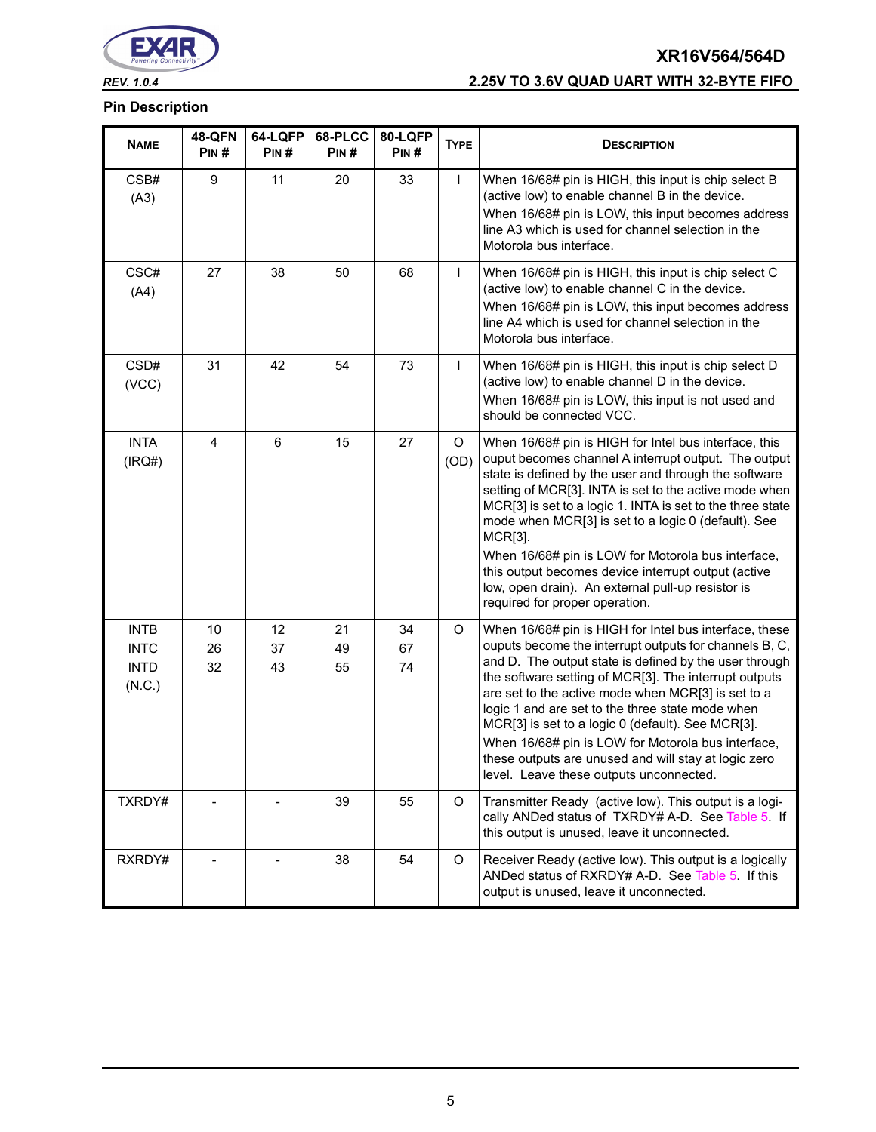

# *REV. 1.0.4* **2.25V TO 3.6V QUAD UART WITH 32-BYTE FIFO**

| <b>NAME</b>                                         | <b>48-QFN</b><br>PIN# | 64-LQFP<br>PIN# | 68-PLCC<br>PIN# | 80-LQFP<br>PIN# | <b>TYPE</b>     | <b>DESCRIPTION</b>                                                                                                                                                                                                                                                                                                                                                                                                                                                                                                                                                   |
|-----------------------------------------------------|-----------------------|-----------------|-----------------|-----------------|-----------------|----------------------------------------------------------------------------------------------------------------------------------------------------------------------------------------------------------------------------------------------------------------------------------------------------------------------------------------------------------------------------------------------------------------------------------------------------------------------------------------------------------------------------------------------------------------------|
| CSB#<br>(A3)                                        | 9                     | 11              | 20              | 33              | T               | When 16/68# pin is HIGH, this input is chip select B<br>(active low) to enable channel B in the device.<br>When 16/68# pin is LOW, this input becomes address<br>line A3 which is used for channel selection in the<br>Motorola bus interface.                                                                                                                                                                                                                                                                                                                       |
| CSC#<br>(A4)                                        | 27                    | 38              | 50              | 68              | T               | When 16/68# pin is HIGH, this input is chip select C<br>(active low) to enable channel C in the device.<br>When 16/68# pin is LOW, this input becomes address<br>line A4 which is used for channel selection in the<br>Motorola bus interface.                                                                                                                                                                                                                                                                                                                       |
| CSD#<br>(VCC)                                       | 31                    | 42              | 54              | 73              | T               | When 16/68# pin is HIGH, this input is chip select D<br>(active low) to enable channel D in the device.<br>When 16/68# pin is LOW, this input is not used and<br>should be connected VCC.                                                                                                                                                                                                                                                                                                                                                                            |
| <b>INTA</b><br>(IRQ#)                               | 4                     | 6               | 15              | 27              | $\circ$<br>(OD) | When 16/68# pin is HIGH for Intel bus interface, this<br>ouput becomes channel A interrupt output. The output<br>state is defined by the user and through the software<br>setting of MCR[3]. INTA is set to the active mode when<br>MCR[3] is set to a logic 1. INTA is set to the three state<br>mode when MCR[3] is set to a logic 0 (default). See<br>MCR[3].<br>When 16/68# pin is LOW for Motorola bus interface,<br>this output becomes device interrupt output (active<br>low, open drain). An external pull-up resistor is<br>required for proper operation. |
| <b>INTB</b><br><b>INTC</b><br><b>INTD</b><br>(N.C.) | 10<br>26<br>32        | 12<br>37<br>43  | 21<br>49<br>55  | 34<br>67<br>74  | O               | When 16/68# pin is HIGH for Intel bus interface, these<br>ouputs become the interrupt outputs for channels B, C,<br>and D. The output state is defined by the user through<br>the software setting of MCR[3]. The interrupt outputs<br>are set to the active mode when MCR[3] is set to a<br>logic 1 and are set to the three state mode when<br>MCR[3] is set to a logic 0 (default). See MCR[3].<br>When 16/68# pin is LOW for Motorola bus interface,<br>these outputs are unused and will stay at logic zero<br>level. Leave these outputs unconnected.          |
| TXRDY#                                              |                       |                 | 39              | 55              | O               | Transmitter Ready (active low). This output is a logi-<br>cally ANDed status of TXRDY# A-D. See Table 5 If<br>this output is unused, leave it unconnected.                                                                                                                                                                                                                                                                                                                                                                                                           |
| RXRDY#                                              |                       |                 | 38              | 54              | O               | Receiver Ready (active low). This output is a logically<br>ANDed status of RXRDY# A-D. See Table 5. If this<br>output is unused, leave it unconnected.                                                                                                                                                                                                                                                                                                                                                                                                               |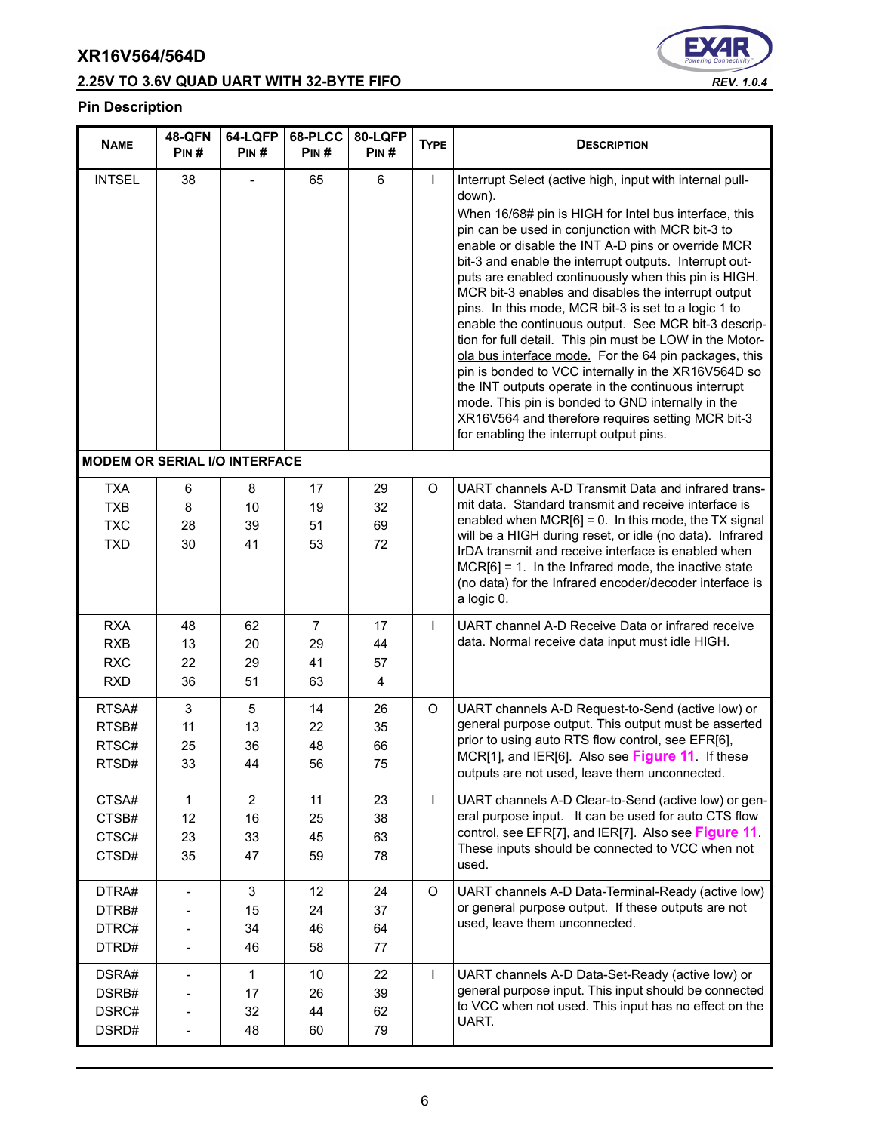# **2.25V TO 3.6V QUAD UART WITH 32-BYTE FIFO** *REV. 1.0.4*



| <b>NAME</b>                                          | <b>48-QFN</b><br>PIN#                         | 64-LQFP<br>PIN#                  | 68-PLCC<br>PIN#                  | 80-LQFP<br>PIN#                  | <b>TYPE</b>  | <b>DESCRIPTION</b>                                                                                                                                                                                                                                                                                                                                                                                                                                                                                                                                                                                                                                                                                                                                                                                                                                                                                                     |  |
|------------------------------------------------------|-----------------------------------------------|----------------------------------|----------------------------------|----------------------------------|--------------|------------------------------------------------------------------------------------------------------------------------------------------------------------------------------------------------------------------------------------------------------------------------------------------------------------------------------------------------------------------------------------------------------------------------------------------------------------------------------------------------------------------------------------------------------------------------------------------------------------------------------------------------------------------------------------------------------------------------------------------------------------------------------------------------------------------------------------------------------------------------------------------------------------------------|--|
| <b>INTSEL</b>                                        | 38                                            |                                  | 65                               | 6                                | T            | Interrupt Select (active high, input with internal pull-<br>down).<br>When 16/68# pin is HIGH for Intel bus interface, this<br>pin can be used in conjunction with MCR bit-3 to<br>enable or disable the INT A-D pins or override MCR<br>bit-3 and enable the interrupt outputs. Interrupt out-<br>puts are enabled continuously when this pin is HIGH.<br>MCR bit-3 enables and disables the interrupt output<br>pins. In this mode, MCR bit-3 is set to a logic 1 to<br>enable the continuous output. See MCR bit-3 descrip-<br>tion for full detail. This pin must be LOW in the Motor-<br>ola bus interface mode. For the 64 pin packages, this<br>pin is bonded to VCC internally in the XR16V564D so<br>the INT outputs operate in the continuous interrupt<br>mode. This pin is bonded to GND internally in the<br>XR16V564 and therefore requires setting MCR bit-3<br>for enabling the interrupt output pins. |  |
| <b>MODEM OR SERIAL I/O INTERFACE</b>                 |                                               |                                  |                                  |                                  |              |                                                                                                                                                                                                                                                                                                                                                                                                                                                                                                                                                                                                                                                                                                                                                                                                                                                                                                                        |  |
| <b>TXA</b><br><b>TXB</b><br><b>TXC</b><br><b>TXD</b> | 6<br>8<br>28<br>30                            | 8<br>10<br>39<br>41              | 17<br>19<br>51<br>53             | 29<br>32<br>69<br>72             | O            | UART channels A-D Transmit Data and infrared trans-<br>mit data. Standard transmit and receive interface is<br>enabled when $MCR[6] = 0$ . In this mode, the TX signal<br>will be a HIGH during reset, or idle (no data). Infrared<br>IrDA transmit and receive interface is enabled when<br>$MCR[6] = 1$ . In the Infrared mode, the inactive state<br>(no data) for the Infrared encoder/decoder interface is<br>a logic 0.                                                                                                                                                                                                                                                                                                                                                                                                                                                                                          |  |
| <b>RXA</b><br><b>RXB</b><br><b>RXC</b><br><b>RXD</b> | 48<br>13<br>22<br>36                          | 62<br>20<br>29<br>51             | $\overline{7}$<br>29<br>41<br>63 | 17<br>44<br>57<br>$\overline{4}$ | $\mathbf{I}$ | UART channel A-D Receive Data or infrared receive<br>data. Normal receive data input must idle HIGH.                                                                                                                                                                                                                                                                                                                                                                                                                                                                                                                                                                                                                                                                                                                                                                                                                   |  |
| RTSA#<br>RTSB#<br>RTSC#<br>RTSD#                     | 3<br>11<br>25<br>33                           | 5<br>13<br>36<br>44              | 14<br>22<br>48<br>56             | 26<br>35<br>66<br>75             | O            | UART channels A-D Request-to-Send (active low) or<br>general purpose output. This output must be asserted<br>prior to using auto RTS flow control, see EFR[6],<br>MCR[1], and IER[6]. Also see Figure 11 If these<br>outputs are not used, leave them unconnected.                                                                                                                                                                                                                                                                                                                                                                                                                                                                                                                                                                                                                                                     |  |
| CTSA#<br>CTSB#<br>CTSC#<br>CTSD#                     | $\mathbf{1}$<br>12<br>23<br>35                | $\overline{2}$<br>16<br>33<br>47 | 11<br>25<br>45<br>59             | 23<br>38<br>63<br>78             | $\mathsf{I}$ | UART channels A-D Clear-to-Send (active low) or gen-<br>eral purpose input. It can be used for auto CTS flow<br>control, see EFR[7], and IER[7]. Also see Figure 11.<br>These inputs should be connected to VCC when not<br>used.                                                                                                                                                                                                                                                                                                                                                                                                                                                                                                                                                                                                                                                                                      |  |
| DTRA#<br>DTRB#<br>DTRC#<br>DTRD#                     | $\blacksquare$                                | 3<br>15<br>34<br>46              | 12<br>24<br>46<br>58             | 24<br>37<br>64<br>77             | O            | UART channels A-D Data-Terminal-Ready (active low)<br>or general purpose output. If these outputs are not<br>used, leave them unconnected.                                                                                                                                                                                                                                                                                                                                                                                                                                                                                                                                                                                                                                                                                                                                                                             |  |
| DSRA#<br>DSRB#<br>DSRC#<br>DSRD#                     | $\overline{\phantom{0}}$<br>$\qquad \qquad -$ | 1<br>17<br>32<br>48              | 10<br>26<br>44<br>60             | 22<br>39<br>62<br>79             | $\mathsf{I}$ | UART channels A-D Data-Set-Ready (active low) or<br>general purpose input. This input should be connected<br>to VCC when not used. This input has no effect on the<br>UART.                                                                                                                                                                                                                                                                                                                                                                                                                                                                                                                                                                                                                                                                                                                                            |  |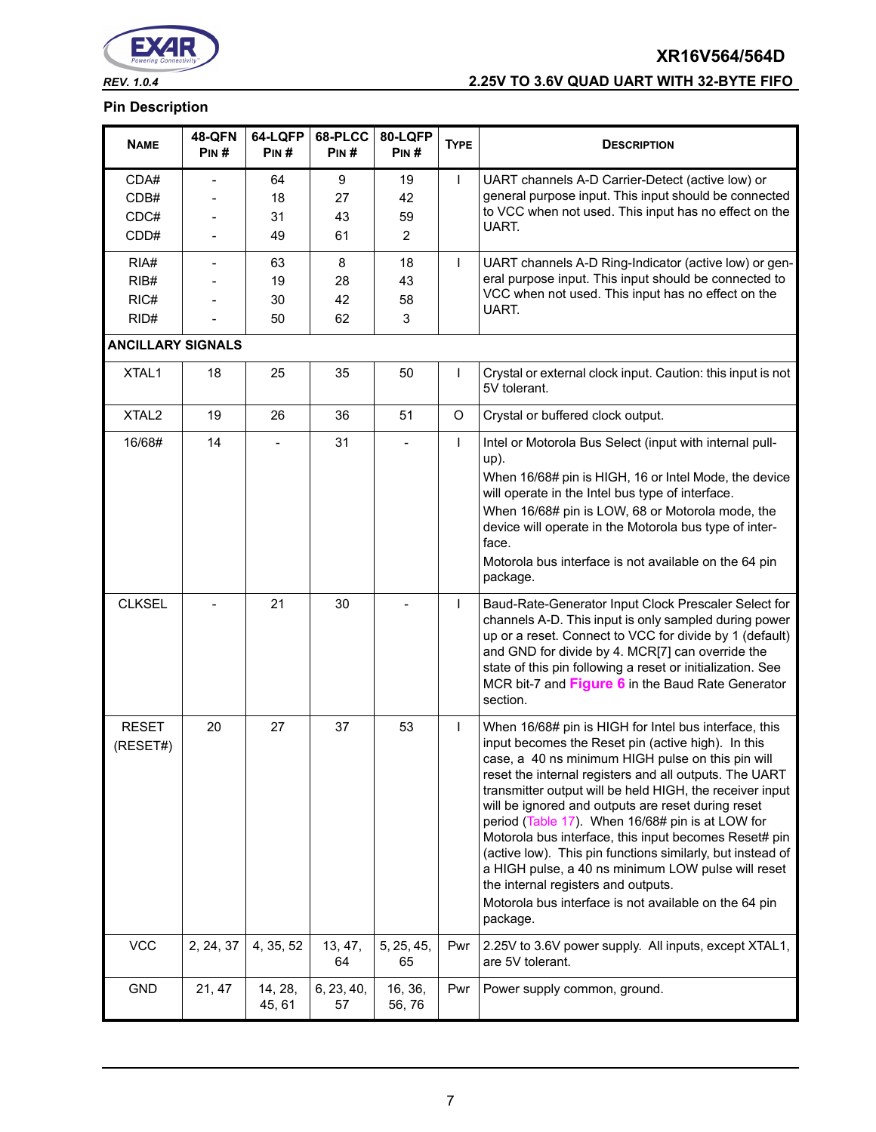

# *REV. 1.0.4* **2.25V TO 3.6V QUAD UART WITH 32-BYTE FIFO**

| <b>NAME</b>                  | <b>48-QFN</b><br>PIN#    | 64-LQFP<br>PIN#          | 68-PLCC<br>PIN#     | 80-LQFP<br>PIN#          | <b>TYPE</b> | <b>DESCRIPTION</b>                                                                                                                                                                                                                                                                                                                                                                                                                                                                                                                                                                                                                                                                        |
|------------------------------|--------------------------|--------------------------|---------------------|--------------------------|-------------|-------------------------------------------------------------------------------------------------------------------------------------------------------------------------------------------------------------------------------------------------------------------------------------------------------------------------------------------------------------------------------------------------------------------------------------------------------------------------------------------------------------------------------------------------------------------------------------------------------------------------------------------------------------------------------------------|
| CDA#<br>CDB#<br>CDC#<br>CDD# |                          | 64<br>18<br>31<br>49     | 9<br>27<br>43<br>61 | 19<br>42<br>59<br>2      | L           | UART channels A-D Carrier-Detect (active low) or<br>general purpose input. This input should be connected<br>to VCC when not used. This input has no effect on the<br>UART.                                                                                                                                                                                                                                                                                                                                                                                                                                                                                                               |
| RIA#<br>RIB#<br>RIC#<br>RID# | $\overline{\phantom{0}}$ | 63<br>19<br>30<br>50     | 8<br>28<br>42<br>62 | 18<br>43<br>58<br>3      | L           | UART channels A-D Ring-Indicator (active low) or gen-<br>eral purpose input. This input should be connected to<br>VCC when not used. This input has no effect on the<br>UART.                                                                                                                                                                                                                                                                                                                                                                                                                                                                                                             |
| <b>ANCILLARY SIGNALS</b>     |                          |                          |                     |                          |             |                                                                                                                                                                                                                                                                                                                                                                                                                                                                                                                                                                                                                                                                                           |
| XTAL1                        | 18                       | 25                       | 35                  | 50                       | L           | Crystal or external clock input. Caution: this input is not<br>5V tolerant.                                                                                                                                                                                                                                                                                                                                                                                                                                                                                                                                                                                                               |
| XTAL <sub>2</sub>            | 19                       | 26                       | 36                  | 51                       | O           | Crystal or buffered clock output.                                                                                                                                                                                                                                                                                                                                                                                                                                                                                                                                                                                                                                                         |
| 16/68#                       | 14                       | $\overline{\phantom{a}}$ | 31                  | $\overline{\phantom{a}}$ | L           | Intel or Motorola Bus Select (input with internal pull-<br>up).<br>When 16/68# pin is HIGH, 16 or Intel Mode, the device<br>will operate in the Intel bus type of interface.<br>When 16/68# pin is LOW, 68 or Motorola mode, the<br>device will operate in the Motorola bus type of inter-<br>face.<br>Motorola bus interface is not available on the 64 pin<br>package.                                                                                                                                                                                                                                                                                                                  |
| <b>CLKSEL</b>                |                          | 21                       | 30                  |                          | L           | Baud-Rate-Generator Input Clock Prescaler Select for<br>channels A-D. This input is only sampled during power<br>up or a reset. Connect to VCC for divide by 1 (default)<br>and GND for divide by 4. MCR[7] can override the<br>state of this pin following a reset or initialization. See<br>MCR bit-7 and Figure 6 in the Baud Rate Generator<br>section.                                                                                                                                                                                                                                                                                                                               |
| <b>RESET</b><br>(RESET#)     | 20                       | 27                       | 37                  | 53                       | L           | When 16/68# pin is HIGH for Intel bus interface, this<br>input becomes the Reset pin (active high). In this<br>case, a 40 ns minimum HIGH pulse on this pin will<br>reset the internal registers and all outputs. The UART<br>transmitter output will be held HIGH, the receiver input<br>will be ignored and outputs are reset during reset<br>period (Table 17). When 16/68# pin is at LOW for<br>Motorola bus interface, this input becomes Reset# pin<br>(active low). This pin functions similarly, but instead of<br>a HIGH pulse, a 40 ns minimum LOW pulse will reset<br>the internal registers and outputs.<br>Motorola bus interface is not available on the 64 pin<br>package. |
| <b>VCC</b>                   | 2, 24, 37                | 4, 35, 52                | 13, 47,<br>64       | 5, 25, 45,<br>65         | Pwr         | 2.25V to 3.6V power supply. All inputs, except XTAL1,<br>are 5V tolerant.                                                                                                                                                                                                                                                                                                                                                                                                                                                                                                                                                                                                                 |
| <b>GND</b>                   | 21, 47                   | 14, 28,<br>45, 61        | 6, 23, 40,<br>57    | 16, 36,<br>56,76         | Pwr         | Power supply common, ground.                                                                                                                                                                                                                                                                                                                                                                                                                                                                                                                                                                                                                                                              |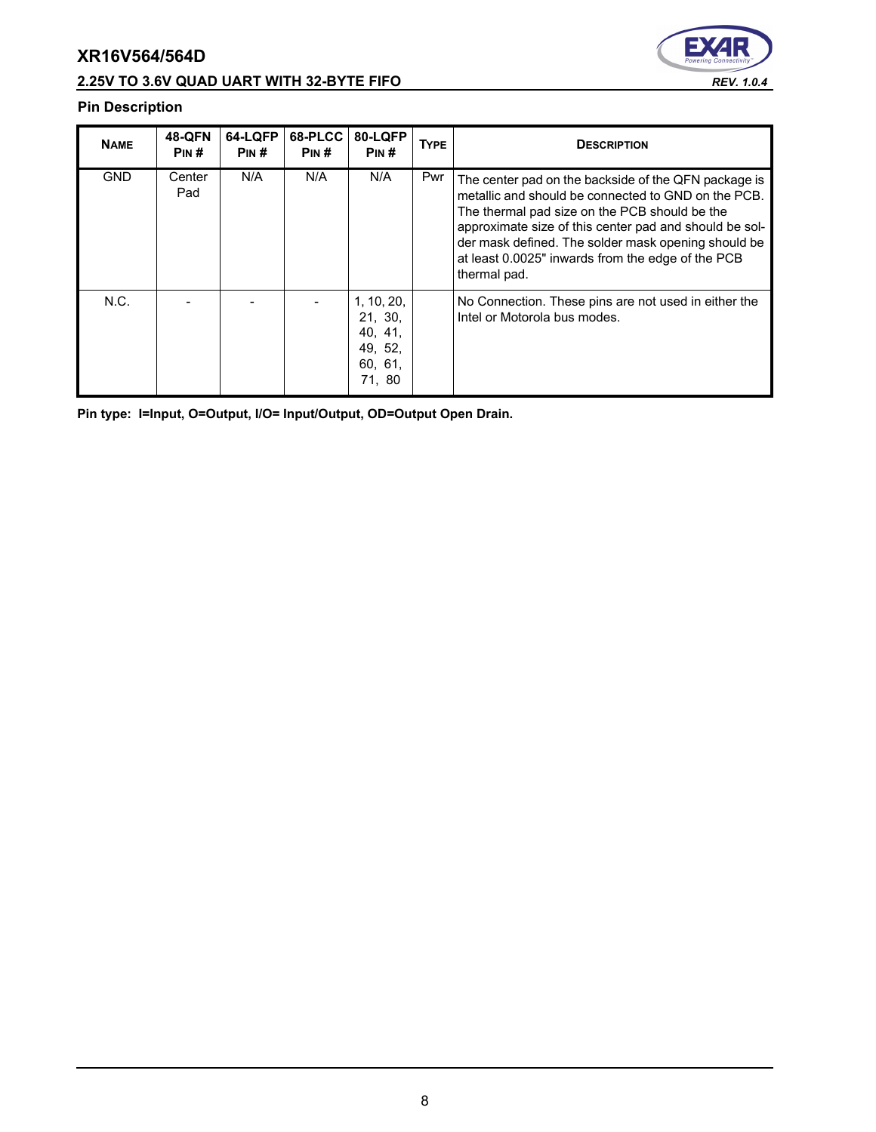# **2.25V TO 3.6V QUAD UART WITH 32-BYTE FIFO** *REV. 1.0.4*



# **Pin Description**

| <b>NAME</b> | <b>48-QFN</b><br>PIN# | 64-LQFP<br>PIN# | 68-PLCC<br>PIN# | 80-LQFP<br>PIN#                                                  | <b>TYPE</b> | <b>DESCRIPTION</b>                                                                                                                                                                                                                                                                                                                                 |
|-------------|-----------------------|-----------------|-----------------|------------------------------------------------------------------|-------------|----------------------------------------------------------------------------------------------------------------------------------------------------------------------------------------------------------------------------------------------------------------------------------------------------------------------------------------------------|
| <b>GND</b>  | Center<br>Pad         | N/A             | N/A             | N/A                                                              | Pwr         | The center pad on the backside of the QFN package is<br>metallic and should be connected to GND on the PCB.<br>The thermal pad size on the PCB should be the<br>approximate size of this center pad and should be sol-<br>der mask defined. The solder mask opening should be<br>at least 0.0025" inwards from the edge of the PCB<br>thermal pad. |
| N.C.        |                       |                 |                 | 1, 10, 20,<br>21, 30,<br>40, 41,<br>49, 52,<br>60, 61,<br>71, 80 |             | No Connection. These pins are not used in either the<br>Intel or Motorola bus modes.                                                                                                                                                                                                                                                               |

**Pin type: I=Input, O=Output, I/O= Input/Output, OD=Output Open Drain.**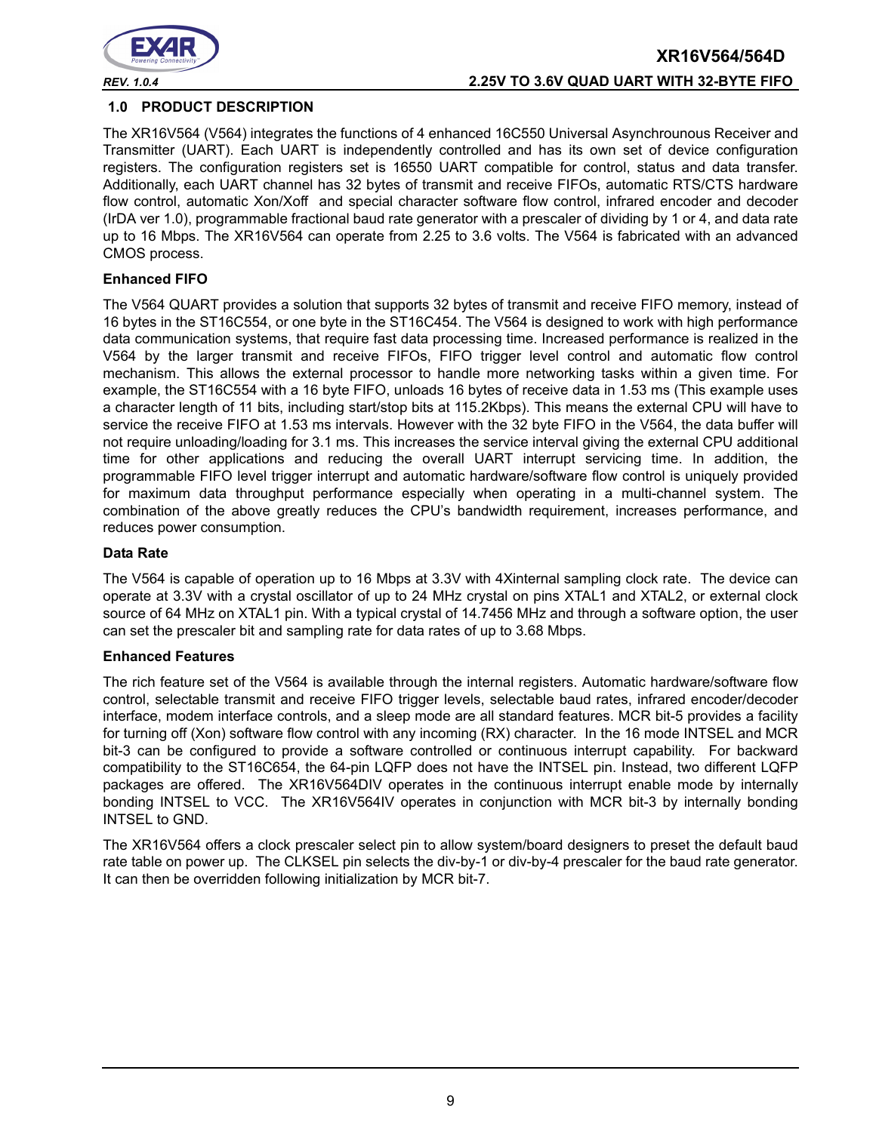

#### **1.0 PRODUCT DESCRIPTION**

The XR16V564 (V564) integrates the functions of 4 enhanced 16C550 Universal Asynchrounous Receiver and Transmitter (UART). Each UART is independently controlled and has its own set of device configuration registers. The configuration registers set is 16550 UART compatible for control, status and data transfer. Additionally, each UART channel has 32 bytes of transmit and receive FIFOs, automatic RTS/CTS hardware flow control, automatic Xon/Xoff and special character software flow control, infrared encoder and decoder (IrDA ver 1.0), programmable fractional baud rate generator with a prescaler of dividing by 1 or 4, and data rate up to 16 Mbps. The XR16V564 can operate from 2.25 to 3.6 volts. The V564 is fabricated with an advanced CMOS process.

#### **Enhanced FIFO**

The V564 QUART provides a solution that supports 32 bytes of transmit and receive FIFO memory, instead of 16 bytes in the ST16C554, or one byte in the ST16C454. The V564 is designed to work with high performance data communication systems, that require fast data processing time. Increased performance is realized in the V564 by the larger transmit and receive FIFOs, FIFO trigger level control and automatic flow control mechanism. This allows the external processor to handle more networking tasks within a given time. For example, the ST16C554 with a 16 byte FIFO, unloads 16 bytes of receive data in 1.53 ms (This example uses a character length of 11 bits, including start/stop bits at 115.2Kbps). This means the external CPU will have to service the receive FIFO at 1.53 ms intervals. However with the 32 byte FIFO in the V564, the data buffer will not require unloading/loading for 3.1 ms. This increases the service interval giving the external CPU additional time for other applications and reducing the overall UART interrupt servicing time. In addition, the programmable FIFO level trigger interrupt and automatic hardware/software flow control is uniquely provided for maximum data throughput performance especially when operating in a multi-channel system. The combination of the above greatly reduces the CPU's bandwidth requirement, increases performance, and reduces power consumption.

#### **Data Rate**

The V564 is capable of operation up to 16 Mbps at 3.3V with 4Xinternal sampling clock rate. The device can operate at 3.3V with a crystal oscillator of up to 24 MHz crystal on pins XTAL1 and XTAL2, or external clock source of 64 MHz on XTAL1 pin. With a typical crystal of 14.7456 MHz and through a software option, the user can set the prescaler bit and sampling rate for data rates of up to 3.68 Mbps.

#### **Enhanced Features**

The rich feature set of the V564 is available through the internal registers. Automatic hardware/software flow control, selectable transmit and receive FIFO trigger levels, selectable baud rates, infrared encoder/decoder interface, modem interface controls, and a sleep mode are all standard features. MCR bit-5 provides a facility for turning off (Xon) software flow control with any incoming (RX) character. In the 16 mode INTSEL and MCR bit-3 can be configured to provide a software controlled or continuous interrupt capability. For backward compatibility to the ST16C654, the 64-pin LQFP does not have the INTSEL pin. Instead, two different LQFP packages are offered. The XR16V564DIV operates in the continuous interrupt enable mode by internally bonding INTSEL to VCC. The XR16V564IV operates in conjunction with MCR bit-3 by internally bonding INTSEL to GND.

The XR16V564 offers a clock prescaler select pin to allow system/board designers to preset the default baud rate table on power up. The CLKSEL pin selects the div-by-1 or div-by-4 prescaler for the baud rate generator. It can then be overridden following initialization by MCR bit-7.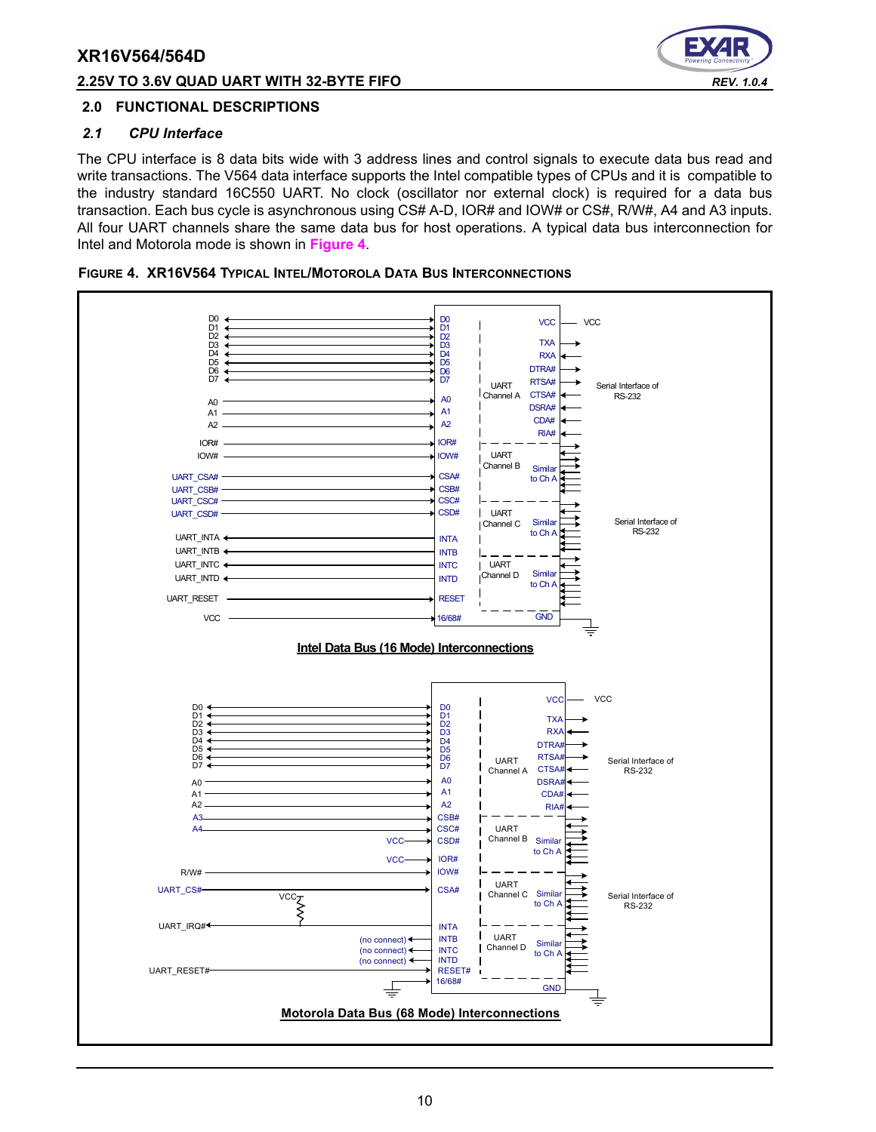### **2.25V TO 3.6V QUAD UART WITH 32-BYTE FIFO** *REV. 1.0.4*



#### **2.0 FUNCTIONAL DESCRIPTIONS**

#### *2.1 CPU Interface*

The CPU interface is 8 data bits wide with 3 address lines and control signals to execute data bus read and write transactions. The V564 data interface supports the Intel compatible types of CPUs and it is compatible to the industry standard 16C550 UART. No clock (oscillator nor external clock) is required for a data bus transaction. Each bus cycle is asynchronous using CS# A-D, IOR# and IOW# or CS#, R/W#, A4 and A3 inputs. All four UART channels share the same data bus for host operations. A typical data bus interconnection for Intel and Motorola mode is shown in **[Figure](#page-9-0) 4**.

<span id="page-9-0"></span>

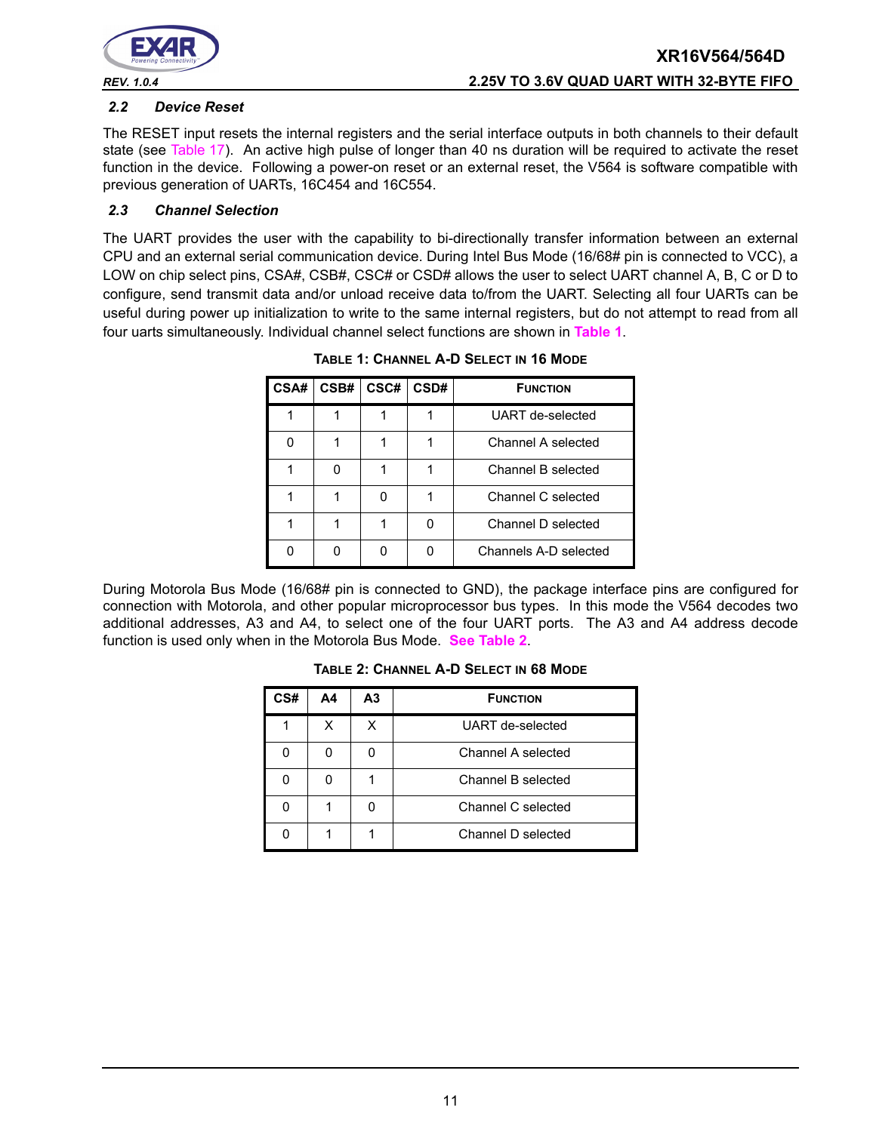

#### *2.2 Device Reset*

The RESET input resets the internal registers and the serial interface outputs in both channels to their default state (see [Table](#page-38-0) 17). An active high pulse of longer than 40 ns duration will be required to activate the reset function in the device. Following a power-on reset or an external reset, the V564 is software compatible with previous generation of UARTs, 16C454 and 16C554.

#### *2.3 Channel Selection*

<span id="page-10-0"></span>The UART provides the user with the capability to bi-directionally transfer information between an external CPU and an external serial communication device. During Intel Bus Mode (16/68# pin is connected to VCC), a LOW on chip select pins, CSA#, CSB#, CSC# or CSD# allows the user to select UART channel A, B, C or D to configure, send transmit data and/or unload receive data to/from the UART. Selecting all four UARTs can be useful during power up initialization to write to the same internal registers, but do not attempt to read from all four uarts simultaneously. Individual channel select functions are shown in **[Table](#page-10-0) 1**.

| CSA# | CSB# | CSC# | CSD# | <b>FUNCTION</b>       |  |  |
|------|------|------|------|-----------------------|--|--|
|      |      |      |      | UART de-selected      |  |  |
|      |      |      |      | Channel A selected    |  |  |
|      |      |      |      | Channel B selected    |  |  |
|      |      |      |      | Channel C selected    |  |  |
|      |      |      |      | Channel D selected    |  |  |
|      |      |      |      | Channels A-D selected |  |  |

**TABLE 1: CHANNEL A-D SELECT IN 16 MODE**

<span id="page-10-1"></span>During Motorola Bus Mode (16/68# pin is connected to GND), the package interface pins are configured for connection with Motorola, and other popular microprocessor bus types. In this mode the V564 decodes two additional addresses, A3 and A4, to select one of the four UART ports. The A3 and A4 address decode function is used only when in the Motorola Bus Mode. **[See Table](#page-10-1) 2**.

| CS# | Α4 | А3 | <b>FUNCTION</b>    |  |  |  |
|-----|----|----|--------------------|--|--|--|
|     |    | x  | UART de-selected   |  |  |  |
|     |    |    | Channel A selected |  |  |  |
|     |    |    | Channel B selected |  |  |  |
|     |    |    | Channel C selected |  |  |  |
|     |    |    | Channel D selected |  |  |  |

**TABLE 2: CHANNEL A-D SELECT IN 68 MODE**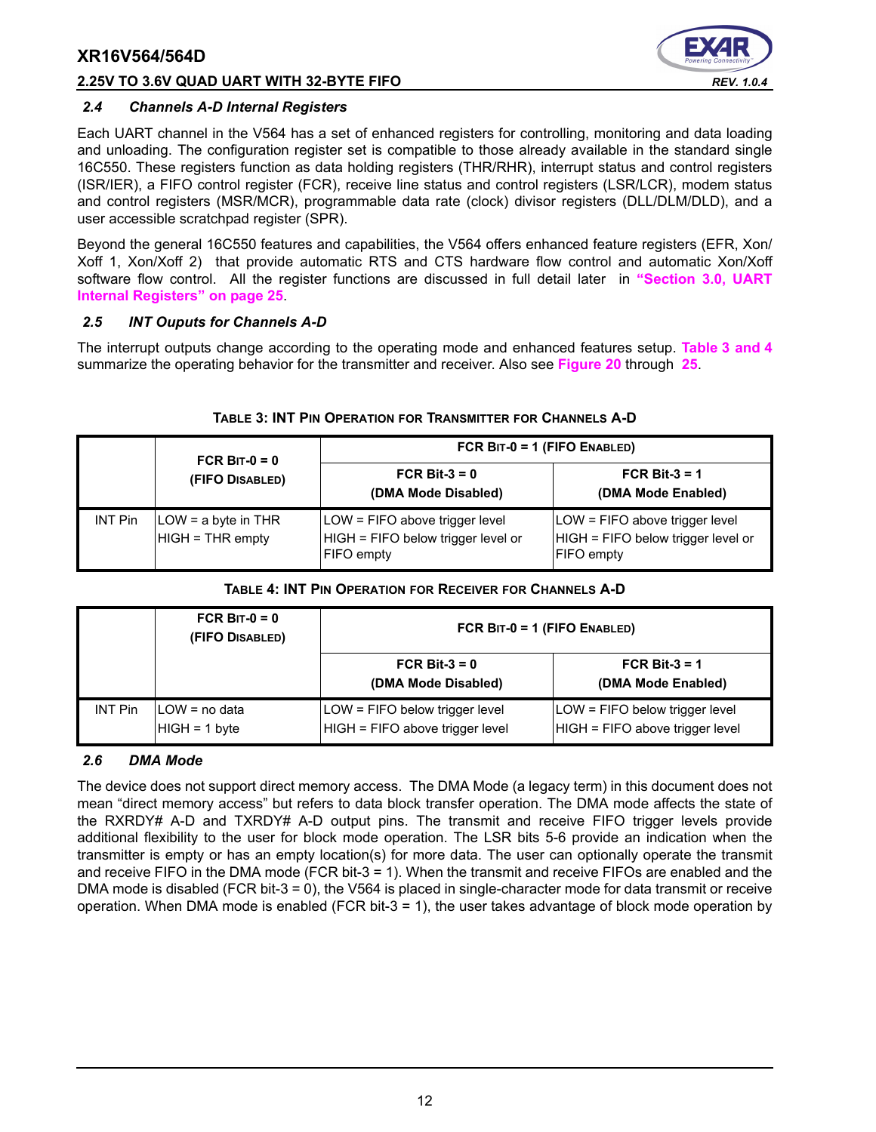#### **2.25V TO 3.6V QUAD UART WITH 32-BYTE FIFO** *REV. 1.0.4*



#### *2.4 Channels A-D Internal Registers*

Each UART channel in the V564 has a set of enhanced registers for controlling, monitoring and data loading and unloading. The configuration register set is compatible to those already available in the standard single 16C550. These registers function as data holding registers (THR/RHR), interrupt status and control registers (ISR/IER), a FIFO control register (FCR), receive line status and control registers (LSR/LCR), modem status and control registers (MSR/MCR), programmable data rate (clock) divisor registers (DLL/DLM/DLD), and a user accessible scratchpad register (SPR).

Beyond the general 16C550 features and capabilities, the V564 offers enhanced feature registers (EFR, Xon/ Xoff 1, Xon/Xoff 2) that provide automatic RTS and CTS hardware flow control and automatic Xon/Xoff software flow control. All the register functions are discussed in full detail later in **["Section 3.0, UART](#page-23-0) [Internal Registers" on page](#page-23-0) 25**.

#### *2.5 INT Ouputs for Channels A-D*

The interrupt outputs change according to the operating mode and enhanced features setup. **[Table](#page-11-0) 3 [and](#page-11-1) 4** summarize the operating behavior for the transmitter and receiver. Also see **[Figure](#page-44-0) 20** through **[25](#page-47-0)**.

<span id="page-11-0"></span>

|                | FCR BIT- $0 = 0$                          | FCR BIT-0 = 1 (FIFO ENABLED)                                                              |                                                                                           |  |  |  |
|----------------|-------------------------------------------|-------------------------------------------------------------------------------------------|-------------------------------------------------------------------------------------------|--|--|--|
|                | (FIFO DISABLED)                           | FCR Bit- $3 = 0$<br>(DMA Mode Disabled)                                                   | FCR Bit-3 = $1$<br>(DMA Mode Enabled)                                                     |  |  |  |
| <b>INT Pin</b> | $LOW = a$ byte in THR<br>HIGH = THR empty | LOW = FIFO above trigger level<br>HIGH = FIFO below trigger level or<br><b>FIFO</b> empty | LOW = FIFO above trigger level<br>HIGH = FIFO below trigger level or<br><b>FIFO</b> empty |  |  |  |

#### **TABLE 3: INT PIN OPERATION FOR TRANSMITTER FOR CHANNELS A-D**

#### **TABLE 4: INT PIN OPERATION FOR RECEIVER FOR CHANNELS A-D**

<span id="page-11-1"></span>

|                | FCR BIT- $0 = 0$<br>(FIFO DISABLED) | FCR BIT-0 = 1 (FIFO ENABLED)                                      |                                                                   |  |  |
|----------------|-------------------------------------|-------------------------------------------------------------------|-------------------------------------------------------------------|--|--|
|                |                                     | FCR Bit- $3 = 0$<br>(DMA Mode Disabled)                           | FCR Bit-3 = $1$<br>(DMA Mode Enabled)                             |  |  |
| <b>INT Pin</b> | $LOW = no data$<br>$HIGH = 1 byte$  | LOW = FIFO below trigger level<br>HIGH = FIFO above trigger level | LOW = FIFO below trigger level<br>HIGH = FIFO above trigger level |  |  |

#### *2.6 DMA Mode*

The device does not support direct memory access. The DMA Mode (a legacy term) in this document does not mean "direct memory access" but refers to data block transfer operation. The DMA mode affects the state of the RXRDY# A-D and TXRDY# A-D output pins. The transmit and receive FIFO trigger levels provide additional flexibility to the user for block mode operation. The LSR bits 5-6 provide an indication when the transmitter is empty or has an empty location(s) for more data. The user can optionally operate the transmit and receive FIFO in the DMA mode (FCR bit-3 = 1). When the transmit and receive FIFOs are enabled and the DMA mode is disabled (FCR bit-3 = 0), the V564 is placed in single-character mode for data transmit or receive operation. When DMA mode is enabled (FCR bit-3 = 1), the user takes advantage of block mode operation by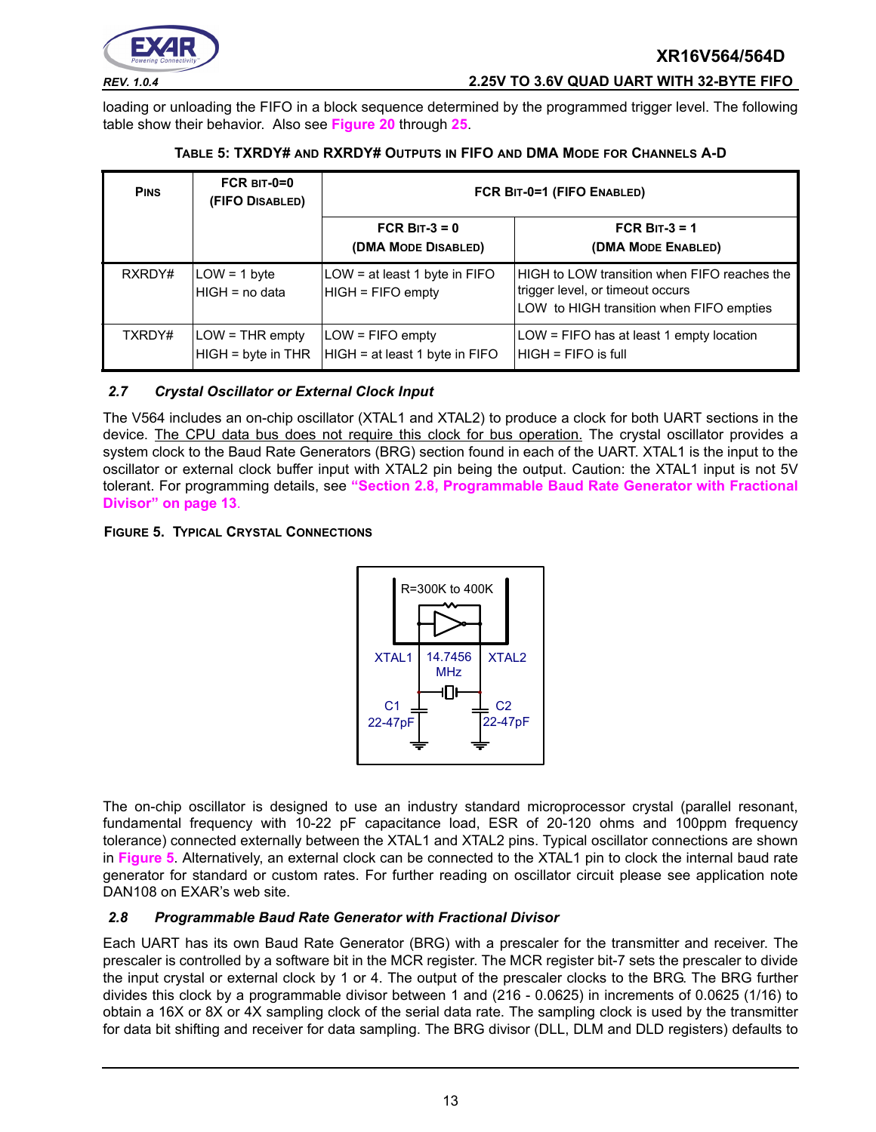

*REV. 1.0.4* **2.25V TO 3.6V QUAD UART WITH 32-BYTE FIFO**

loading or unloading the FIFO in a block sequence determined by the programmed trigger level. The following table show their behavior. Also see **[Figure](#page-44-0) 20** through **[25](#page-47-0)**.

<span id="page-12-0"></span>

| <b>PINS</b> | FCR $BIT-0=0$<br>(FIFO DISABLED)          | FCR BIT-0=1 (FIFO ENABLED)                             |                                                                                                                              |  |  |  |  |
|-------------|-------------------------------------------|--------------------------------------------------------|------------------------------------------------------------------------------------------------------------------------------|--|--|--|--|
|             |                                           | FCR BIT-3 = $0$<br>(DMA MODE DISABLED)                 | FCR BIT- $3 = 1$<br>(DMA MODE ENABLED)                                                                                       |  |  |  |  |
| RXRDY#      | $LOW = 1$ byte<br>HIGH = no data          | LOW = at least 1 byte in FIFO<br>$HIGH = FIFO$ empty   | HIGH to LOW transition when FIFO reaches the<br>trigger level, or timeout occurs<br>LOW to HIGH transition when FIFO empties |  |  |  |  |
| TXRDY#      | $LOW = THR$ empty<br>$HIGH = byte in THR$ | $LOW = FIFO$ empty<br>$HIGH = at least 1 byte in FIFO$ | $LOW = FIFO$ has at least 1 empty location<br>IHIGH = FIFO is full                                                           |  |  |  |  |

#### **TABLE 5: TXRDY# AND RXRDY# OUTPUTS IN FIFO AND DMA MODE FOR CHANNELS A-D**

#### *2.7 Crystal Oscillator or External Clock Input*

The V564 includes an on-chip oscillator (XTAL1 and XTAL2) to produce a clock for both UART sections in the device. The CPU data bus does not require this clock for bus operation. The crystal oscillator provides a system clock to the Baud Rate Generators (BRG) section found in each of the UART. XTAL1 is the input to the oscillator or external clock buffer input with XTAL2 pin being the output. Caution: the XTAL1 input is not 5V tolerant. For programming details, see **["Section 2.8, Programmable Baud Rate Generator with Fractional](#page-12-1) [Divisor" on page](#page-12-1) 13**.

#### <span id="page-12-2"></span>**FIGURE 5. TYPICAL CRYSTAL CONNECTIONS**



The on-chip oscillator is designed to use an industry standard microprocessor crystal (parallel resonant, fundamental frequency with 10-22 pF capacitance load, ESR of 20-120 ohms and 100ppm frequency tolerance) connected externally between the XTAL1 and XTAL2 pins. Typical oscillator connections are shown in **[Figure](#page-12-2) 5**. Alternatively, an external clock can be connected to the XTAL1 pin to clock the internal baud rate generator for standard or custom rates. For further reading on oscillator circuit please see application note DAN108 on EXAR's web site.

#### <span id="page-12-1"></span>*2.8 Programmable Baud Rate Generator with Fractional Divisor*

Each UART has its own Baud Rate Generator (BRG) with a prescaler for the transmitter and receiver. The prescaler is controlled by a software bit in the MCR register. The MCR register bit-7 sets the prescaler to divide the input crystal or external clock by 1 or 4. The output of the prescaler clocks to the BRG. The BRG further divides this clock by a programmable divisor between 1 and (216 - 0.0625) in increments of 0.0625 (1/16) to obtain a 16X or 8X or 4X sampling clock of the serial data rate. The sampling clock is used by the transmitter for data bit shifting and receiver for data sampling. The BRG divisor (DLL, DLM and DLD registers) defaults to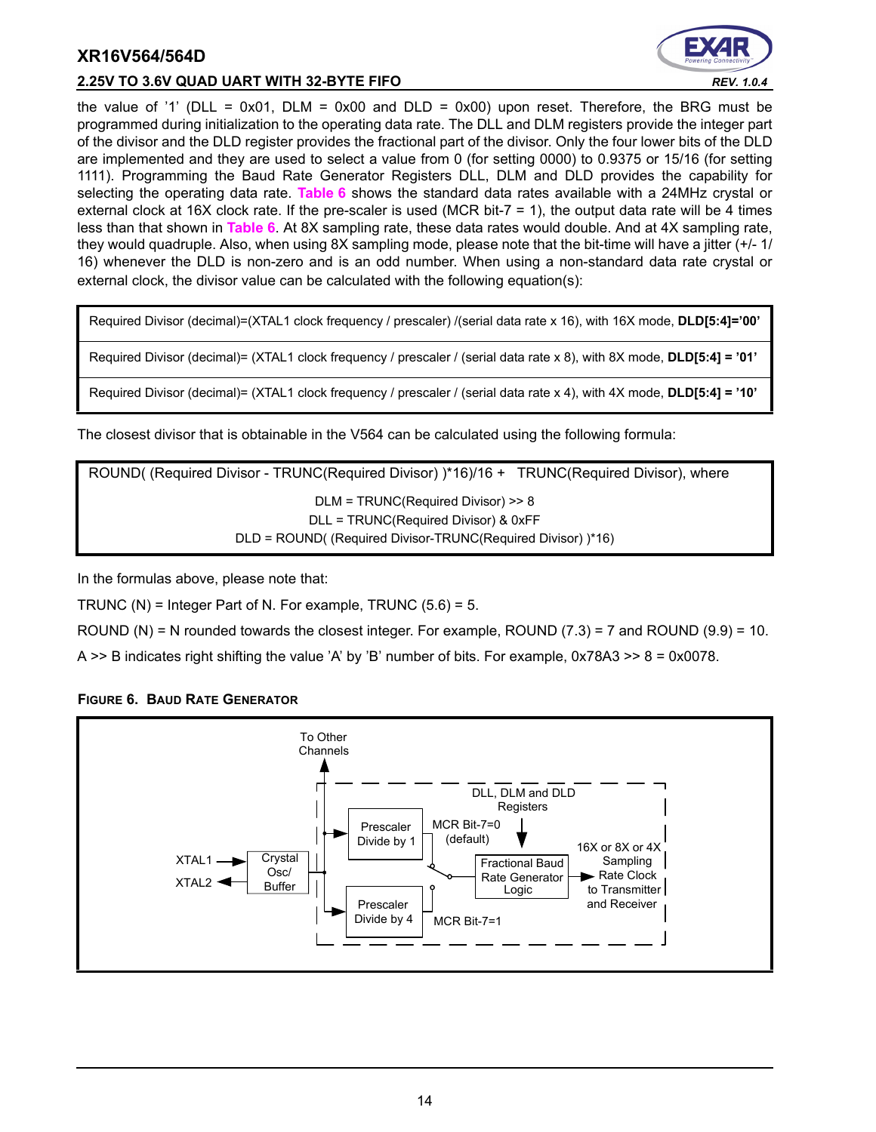

### **2.25V TO 3.6V QUAD UART WITH 32-BYTE FIFO** *REV. 1.0.4*

the value of '1' (DLL = 0x01, DLM = 0x00 and DLD = 0x00) upon reset. Therefore, the BRG must be programmed during initialization to the operating data rate. The DLL and DLM registers provide the integer part of the divisor and the DLD register provides the fractional part of the divisor. Only the four lower bits of the DLD are implemented and they are used to select a value from 0 (for setting 0000) to 0.9375 or 15/16 (for setting 1111). Programming the Baud Rate Generator Registers DLL, DLM and DLD provides the capability for selecting the operating data rate. **[Table](#page-14-0) 6** shows the standard data rates available with a 24MHz crystal or external clock at 16X clock rate. If the pre-scaler is used (MCR bit-7 = 1), the output data rate will be 4 times less than that shown in **[Table](#page-14-0) 6**. At 8X sampling rate, these data rates would double. And at 4X sampling rate, they would quadruple. Also, when using 8X sampling mode, please note that the bit-time will have a jitter (+/- 1/ 16) whenever the DLD is non-zero and is an odd number. When using a non-standard data rate crystal or external clock, the divisor value can be calculated with the following equation(s):

Required Divisor (decimal)=(XTAL1 clock frequency / prescaler) /(serial data rate x 16), with 16X mode, **DLD[5:4]='00'**

Required Divisor (decimal)= (XTAL1 clock frequency / prescaler / (serial data rate x 8), with 8X mode, **DLD[5:4] = '01'**

Required Divisor (decimal)= (XTAL1 clock frequency / prescaler / (serial data rate x 4), with 4X mode, **DLD[5:4] = '10'**

The closest divisor that is obtainable in the V564 can be calculated using the following formula:

ROUND( (Required Divisor - TRUNC(Required Divisor) )\*16)/16 + TRUNC(Required Divisor), where DLM = TRUNC(Required Divisor) >> 8 DLL = TRUNC(Required Divisor) & 0xFF DLD = ROUND( (Required Divisor-TRUNC(Required Divisor) )\*16)

In the formulas above, please note that:

TRUNC (N) = Integer Part of N. For example, TRUNC  $(5.6) = 5$ .

ROUND (N) = N rounded towards the closest integer. For example, ROUND (7.3) = 7 and ROUND (9.9) = 10.

A  $\geq$  B indicates right shifting the value 'A' by 'B' number of bits. For example, 0x78A3  $\geq$  8 = 0x0078.



#### <span id="page-13-0"></span>**FIGURE 6. BAUD RATE GENERATOR**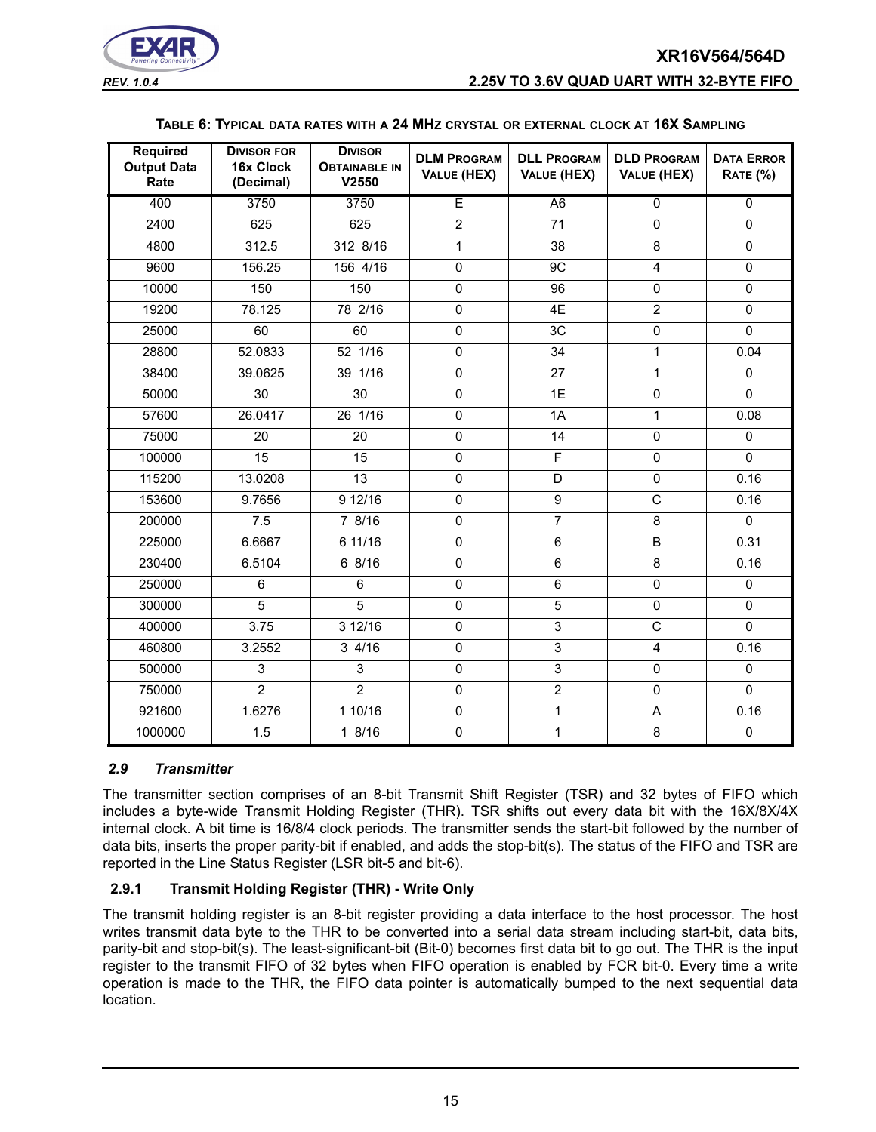



#### *REV. 1.0.4* **2.25V TO 3.6V QUAD UART WITH 32-BYTE FIFO**

#### **TABLE 6: TYPICAL DATA RATES WITH A 24 MHZ CRYSTAL OR EXTERNAL CLOCK AT 16X SAMPLING**

<span id="page-14-0"></span>

| <b>Required</b><br><b>Output Data</b><br>Rate | <b>DIVISOR FOR</b><br>16x Clock<br>(Decimal) | <b>DIVISOR</b><br><b>OBTAINABLE IN</b><br>V2550 | <b>DLM PROGRAM</b><br>VALUE (HEX) | <b>DLL PROGRAM</b><br>VALUE (HEX) | <b>DLD PROGRAM</b><br>VALUE (HEX) | <b>DATA ERROR</b><br><b>RATE (%)</b> |
|-----------------------------------------------|----------------------------------------------|-------------------------------------------------|-----------------------------------|-----------------------------------|-----------------------------------|--------------------------------------|
| 400                                           | 3750                                         | 3750                                            | Ē                                 | A <sub>6</sub>                    | $\overline{0}$                    | $\overline{0}$                       |
| 2400                                          | 625                                          | 625                                             | $\overline{2}$                    | $\overline{71}$                   | $\Omega$                          | $\Omega$                             |
| 4800                                          | 312.5                                        | 312 8/16                                        | $\mathbf{1}$                      | 38                                | 8                                 | 0                                    |
| 9600                                          | 156.25                                       | 156 4/16                                        | $\mathbf 0$                       | 9C                                | $\overline{4}$                    | 0                                    |
| 10000                                         | 150                                          | 150                                             | $\mathbf 0$                       | 96                                | $\mathbf 0$                       | 0                                    |
| 19200                                         | 78.125                                       | 78 2/16                                         | $\mathbf 0$                       | 4E                                | $\overline{2}$                    | 0                                    |
| 25000                                         | 60                                           | 60                                              | $\overline{0}$                    | 3C                                | $\overline{0}$                    | $\Omega$                             |
| 28800                                         | 52.0833                                      | 52 1/16                                         | $\mathsf 0$                       | 34                                | $\mathbf{1}$                      | 0.04                                 |
| 38400                                         | 39.0625                                      | 39 1/16                                         | $\mathbf 0$                       | 27                                | 1                                 | 0                                    |
| 50000                                         | 30                                           | 30                                              | $\mathbf 0$                       | 1E                                | $\mathbf 0$                       | $\Omega$                             |
| 57600                                         | 26.0417                                      | 26 1/16                                         | $\overline{0}$                    | $\overline{1A}$                   | 1                                 | 0.08                                 |
| 75000                                         | 20                                           | 20                                              | $\mathbf 0$                       | $\overline{14}$                   | $\mathbf 0$                       | 0                                    |
| 100000                                        | 15                                           | 15                                              | $\mathsf 0$                       | $\overline{F}$                    | $\mathsf 0$                       | $\mathbf 0$                          |
| 115200                                        | 13.0208                                      | 13                                              | $\mathbf 0$                       | D                                 | $\pmb{0}$                         | 0.16                                 |
| 153600                                        | 9.7656                                       | 9 12/16                                         | $\mathbf 0$                       | $\overline{9}$                    | $\overline{C}$                    | 0.16                                 |
| 200000                                        | 7.5                                          | 78/16                                           | $\overline{0}$                    | $\overline{7}$                    | $\overline{8}$                    | $\mathbf{0}$                         |
| 225000                                        | 6.6667                                       | 6 11/16                                         | $\mathbf 0$                       | $\overline{6}$                    | B                                 | 0.31                                 |
| 230400                                        | 6.5104                                       | 6 8/16                                          | $\mathsf 0$                       | $6\phantom{1}$                    | 8                                 | 0.16                                 |
| 250000                                        | 6                                            | 6                                               | $\mathbf 0$                       | $\overline{6}$                    | $\mathbf 0$                       | $\mathbf{0}$                         |
| 300000                                        | 5                                            | 5                                               | $\mathbf 0$                       | $\overline{5}$                    | $\pmb{0}$                         | 0                                    |
| 400000                                        | 3.75                                         | 3 12/16                                         | $\mathbf 0$                       | 3                                 | $\mathsf{C}$                      | $\mathbf 0$                          |
| 460800                                        | 3.2552                                       | $3 \frac{4}{16}$                                | $\overline{0}$                    | $\overline{3}$                    | $\overline{4}$                    | 0.16                                 |
| 500000                                        | 3                                            | 3                                               | $\mathsf 0$                       | $\overline{3}$                    | $\pmb{0}$                         | $\mathbf 0$                          |
| 750000                                        | $\overline{2}$                               | $\overline{2}$                                  | $\mathbf 0$                       | $\overline{2}$                    | $\pmb{0}$                         | 0                                    |
| 921600                                        | 1.6276                                       | 1 10/16                                         | $\mathsf 0$                       | 1                                 | A                                 | 0.16                                 |
| 1000000                                       | 1.5                                          | 1 8/16                                          | $\overline{0}$                    | 1                                 | $\overline{8}$                    | $\mathbf 0$                          |

#### <span id="page-14-1"></span>*2.9 Transmitter*

The transmitter section comprises of an 8-bit Transmit Shift Register (TSR) and 32 bytes of FIFO which includes a byte-wide Transmit Holding Register (THR). TSR shifts out every data bit with the 16X/8X/4X internal clock. A bit time is 16/8/4 clock periods. The transmitter sends the start-bit followed by the number of data bits, inserts the proper parity-bit if enabled, and adds the stop-bit(s). The status of the FIFO and TSR are reported in the Line Status Register (LSR bit-5 and bit-6).

#### **2.9.1 Transmit Holding Register (THR) - Write Only**

The transmit holding register is an 8-bit register providing a data interface to the host processor. The host writes transmit data byte to the THR to be converted into a serial data stream including start-bit, data bits, parity-bit and stop-bit(s). The least-significant-bit (Bit-0) becomes first data bit to go out. The THR is the input register to the transmit FIFO of 32 bytes when FIFO operation is enabled by FCR bit-0. Every time a write operation is made to the THR, the FIFO data pointer is automatically bumped to the next sequential data location.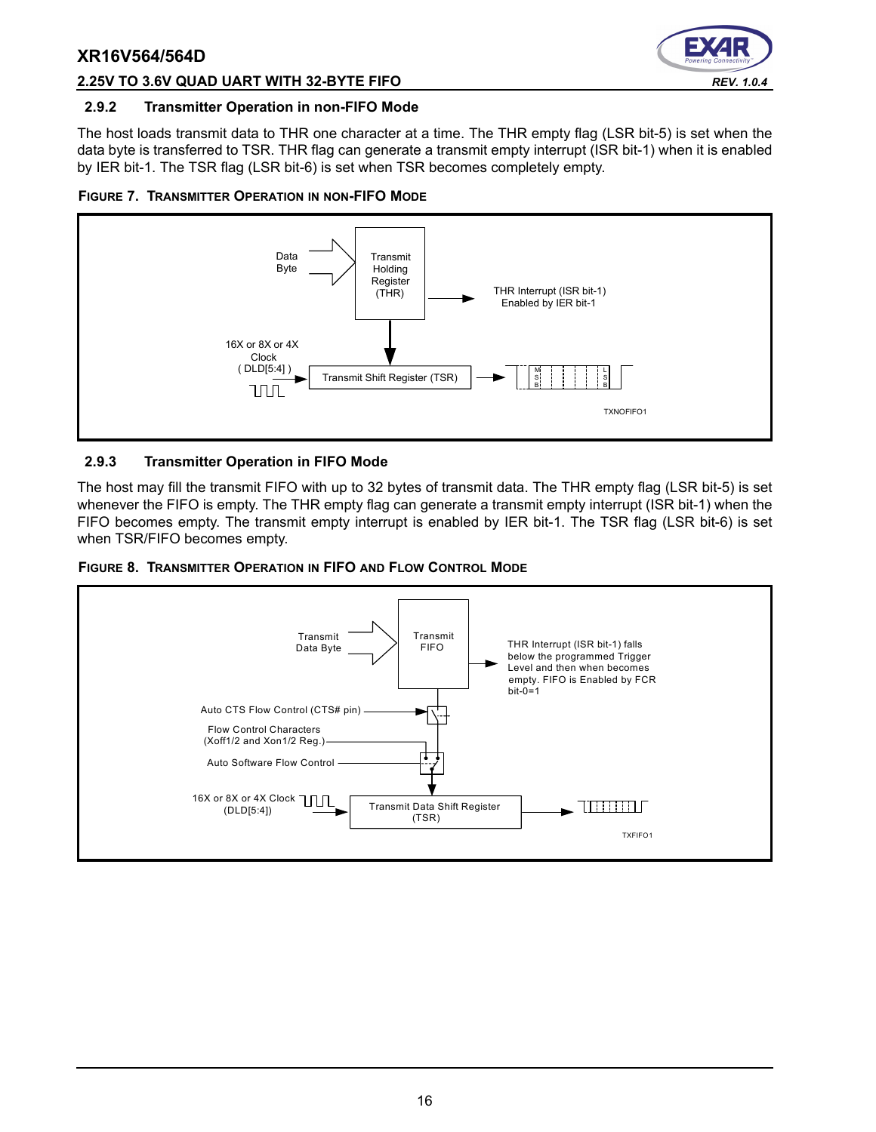

### **2.25V TO 3.6V QUAD UART WITH 32-BYTE FIFO** *REV. 1.0.4*

#### **2.9.2 Transmitter Operation in non-FIFO Mode**

The host loads transmit data to THR one character at a time. The THR empty flag (LSR bit-5) is set when the data byte is transferred to TSR. THR flag can generate a transmit empty interrupt (ISR bit-1) when it is enabled by IER bit-1. The TSR flag (LSR bit-6) is set when TSR becomes completely empty.





### **2.9.3 Transmitter Operation in FIFO Mode**

The host may fill the transmit FIFO with up to 32 bytes of transmit data. The THR empty flag (LSR bit-5) is set whenever the FIFO is empty. The THR empty flag can generate a transmit empty interrupt (ISR bit-1) when the FIFO becomes empty. The transmit empty interrupt is enabled by IER bit-1. The TSR flag (LSR bit-6) is set when TSR/FIFO becomes empty.



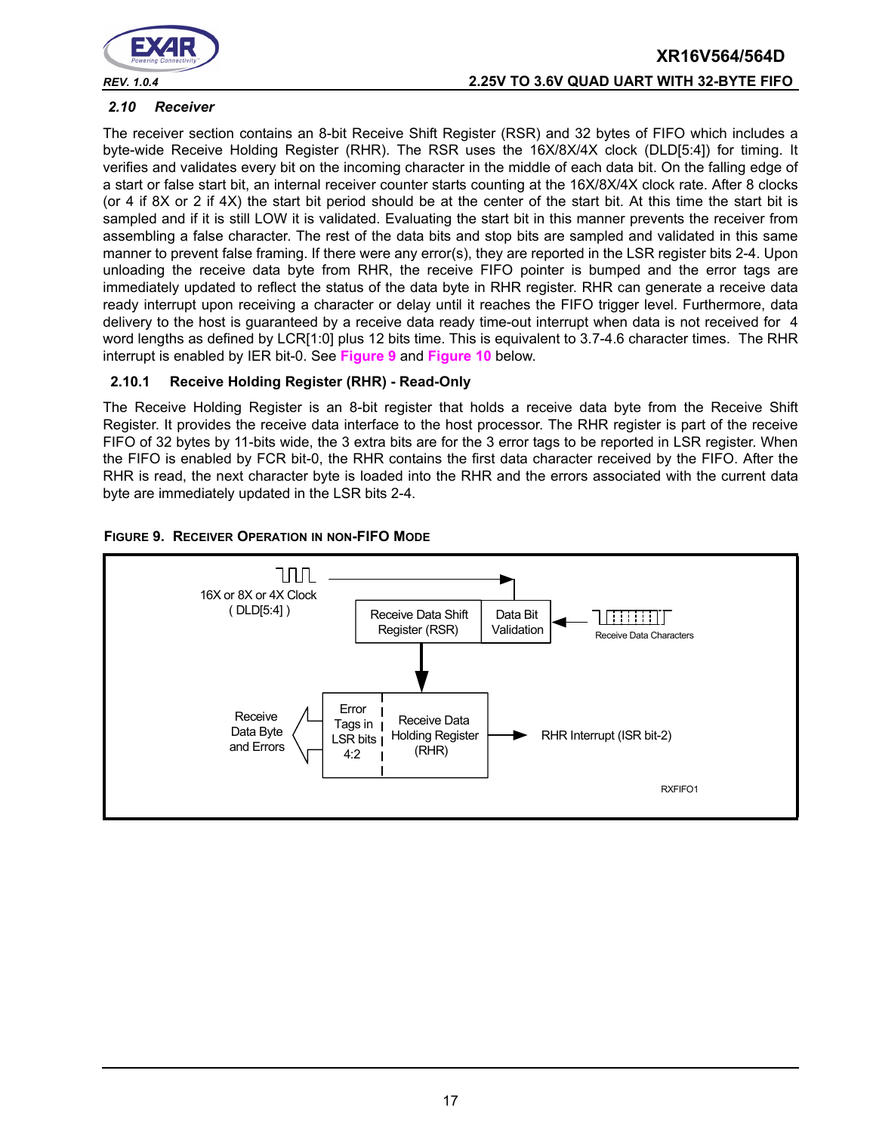

# **XR16V564/564D** *REV. 1.0.4* **2.25V TO 3.6V QUAD UART WITH 32-BYTE FIFO**

#### <span id="page-16-1"></span>*2.10 Receiver*

The receiver section contains an 8-bit Receive Shift Register (RSR) and 32 bytes of FIFO which includes a byte-wide Receive Holding Register (RHR). The RSR uses the 16X/8X/4X clock (DLD[5:4]) for timing. It verifies and validates every bit on the incoming character in the middle of each data bit. On the falling edge of a start or false start bit, an internal receiver counter starts counting at the 16X/8X/4X clock rate. After 8 clocks (or 4 if 8X or 2 if 4X) the start bit period should be at the center of the start bit. At this time the start bit is sampled and if it is still LOW it is validated. Evaluating the start bit in this manner prevents the receiver from assembling a false character. The rest of the data bits and stop bits are sampled and validated in this same manner to prevent false framing. If there were any error(s), they are reported in the LSR register bits 2-4. Upon unloading the receive data byte from RHR, the receive FIFO pointer is bumped and the error tags are immediately updated to reflect the status of the data byte in RHR register. RHR can generate a receive data ready interrupt upon receiving a character or delay until it reaches the FIFO trigger level. Furthermore, data delivery to the host is guaranteed by a receive data ready time-out interrupt when data is not received for 4 word lengths as defined by LCR[1:0] plus 12 bits time. This is equivalent to 3.7-4.6 character times. The RHR interrupt is enabled by IER bit-0. See **[Figure](#page-16-0) 9** and **[Figure](#page-17-0) 10** below.

### **2.10.1 Receive Holding Register (RHR) - Read-Only**

The Receive Holding Register is an 8-bit register that holds a receive data byte from the Receive Shift Register. It provides the receive data interface to the host processor. The RHR register is part of the receive FIFO of 32 bytes by 11-bits wide, the 3 extra bits are for the 3 error tags to be reported in LSR register. When the FIFO is enabled by FCR bit-0, the RHR contains the first data character received by the FIFO. After the RHR is read, the next character byte is loaded into the RHR and the errors associated with the current data byte are immediately updated in the LSR bits 2-4.

<span id="page-16-0"></span>

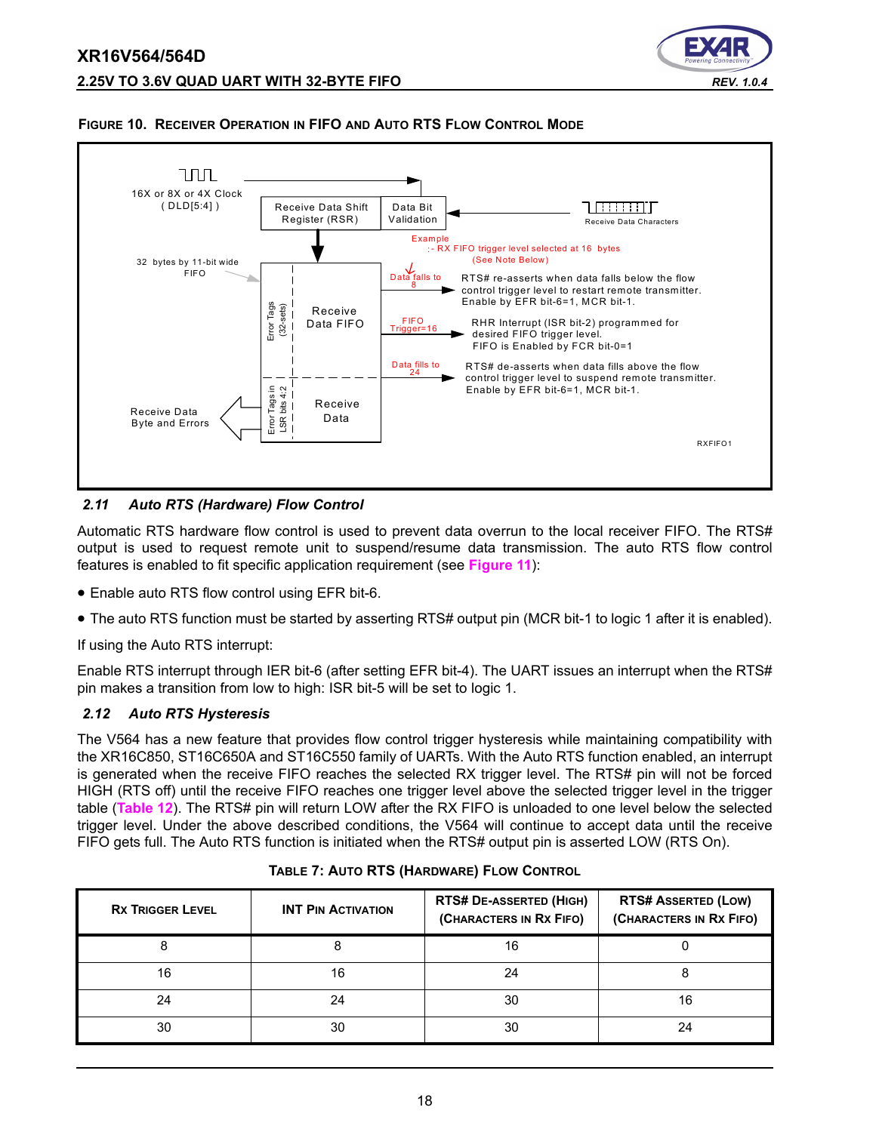



#### <span id="page-17-0"></span>**FIGURE 10. RECEIVER OPERATION IN FIFO AND AUTO RTS FLOW CONTROL MODE**

### *2.11 Auto RTS (Hardware) Flow Control*

Automatic RTS hardware flow control is used to prevent data overrun to the local receiver FIFO. The RTS# output is used to request remote unit to suspend/resume data transmission. The auto RTS flow control features is enabled to fit specific application requirement (see **[Figure](#page-18-0) 11**):

- Enable auto RTS flow control using EFR bit-6.
- The auto RTS function must be started by asserting RTS# output pin (MCR bit-1 to logic 1 after it is enabled).

If using the Auto RTS interrupt:

Enable RTS interrupt through IER bit-6 (after setting EFR bit-4). The UART issues an interrupt when the RTS# pin makes a transition from low to high: ISR bit-5 will be set to logic 1.

#### *2.12 Auto RTS Hysteresis*

The V564 has a new feature that provides flow control trigger hysteresis while maintaining compatibility with the XR16C850, ST16C650A and ST16C550 family of UARTs. With the Auto RTS function enabled, an interrupt is generated when the receive FIFO reaches the selected RX trigger level. The RTS# pin will not be forced HIGH (RTS off) until the receive FIFO reaches one trigger level above the selected trigger level in the trigger table (**[Table](#page-29-0) 12**). The RTS# pin will return LOW after the RX FIFO is unloaded to one level below the selected trigger level. Under the above described conditions, the V564 will continue to accept data until the receive FIFO gets full. The Auto RTS function is initiated when the RTS# output pin is asserted LOW (RTS On).

| <b>RX TRIGGER LEVEL</b> | <b>INT PIN ACTIVATION</b> | <b>RTS# DE-ASSERTED (HIGH)</b><br>(CHARACTERS IN RX FIFO) | <b>RTS# ASSERTED (LOW)</b><br>(CHARACTERS IN RX FIFO) |  |
|-------------------------|---------------------------|-----------------------------------------------------------|-------------------------------------------------------|--|
|                         |                           | 16                                                        |                                                       |  |
| 16                      | 16                        | 24                                                        |                                                       |  |
| 24                      | 24                        | 30                                                        |                                                       |  |
| 30                      | 30                        | 30                                                        |                                                       |  |

|  |  | TABLE 7: AUTO RTS (HARDWARE) FLOW CONTROL |  |
|--|--|-------------------------------------------|--|
|--|--|-------------------------------------------|--|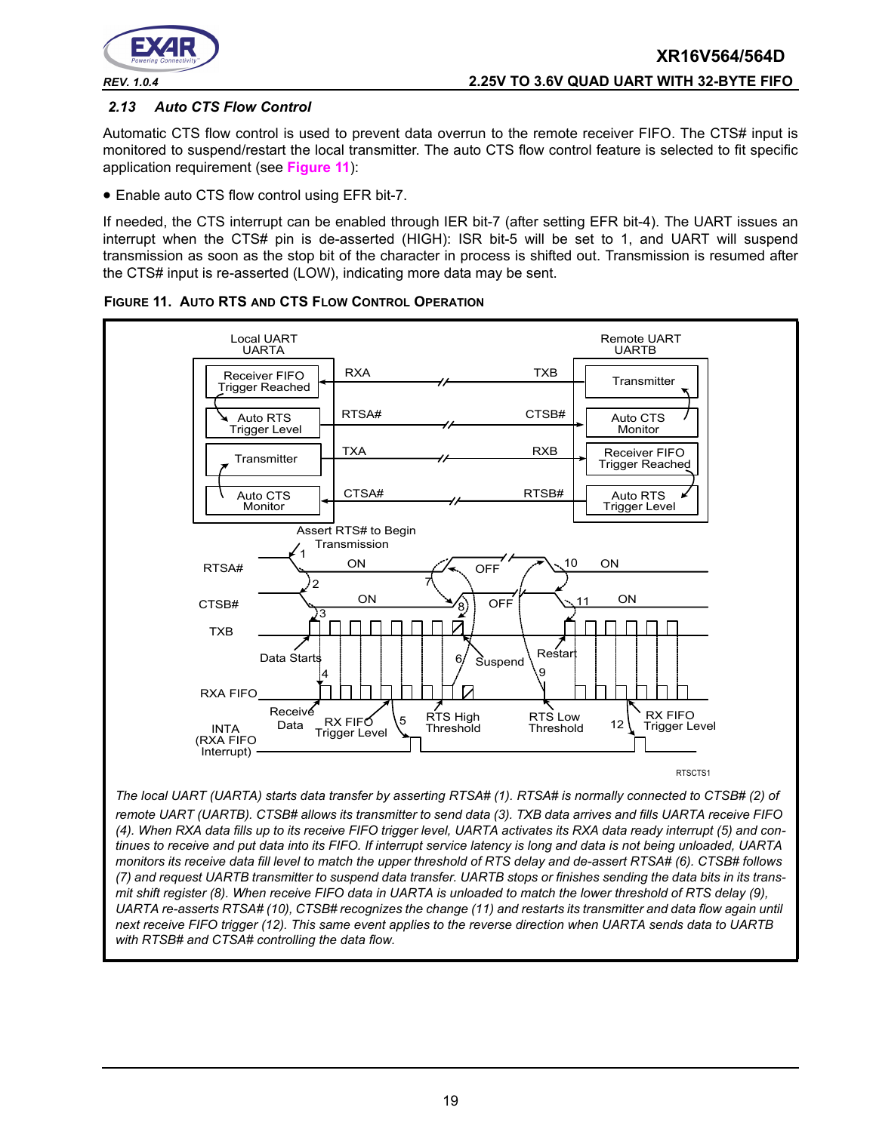

#### *2.13 Auto CTS Flow Control*

Automatic CTS flow control is used to prevent data overrun to the remote receiver FIFO. The CTS# input is monitored to suspend/restart the local transmitter. The auto CTS flow control feature is selected to fit specific application requirement (see **[Figure](#page-18-0) 11**):

• Enable auto CTS flow control using EFR bit-7.

If needed, the CTS interrupt can be enabled through IER bit-7 (after setting EFR bit-4). The UART issues an interrupt when the CTS# pin is de-asserted (HIGH): ISR bit-5 will be set to 1, and UART will suspend transmission as soon as the stop bit of the character in process is shifted out. Transmission is resumed after the CTS# input is re-asserted (LOW), indicating more data may be sent.



<span id="page-18-0"></span>**FIGURE 11. AUTO RTS AND CTS FLOW CONTROL OPERATION**

*The local UART (UARTA) starts data transfer by asserting RTSA# (1). RTSA# is normally connected to CTSB# (2) of remote UART (UARTB). CTSB# allows its transmitter to send data (3). TXB data arrives and fills UARTA receive FIFO (4). When RXA data fills up to its receive FIFO trigger level, UARTA activates its RXA data ready interrupt (5) and continues to receive and put data into its FIFO. If interrupt service latency is long and data is not being unloaded, UARTA monitors its receive data fill level to match the upper threshold of RTS delay and de-assert RTSA# (6). CTSB# follows (7) and request UARTB transmitter to suspend data transfer. UARTB stops or finishes sending the data bits in its transmit shift register (8). When receive FIFO data in UARTA is unloaded to match the lower threshold of RTS delay (9), UARTA re-asserts RTSA# (10), CTSB# recognizes the change (11) and restarts its transmitter and data flow again until next receive FIFO trigger (12). This same event applies to the reverse direction when UARTA sends data to UARTB with RTSB# and CTSA# controlling the data flow.*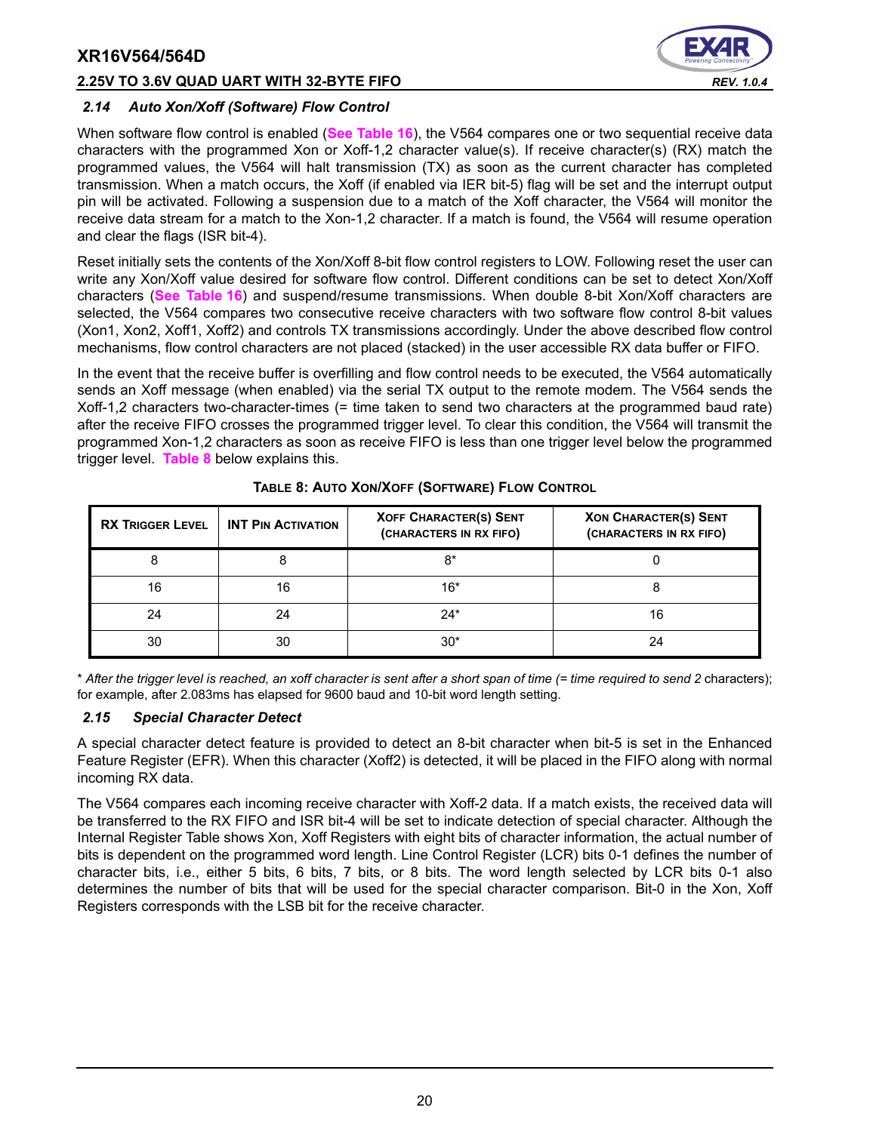#### **2.25V TO 3.6V QUAD UART WITH 32-BYTE FIFO** *REV. 1.0.4*



#### *2.14 Auto Xon/Xoff (Software) Flow Control*

When software flow control is enabled (**[See Table](#page-36-0) 16**), the V564 compares one or two sequential receive data characters with the programmed Xon or Xoff-1,2 character value(s). If receive character(s) (RX) match the programmed values, the V564 will halt transmission (TX) as soon as the current character has completed transmission. When a match occurs, the Xoff (if enabled via IER bit-5) flag will be set and the interrupt output pin will be activated. Following a suspension due to a match of the Xoff character, the V564 will monitor the receive data stream for a match to the Xon-1,2 character. If a match is found, the V564 will resume operation and clear the flags (ISR bit-4).

Reset initially sets the contents of the Xon/Xoff 8-bit flow control registers to LOW. Following reset the user can write any Xon/Xoff value desired for software flow control. Different conditions can be set to detect Xon/Xoff characters (**[See Table](#page-36-0) 16**) and suspend/resume transmissions. When double 8-bit Xon/Xoff characters are selected, the V564 compares two consecutive receive characters with two software flow control 8-bit values (Xon1, Xon2, Xoff1, Xoff2) and controls TX transmissions accordingly. Under the above described flow control mechanisms, flow control characters are not placed (stacked) in the user accessible RX data buffer or FIFO.

In the event that the receive buffer is overfilling and flow control needs to be executed, the V564 automatically sends an Xoff message (when enabled) via the serial TX output to the remote modem. The V564 sends the Xoff-1,2 characters two-character-times (= time taken to send two characters at the programmed baud rate) after the receive FIFO crosses the programmed trigger level. To clear this condition, the V564 will transmit the programmed Xon-1,2 characters as soon as receive FIFO is less than one trigger level below the programmed trigger level. **[Table](#page-19-0) 8** below explains this.

<span id="page-19-0"></span>

| <b>RX TRIGGER LEVEL</b> | <b>INT PIN ACTIVATION</b> | <b>XOFF CHARACTER(S) SENT</b><br>(CHARACTERS IN RX FIFO) | <b>XON CHARACTER(S) SENT</b><br>(CHARACTERS IN RX FIFO) |
|-------------------------|---------------------------|----------------------------------------------------------|---------------------------------------------------------|
|                         |                           | 8*                                                       |                                                         |
| 16                      | 16                        | $16*$                                                    |                                                         |
| 24                      | 24                        | $24*$                                                    |                                                         |
| 30                      | 30                        | $30*$                                                    | 24                                                      |

#### **TABLE 8: AUTO XON/XOFF (SOFTWARE) FLOW CONTROL**

\* *After the trigger level is reached, an xoff character is sent after a short span of time (= time required to send 2* characters); for example, after 2.083ms has elapsed for 9600 baud and 10-bit word length setting.

#### *2.15 Special Character Detect*

A special character detect feature is provided to detect an 8-bit character when bit-5 is set in the Enhanced Feature Register (EFR). When this character (Xoff2) is detected, it will be placed in the FIFO along with normal incoming RX data.

The V564 compares each incoming receive character with Xoff-2 data. If a match exists, the received data will be transferred to the RX FIFO and ISR bit-4 will be set to indicate detection of special character. Although the Internal Register Table shows Xon, Xoff Registers with eight bits of character information, the actual number of bits is dependent on the programmed word length. Line Control Register (LCR) bits 0-1 defines the number of character bits, i.e., either 5 bits, 6 bits, 7 bits, or 8 bits. The word length selected by LCR bits 0-1 also determines the number of bits that will be used for the special character comparison. Bit-0 in the Xon, Xoff Registers corresponds with the LSB bit for the receive character.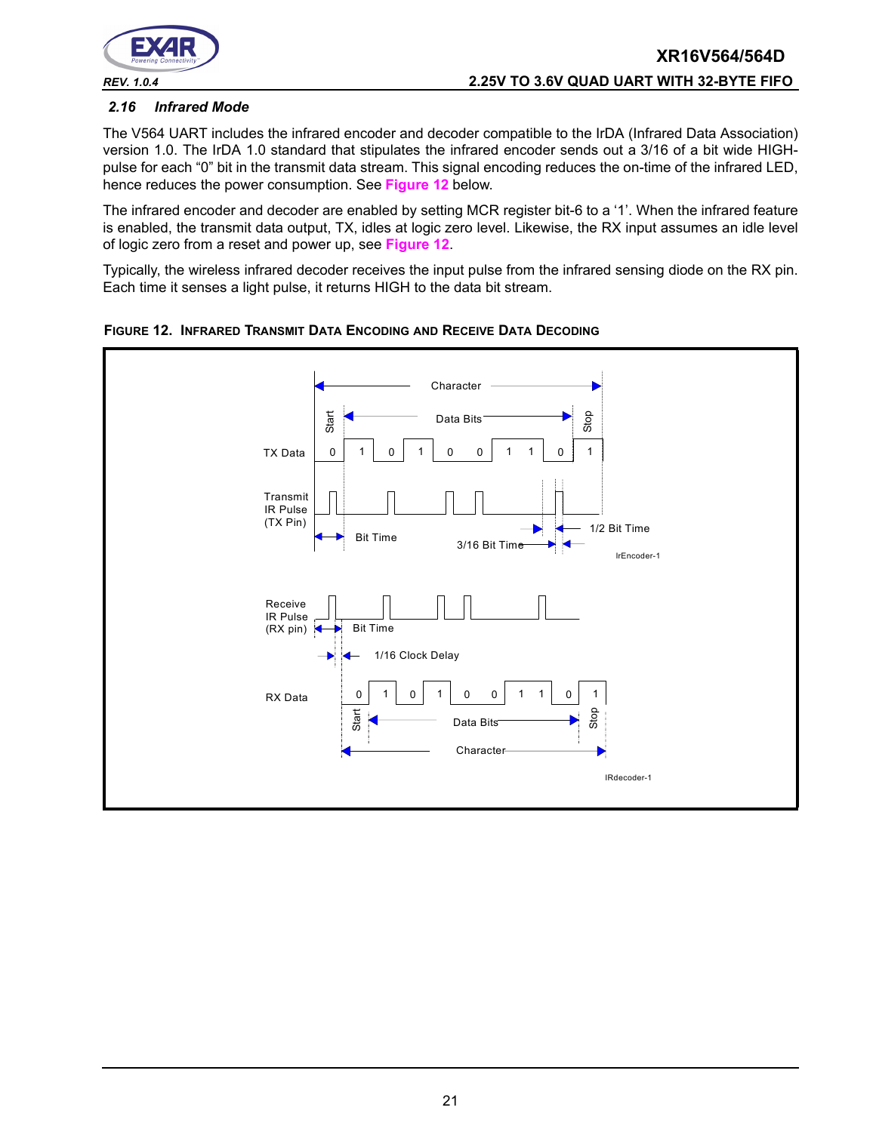

#### *2.16 Infrared Mode*

The V564 UART includes the infrared encoder and decoder compatible to the IrDA (Infrared Data Association) version 1.0. The IrDA 1.0 standard that stipulates the infrared encoder sends out a 3/16 of a bit wide HIGHpulse for each "0" bit in the transmit data stream. This signal encoding reduces the on-time of the infrared LED, hence reduces the power consumption. See **[Figure](#page-20-0) 12** below.

The infrared encoder and decoder are enabled by setting MCR register bit-6 to a '1'. When the infrared feature is enabled, the transmit data output, TX, idles at logic zero level. Likewise, the RX input assumes an idle level of logic zero from a reset and power up, see **[Figure](#page-20-0) 12**.

Typically, the wireless infrared decoder receives the input pulse from the infrared sensing diode on the RX pin. Each time it senses a light pulse, it returns HIGH to the data bit stream.



<span id="page-20-0"></span>**FIGURE 12. INFRARED TRANSMIT DATA ENCODING AND RECEIVE DATA DECODING**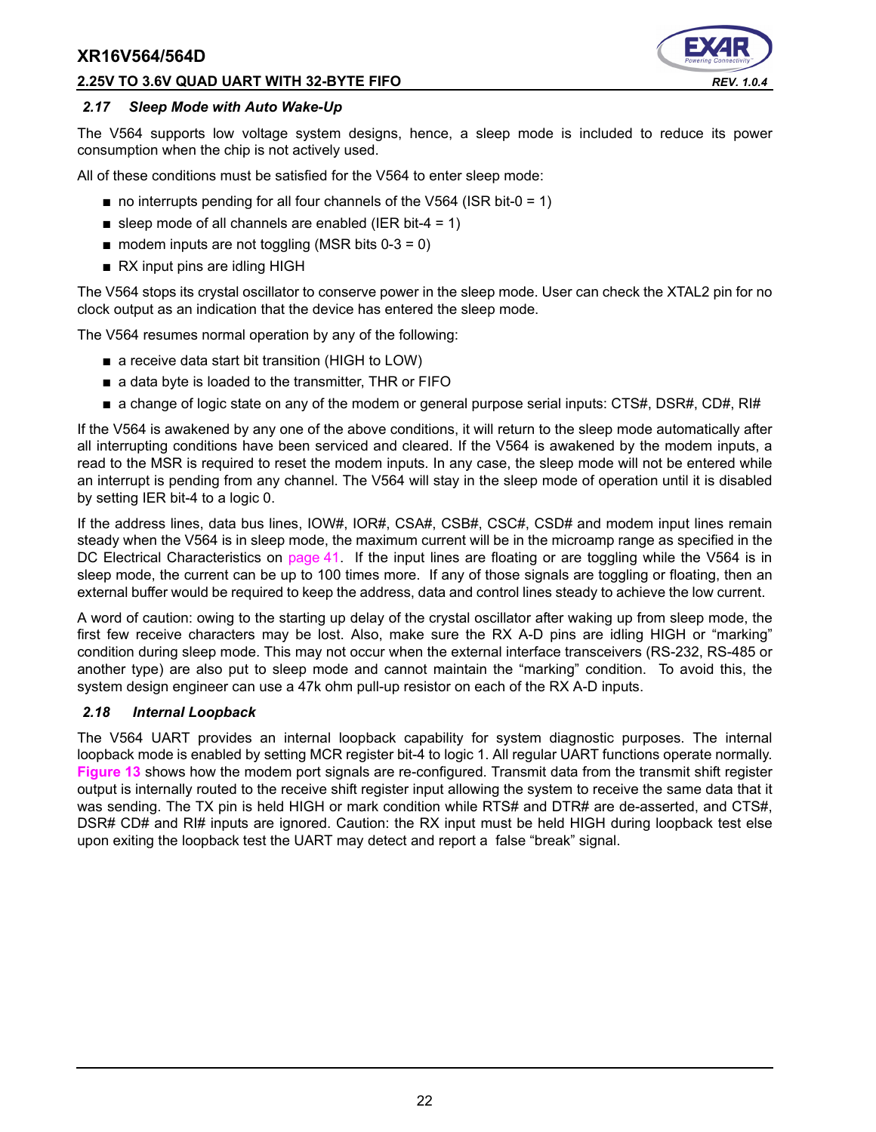#### **2.25V TO 3.6V QUAD UART WITH 32-BYTE FIFO** *REV. 1.0.4*



#### *2.17 Sleep Mode with Auto Wake-Up*

The V564 supports low voltage system designs, hence, a sleep mode is included to reduce its power consumption when the chip is not actively used.

All of these conditions must be satisfied for the V564 to enter sleep mode:

- $\blacksquare$  no interrupts pending for all four channels of the V564 (ISR bit-0 = 1)
- sleep mode of all channels are enabled (IER bit-4 = 1)
- $\blacksquare$  modem inputs are not toggling (MSR bits 0-3 = 0)
- RX input pins are idling HIGH

The V564 stops its crystal oscillator to conserve power in the sleep mode. User can check the XTAL2 pin for no clock output as an indication that the device has entered the sleep mode.

The V564 resumes normal operation by any of the following:

- a receive data start bit transition (HIGH to LOW)
- a data byte is loaded to the transmitter, THR or FIFO
- a change of logic state on any of the modem or general purpose serial inputs: CTS#, DSR#, CD#, RI#

If the V564 is awakened by any one of the above conditions, it will return to the sleep mode automatically after all interrupting conditions have been serviced and cleared. If the V564 is awakened by the modem inputs, a read to the MSR is required to reset the modem inputs. In any case, the sleep mode will not be entered while an interrupt is pending from any channel. The V564 will stay in the sleep mode of operation until it is disabled by setting IER bit-4 to a logic 0.

If the address lines, data bus lines, IOW#, IOR#, CSA#, CSB#, CSC#, CSD# and modem input lines remain steady when the V564 is in sleep mode, the maximum current will be in the microamp range as specified in the DC Electrical Characteristics on [page](#page-39-0) 41. If the input lines are floating or are toggling while the V564 is in sleep mode, the current can be up to 100 times more. If any of those signals are toggling or floating, then an external buffer would be required to keep the address, data and control lines steady to achieve the low current.

A word of caution: owing to the starting up delay of the crystal oscillator after waking up from sleep mode, the first few receive characters may be lost. Also, make sure the RX A-D pins are idling HIGH or "marking" condition during sleep mode. This may not occur when the external interface transceivers (RS-232, RS-485 or another type) are also put to sleep mode and cannot maintain the "marking" condition. To avoid this, the system design engineer can use a 47k ohm pull-up resistor on each of the RX A-D inputs.

#### *2.18 Internal Loopback*

The V564 UART provides an internal loopback capability for system diagnostic purposes. The internal loopback mode is enabled by setting MCR register bit-4 to logic 1. All regular UART functions operate normally. **[Figure](#page-22-0) 13** shows how the modem port signals are re-configured. Transmit data from the transmit shift register output is internally routed to the receive shift register input allowing the system to receive the same data that it was sending. The TX pin is held HIGH or mark condition while RTS# and DTR# are de-asserted, and CTS#, DSR# CD# and RI# inputs are ignored. Caution: the RX input must be held HIGH during loopback test else upon exiting the loopback test the UART may detect and report a false "break" signal.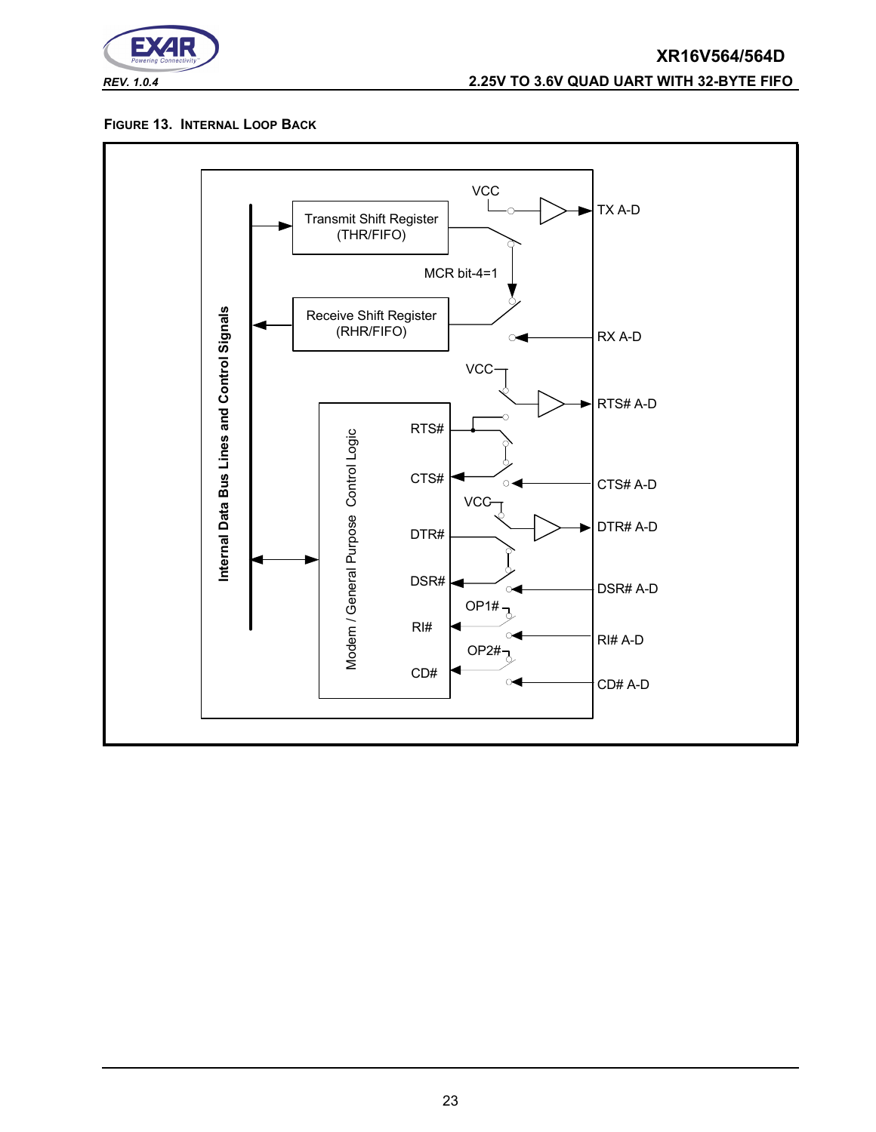

### <span id="page-22-0"></span>**FIGURE 13. INTERNAL LOOP BACK**

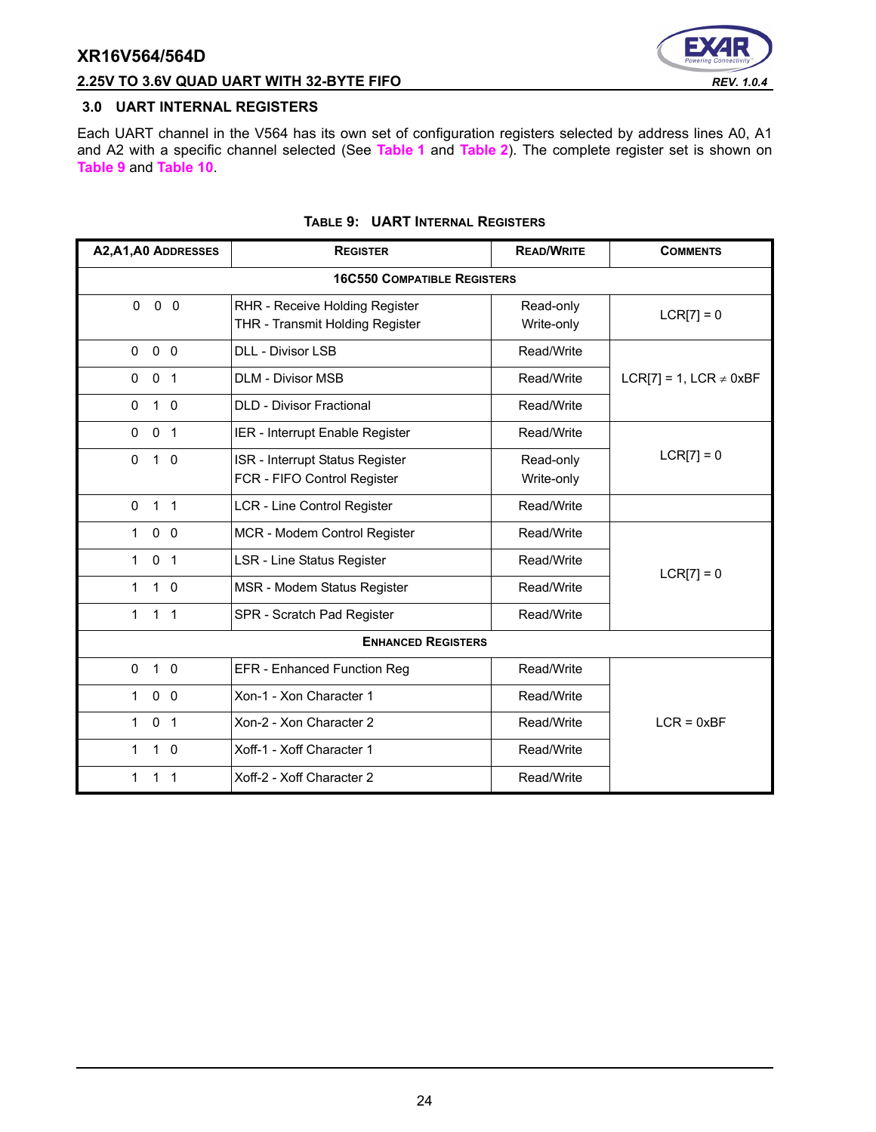

# **2.25V TO 3.6V QUAD UART WITH 32-BYTE FIFO** *REV. 1.0.4*

#### <span id="page-23-0"></span>**3.0 UART INTERNAL REGISTERS**

Each UART channel in the V564 has its own set of configuration registers selected by address lines A0, A1 and A2 with a specific channel selected (See **[Table](#page-10-0) 1** and **[Table](#page-10-1) 2**). The complete register set is shown on **[Table](#page-23-1) 9** and **[Table](#page-24-0) 10**.

<span id="page-23-1"></span>

| A2, A1, A0 ADDRESSES                           | <b>REGISTER</b>                                                   | <b>READ/WRITE</b>                       | <b>COMMENTS</b>             |  |  |  |  |  |  |
|------------------------------------------------|-------------------------------------------------------------------|-----------------------------------------|-----------------------------|--|--|--|--|--|--|
| <b>16C550 COMPATIBLE REGISTERS</b>             |                                                                   |                                         |                             |  |  |  |  |  |  |
| 0 <sub>0</sub><br>$\Omega$                     | RHR - Receive Holding Register<br>THR - Transmit Holding Register | $LCR[7] = 0$                            |                             |  |  |  |  |  |  |
| $0\quad 0$<br>$\mathbf{0}$                     | <b>DLL - Divisor LSB</b>                                          | Read/Write                              |                             |  |  |  |  |  |  |
| 0 <sub>1</sub><br>$\mathbf{0}$                 | <b>DLM - Divisor MSB</b>                                          | Read/Write                              | LCR[7] = 1, LCR $\neq$ 0xBF |  |  |  |  |  |  |
| $\mathbf{0}$<br>$1\quad$ 0                     | <b>DLD - Divisor Fractional</b>                                   |                                         |                             |  |  |  |  |  |  |
| 0 <sub>1</sub><br>$\mathbf{0}$                 | IER - Interrupt Enable Register                                   | Read/Write                              |                             |  |  |  |  |  |  |
| $\Omega$<br>$1\quad 0$                         | ISR - Interrupt Status Register<br>FCR - FIFO Control Register    | $LCR[7] = 0$<br>Read-only<br>Write-only |                             |  |  |  |  |  |  |
| 1 <sub>1</sub><br>$\mathbf{0}$                 | LCR - Line Control Register                                       | Read/Write                              |                             |  |  |  |  |  |  |
| 0 <sub>0</sub><br>1                            | MCR - Modem Control Register                                      | Read/Write                              |                             |  |  |  |  |  |  |
| 0 <sub>1</sub><br>$\mathbf{1}$                 | LSR - Line Status Register                                        | Read/Write                              | $LCR[7] = 0$                |  |  |  |  |  |  |
| $\mathbf{1}$<br>$1\quad$ 0                     | MSR - Modem Status Register                                       | Read/Write                              |                             |  |  |  |  |  |  |
| 1 <sub>1</sub><br>$\mathbf{1}$                 | SPR - Scratch Pad Register                                        | Read/Write                              |                             |  |  |  |  |  |  |
|                                                | <b>ENHANCED REGISTERS</b>                                         |                                         |                             |  |  |  |  |  |  |
| $\mathbf 0$<br>$1\quad0$                       | EFR - Enhanced Function Reg                                       | Read/Write                              |                             |  |  |  |  |  |  |
| 0 <sub>0</sub><br>1                            | Xon-1 - Xon Character 1                                           | Read/Write                              |                             |  |  |  |  |  |  |
| $\mathbf{1}$<br>$\mathbf{0}$<br>$\overline{1}$ | Xon-2 - Xon Character 2                                           | Read/Write                              | $LCR = 0xBF$                |  |  |  |  |  |  |
| $\mathbf{1}$<br>$1\quad0$                      | Xoff-1 - Xoff Character 1                                         | Read/Write                              |                             |  |  |  |  |  |  |
| 1<br>$\mathbf{1}$<br>$\overline{1}$            | Xoff-2 - Xoff Character 2                                         | Read/Write                              |                             |  |  |  |  |  |  |

#### **TABLE 9: UART INTERNAL REGISTERS**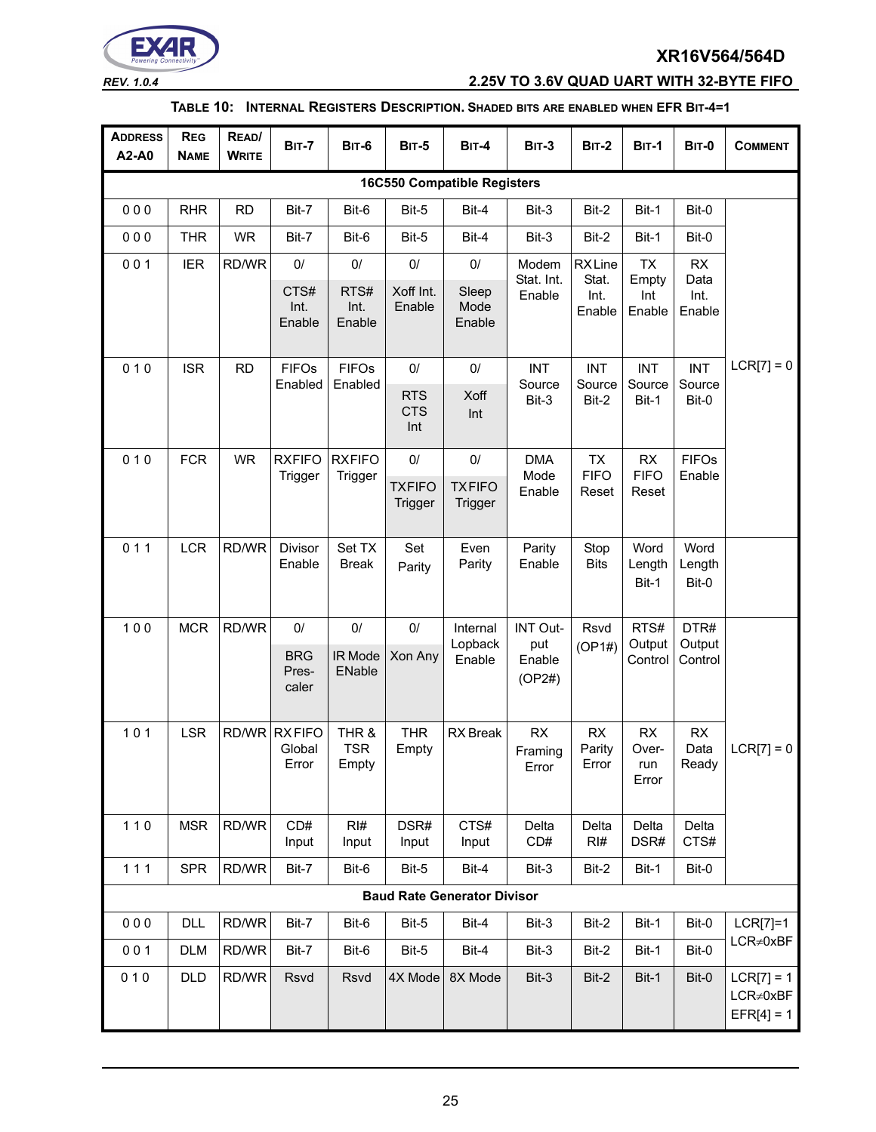

*REV. 1.0.4* **2.25V TO 3.6V QUAD UART WITH 32-BYTE FIFO**

### **TABLE 10: INTERNAL REGISTERS DESCRIPTION. SHADED BITS ARE ENABLED WHEN EFR BIT-4=1**

<span id="page-24-0"></span>

| <b>ADDRESS</b><br>A2-A0 | <b>REG</b><br><b>NAME</b> | READ/<br><b>WRITE</b> | <b>BIT-7</b>                     | <b>BIT-6</b>                 | <b>BIT-5</b>                    | <b>BIT-4</b>                       | <b>BIT-3</b>            | <b>BIT-2</b>            | <b>BIT-1</b>                | <b>BIT-0</b>           | <b>COMMENT</b>                                  |
|-------------------------|---------------------------|-----------------------|----------------------------------|------------------------------|---------------------------------|------------------------------------|-------------------------|-------------------------|-----------------------------|------------------------|-------------------------------------------------|
|                         |                           |                       |                                  |                              |                                 | <b>16C550 Compatible Registers</b> |                         |                         |                             |                        |                                                 |
| 000                     | <b>RHR</b>                | <b>RD</b>             | Bit-7                            | Bit-6                        | Bit-5                           | Bit-4                              | Bit-3                   | Bit-2                   | Bit-1                       | Bit-0                  |                                                 |
| 000                     | <b>THR</b>                | <b>WR</b>             | Bit-7                            | Bit-6                        | Bit-5                           | Bit-4                              | Bit-3                   | Bit-2                   | Bit-1                       | Bit-0                  |                                                 |
| 001                     | <b>IER</b>                | RD/WR                 | 0/                               | $0/$                         | $0/$                            | $0/$                               | Modem                   | <b>RXLine</b>           | <b>TX</b>                   | RX                     |                                                 |
|                         |                           |                       | CTS#<br>Int.<br>Enable           | RTS#<br>Int.<br>Enable       | Xoff Int.<br>Enable             | Sleep<br>Mode<br>Enable            | Stat. Int.<br>Enable    | Stat.<br>Int.<br>Enable | Empty<br>Int<br>Enable      | Data<br>Int.<br>Enable |                                                 |
| 010                     | <b>ISR</b>                | <b>RD</b>             | <b>FIFOs</b>                     | <b>FIFOs</b>                 | $0/$                            | $0/$                               | INT                     | <b>INT</b>              | <b>INT</b>                  | <b>INT</b>             | $LCR[7] = 0$                                    |
|                         |                           |                       | Enabled                          | Enabled                      | <b>RTS</b><br><b>CTS</b><br>Int | Xoff<br>Int                        | Source<br>Bit-3         | Source<br>Bit-2         | Source<br>Bit-1             | Source<br>Bit-0        |                                                 |
| 010                     | <b>FCR</b>                | <b>WR</b>             | <b>RXFIFO</b>                    | <b>RXFIFO</b>                | $0/$                            | $0/$                               | <b>DMA</b>              | TX                      | RX                          | <b>FIFOs</b>           |                                                 |
|                         |                           |                       | Trigger                          | Trigger                      | <b>TXFIFO</b><br>Trigger        | <b>TXFIFO</b><br>Trigger           | Mode<br>Enable          | <b>FIFO</b><br>Reset    | <b>FIFO</b><br>Reset        | Enable                 |                                                 |
| 011                     | <b>LCR</b>                | RD/WR                 | Divisor<br>Enable                | Set TX                       | Set                             | Even                               | Parity                  | Stop                    | Word                        | Word                   |                                                 |
|                         |                           |                       |                                  | Break                        | Parity                          | Parity                             | Enable                  | <b>Bits</b>             | Length<br>Bit-1             | Length<br>Bit-0        |                                                 |
| 100                     | <b>MCR</b>                | RD/WR                 | 0/                               | $0/$                         | $0/$                            | Internal                           | INT Out-                | Rsvd                    | RTS#                        | DTR#                   |                                                 |
|                         |                           |                       | <b>BRG</b><br>Pres-<br>caler     | IR Mode<br>ENable            | Xon Any                         | Lopback<br>Enable                  | put<br>Enable<br>(OP2#) | (OP1#)                  | Output<br>Control           | Output<br>Control      |                                                 |
| 101                     | <b>LSR</b>                | RD/WR                 | <b>RXFIFO</b><br>Global<br>Error | THR &<br><b>TSR</b><br>Empty | <b>THR</b><br>Empty             | <b>RX</b> Break                    | RX<br>Framing<br>Error  | RX<br>Parity<br>Error   | RX<br>Over-<br>run<br>Error | RX<br>Data<br>Ready    | $LCR[7] = 0$                                    |
| $110$                   | <b>MSR</b>                | RD/WR                 | CD#<br>Input                     | $R$ <sup>#</sup><br>Input    | DSR#<br>Input                   | CTS#<br>Input                      | Delta<br>CD#            | Delta<br>RI#            | Delta<br>DSR#               | Delta<br>CTS#          |                                                 |
| 111                     | <b>SPR</b>                | RD/WR                 | Bit-7                            | Bit-6                        | Bit-5                           | Bit-4                              | Bit-3                   | Bit-2                   | Bit-1                       | Bit-0                  |                                                 |
|                         |                           |                       |                                  |                              |                                 | <b>Baud Rate Generator Divisor</b> |                         |                         |                             |                        |                                                 |
| 000                     | <b>DLL</b>                | RD/WR                 | Bit-7                            | Bit-6                        | Bit-5                           | Bit-4                              | Bit-3                   | Bit-2                   | Bit-1                       | Bit-0                  | $LCR[7]=1$                                      |
| 001                     | <b>DLM</b>                | RD/WR                 | Bit-7                            | Bit-6                        | Bit-5                           | Bit-4                              | Bit-3                   | Bit-2                   | Bit-1                       | Bit-0                  | LCR≠0xBF                                        |
| 010                     | <b>DLD</b>                | RD/WR                 | Rsvd                             | Rsvd                         | 4X Mode                         | 8X Mode                            | Bit-3                   | Bit-2                   | Bit-1                       | Bit-0                  | $LCR[7] = 1$<br>$LCR \neq 0xBF$<br>$EFR[4] = 1$ |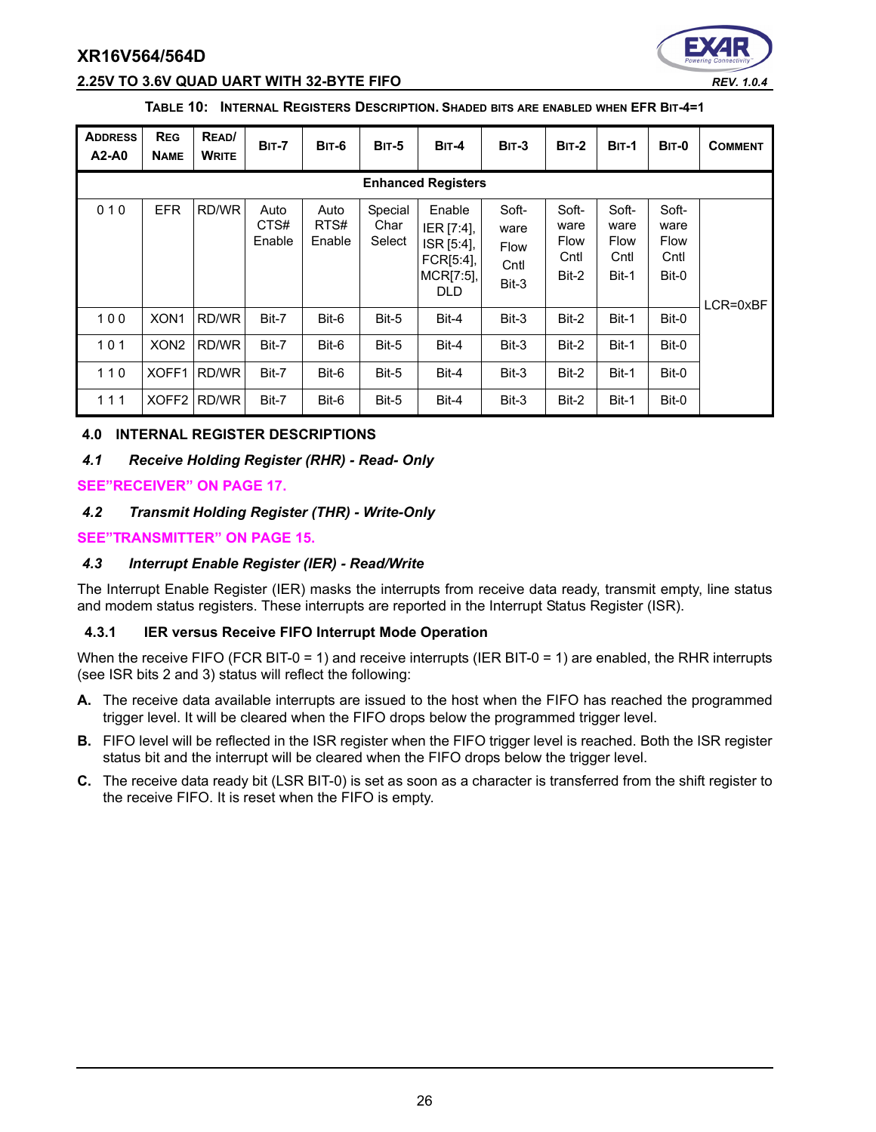

#### **2.25V TO 3.6V QUAD UART WITH 32-BYTE FIFO** *REV. 1.0.4*

**TABLE 10: INTERNAL REGISTERS DESCRIPTION. SHADED BITS ARE ENABLED WHEN EFR BIT-4=1**

| <b>ADDRESS</b><br>A2-A0 | <b>REG</b><br><b>NAME</b> | READ/<br><b>WRITE</b> | <b>BIT-7</b>           | <b>BIT-6</b>           | <b>BIT-5</b>              | <b>BIT-4</b>                                                         | $BIT-3$                                       | <b>BIT-2</b>                                  | <b>BIT-1</b>                                  | <b>BIT-0</b>                                  | <b>COMMENT</b>      |
|-------------------------|---------------------------|-----------------------|------------------------|------------------------|---------------------------|----------------------------------------------------------------------|-----------------------------------------------|-----------------------------------------------|-----------------------------------------------|-----------------------------------------------|---------------------|
|                         | <b>Enhanced Registers</b> |                       |                        |                        |                           |                                                                      |                                               |                                               |                                               |                                               |                     |
| 010                     | <b>EFR</b>                | RD/WR                 | Auto<br>CTS#<br>Enable | Auto<br>RTS#<br>Enable | Special<br>Char<br>Select | Enable<br>IER [7:4],<br>ISR [5:4],<br>FCR[5:4],<br>MCR[7:5],<br>DLD. | Soft-<br>ware<br><b>Flow</b><br>Cntl<br>Bit-3 | Soft-<br>ware<br><b>Flow</b><br>Cntl<br>Bit-2 | Soft-<br>ware<br><b>Flow</b><br>Cntl<br>Bit-1 | Soft-<br>ware<br><b>Flow</b><br>Cntl<br>Bit-0 | $LCR = 0 \times BF$ |
| 100                     | XON <sub>1</sub>          | RD/WR                 | Bit-7                  | Bit-6                  | Bit-5                     | Bit-4                                                                | Bit-3                                         | Bit-2                                         | Bit-1                                         | Bit-0                                         |                     |
| 101                     | XON <sub>2</sub>          | RD/WR                 | Bit-7                  | Bit-6                  | Bit-5                     | Bit-4                                                                | Bit-3                                         | Bit-2                                         | Bit-1                                         | Bit-0                                         |                     |
| 110                     | XOFF1                     | RD/WR                 | Bit-7                  | Bit-6                  | Bit-5                     | Bit-4                                                                | Bit-3                                         | Bit-2                                         | Bit-1                                         | Bit-0                                         |                     |
| 111                     | XOFF <sub>2</sub>         | RD/WR                 | Bit-7                  | Bit-6                  | Bit-5                     | Bit-4                                                                | Bit-3                                         | Bit-2                                         | Bit-1                                         | Bit-0                                         |                     |

#### **4.0 INTERNAL REGISTER DESCRIPTIONS**

#### *4.1 Receive Holding Register (RHR) - Read- Only*

#### **[SEE"RECEIVER" ON PAGE](#page-16-1) 17.**

#### *4.2 Transmit Holding Register (THR) - Write-Only*

#### **[SEE"TRANSMITTER" ON PAGE](#page-14-1) 15.**

#### *4.3 Interrupt Enable Register (IER) - Read/Write*

The Interrupt Enable Register (IER) masks the interrupts from receive data ready, transmit empty, line status and modem status registers. These interrupts are reported in the Interrupt Status Register (ISR).

#### **4.3.1 IER versus Receive FIFO Interrupt Mode Operation**

When the receive FIFO (FCR BIT-0 = 1) and receive interrupts (IER BIT-0 = 1) are enabled, the RHR interrupts (see ISR bits 2 and 3) status will reflect the following:

- **A.** The receive data available interrupts are issued to the host when the FIFO has reached the programmed trigger level. It will be cleared when the FIFO drops below the programmed trigger level.
- **B.** FIFO level will be reflected in the ISR register when the FIFO trigger level is reached. Both the ISR register status bit and the interrupt will be cleared when the FIFO drops below the trigger level.
- **C.** The receive data ready bit (LSR BIT-0) is set as soon as a character is transferred from the shift register to the receive FIFO. It is reset when the FIFO is empty.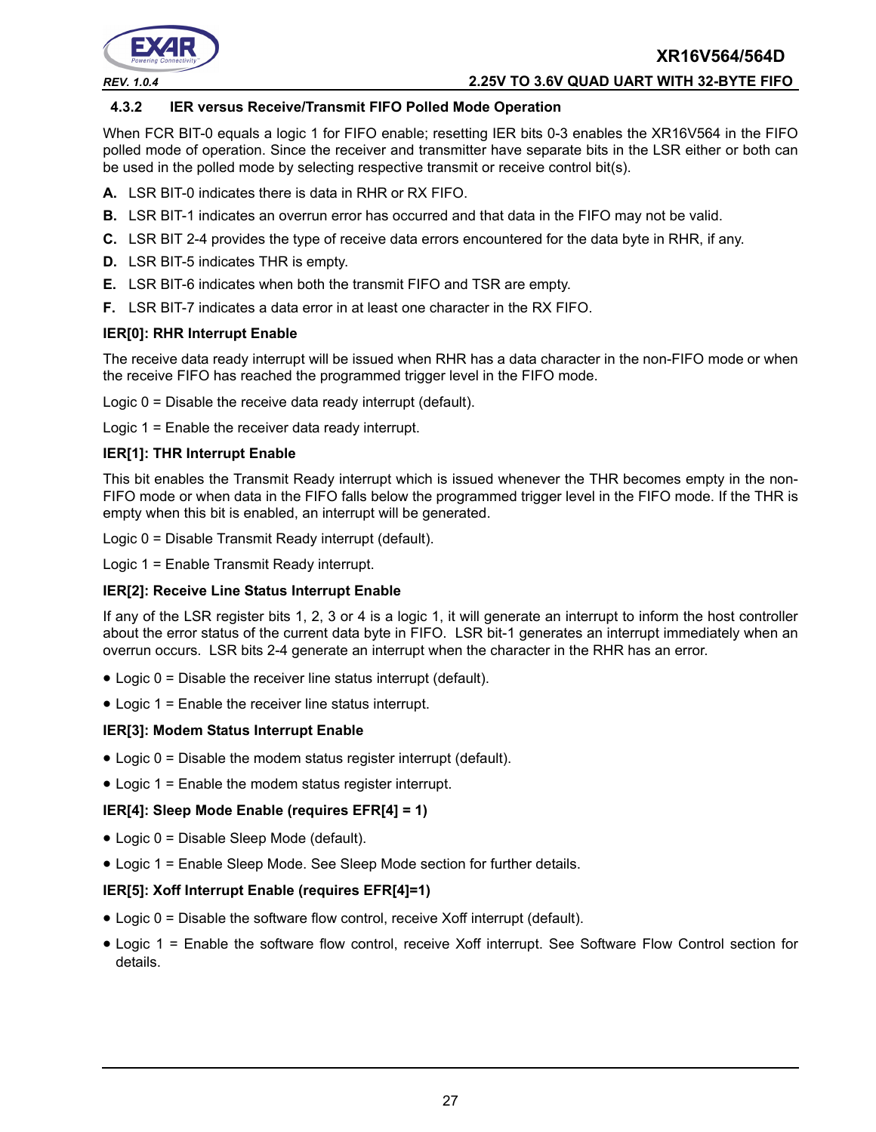#### *REV. 1.0.4* **2.25V TO 3.6V QUAD UART WITH 32-BYTE FIFO**

#### **4.3.2 IER versus Receive/Transmit FIFO Polled Mode Operation**

When FCR BIT-0 equals a logic 1 for FIFO enable; resetting IER bits 0-3 enables the XR16V564 in the FIFO polled mode of operation. Since the receiver and transmitter have separate bits in the LSR either or both can be used in the polled mode by selecting respective transmit or receive control bit(s).

- **A.** LSR BIT-0 indicates there is data in RHR or RX FIFO.
- **B.** LSR BIT-1 indicates an overrun error has occurred and that data in the FIFO may not be valid.
- **C.** LSR BIT 2-4 provides the type of receive data errors encountered for the data byte in RHR, if any.
- **D.** LSR BIT-5 indicates THR is empty.
- **E.** LSR BIT-6 indicates when both the transmit FIFO and TSR are empty.
- **F.** LSR BIT-7 indicates a data error in at least one character in the RX FIFO.

#### **IER[0]: RHR Interrupt Enable**

The receive data ready interrupt will be issued when RHR has a data character in the non-FIFO mode or when the receive FIFO has reached the programmed trigger level in the FIFO mode.

Logic 0 = Disable the receive data ready interrupt (default).

Logic 1 = Enable the receiver data ready interrupt.

#### **IER[1]: THR Interrupt Enable**

This bit enables the Transmit Ready interrupt which is issued whenever the THR becomes empty in the non-FIFO mode or when data in the FIFO falls below the programmed trigger level in the FIFO mode. If the THR is empty when this bit is enabled, an interrupt will be generated.

Logic 0 = Disable Transmit Ready interrupt (default).

Logic 1 = Enable Transmit Ready interrupt.

#### **IER[2]: Receive Line Status Interrupt Enable**

If any of the LSR register bits 1, 2, 3 or 4 is a logic 1, it will generate an interrupt to inform the host controller about the error status of the current data byte in FIFO. LSR bit-1 generates an interrupt immediately when an overrun occurs. LSR bits 2-4 generate an interrupt when the character in the RHR has an error.

- Logic 0 = Disable the receiver line status interrupt (default).
- Logic 1 = Enable the receiver line status interrupt.

#### **IER[3]: Modem Status Interrupt Enable**

- Logic 0 = Disable the modem status register interrupt (default).
- Logic 1 = Enable the modem status register interrupt.

#### **IER[4]: Sleep Mode Enable (requires EFR[4] = 1)**

- Logic 0 = Disable Sleep Mode (default).
- Logic 1 = Enable Sleep Mode. See Sleep Mode section for further details.

#### **IER[5]: Xoff Interrupt Enable (requires EFR[4]=1)**

- Logic 0 = Disable the software flow control, receive Xoff interrupt (default).
- Logic 1 = Enable the software flow control, receive Xoff interrupt. See Software Flow Control section for details.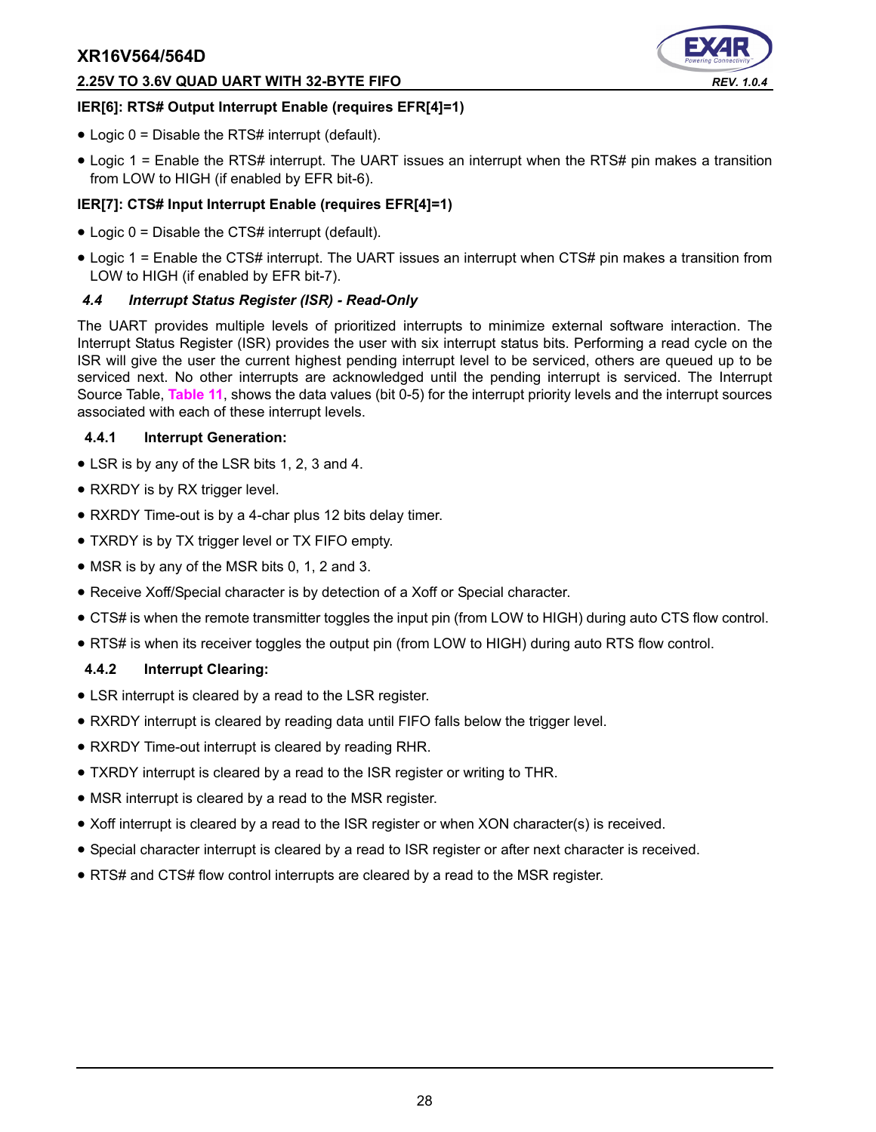### **2.25V TO 3.6V QUAD UART WITH 32-BYTE FIFO** *REV. 1.0.4*



### **IER[6]: RTS# Output Interrupt Enable (requires EFR[4]=1)**

- Logic 0 = Disable the RTS# interrupt (default).
- Logic 1 = Enable the RTS# interrupt. The UART issues an interrupt when the RTS# pin makes a transition from LOW to HIGH (if enabled by EFR bit-6).

## **IER[7]: CTS# Input Interrupt Enable (requires EFR[4]=1)**

- Logic 0 = Disable the CTS# interrupt (default).
- Logic 1 = Enable the CTS# interrupt. The UART issues an interrupt when CTS# pin makes a transition from LOW to HIGH (if enabled by EFR bit-7).

## *4.4 Interrupt Status Register (ISR) - Read-Only*

The UART provides multiple levels of prioritized interrupts to minimize external software interaction. The Interrupt Status Register (ISR) provides the user with six interrupt status bits. Performing a read cycle on the ISR will give the user the current highest pending interrupt level to be serviced, others are queued up to be serviced next. No other interrupts are acknowledged until the pending interrupt is serviced. The Interrupt Source Table, **[Table](#page-28-0) 11**, shows the data values (bit 0-5) for the interrupt priority levels and the interrupt sources associated with each of these interrupt levels.

### **4.4.1 Interrupt Generation:**

- LSR is by any of the LSR bits 1, 2, 3 and 4.
- RXRDY is by RX trigger level.
- RXRDY Time-out is by a 4-char plus 12 bits delay timer.
- TXRDY is by TX trigger level or TX FIFO empty.
- MSR is by any of the MSR bits 0, 1, 2 and 3.
- Receive Xoff/Special character is by detection of a Xoff or Special character.
- CTS# is when the remote transmitter toggles the input pin (from LOW to HIGH) during auto CTS flow control.
- RTS# is when its receiver toggles the output pin (from LOW to HIGH) during auto RTS flow control.

## **4.4.2 Interrupt Clearing:**

- LSR interrupt is cleared by a read to the LSR register.
- RXRDY interrupt is cleared by reading data until FIFO falls below the trigger level.
- RXRDY Time-out interrupt is cleared by reading RHR.
- TXRDY interrupt is cleared by a read to the ISR register or writing to THR.
- MSR interrupt is cleared by a read to the MSR register.
- Xoff interrupt is cleared by a read to the ISR register or when XON character(s) is received.
- Special character interrupt is cleared by a read to ISR register or after next character is received.
- RTS# and CTS# flow control interrupts are cleared by a read to the MSR register.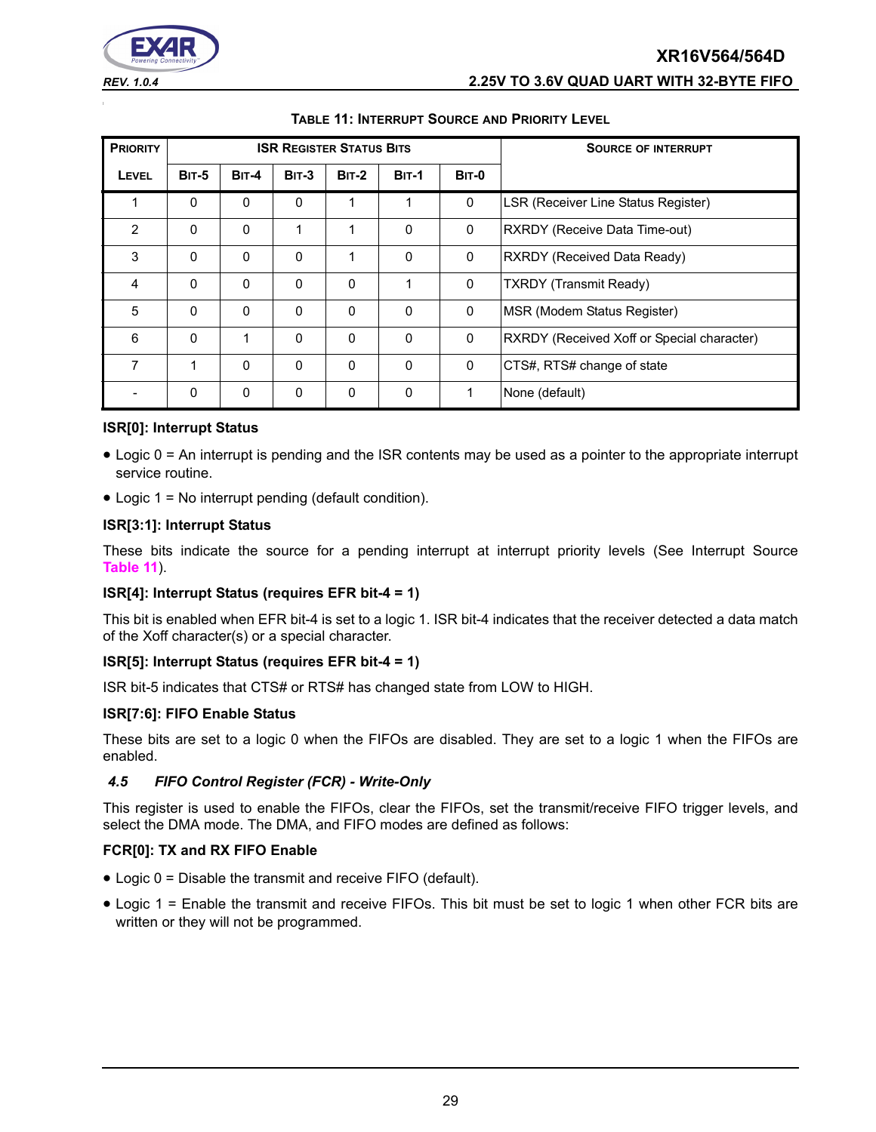| <b>REV. 1.0.4</b> | 2.25V TO 3.6V QUAD UART WITH 32-BYTE FIFO |
|-------------------|-------------------------------------------|

<span id="page-28-0"></span>

| <b>PRIORITY</b> |              |              |         | <b>ISR REGISTER STATUS BITS</b> |              | <b>SOURCE OF INTERRUPT</b> |                                            |
|-----------------|--------------|--------------|---------|---------------------------------|--------------|----------------------------|--------------------------------------------|
| LEVEL           | <b>BIT-5</b> | <b>BIT-4</b> | $BIT-3$ | <b>BIT-2</b>                    | <b>BIT-1</b> | <b>BIT-0</b>               |                                            |
| 1               | $\Omega$     | $\mathbf 0$  | 0       | 1                               |              | 0                          | LSR (Receiver Line Status Register)        |
| $\overline{2}$  | $\Omega$     | $\mathbf 0$  | 1       | 1                               | $\Omega$     | $\mathbf{0}$               | RXRDY (Receive Data Time-out)              |
| 3               | $\Omega$     | $\mathbf 0$  | 0       | 1                               | $\mathbf{0}$ | 0                          | RXRDY (Received Data Ready)                |
| 4               | $\Omega$     | $\mathbf 0$  | 0       | $\Omega$                        | 1            | 0                          | <b>TXRDY</b> (Transmit Ready)              |
| 5               | $\Omega$     | $\mathbf 0$  | 0       | $\Omega$                        | $\Omega$     | $\mathbf{0}$               | MSR (Modem Status Register)                |
| 6               | $\mathbf{0}$ | 1            | 0       | $\Omega$                        | $\Omega$     | $\mathbf{0}$               | RXRDY (Received Xoff or Special character) |
| 7               |              | 0            | 0       | $\mathbf 0$                     | $\Omega$     | 0                          | CTS#, RTS# change of state                 |
|                 | $\mathbf{0}$ | 0            | 0       | $\Omega$                        | $\Omega$     | 1                          | None (default)                             |

#### **ISR[0]: Interrupt Status**

- Logic 0 = An interrupt is pending and the ISR contents may be used as a pointer to the appropriate interrupt service routine.
- Logic 1 = No interrupt pending (default condition).

#### **ISR[3:1]: Interrupt Status**

These bits indicate the source for a pending interrupt at interrupt priority levels (See Interrupt Source **[Table](#page-28-0) 11**).

#### **ISR[4]: Interrupt Status (requires EFR bit-4 = 1)**

This bit is enabled when EFR bit-4 is set to a logic 1. ISR bit-4 indicates that the receiver detected a data match of the Xoff character(s) or a special character.

#### **ISR[5]: Interrupt Status (requires EFR bit-4 = 1)**

ISR bit-5 indicates that CTS# or RTS# has changed state from LOW to HIGH.

#### **ISR[7:6]: FIFO Enable Status**

These bits are set to a logic 0 when the FIFOs are disabled. They are set to a logic 1 when the FIFOs are enabled.

#### *4.5 FIFO Control Register (FCR) - Write-Only*

This register is used to enable the FIFOs, clear the FIFOs, set the transmit/receive FIFO trigger levels, and select the DMA mode. The DMA, and FIFO modes are defined as follows:

#### **FCR[0]: TX and RX FIFO Enable**

- Logic 0 = Disable the transmit and receive FIFO (default).
- Logic 1 = Enable the transmit and receive FIFOs. This bit must be set to logic 1 when other FCR bits are written or they will not be programmed.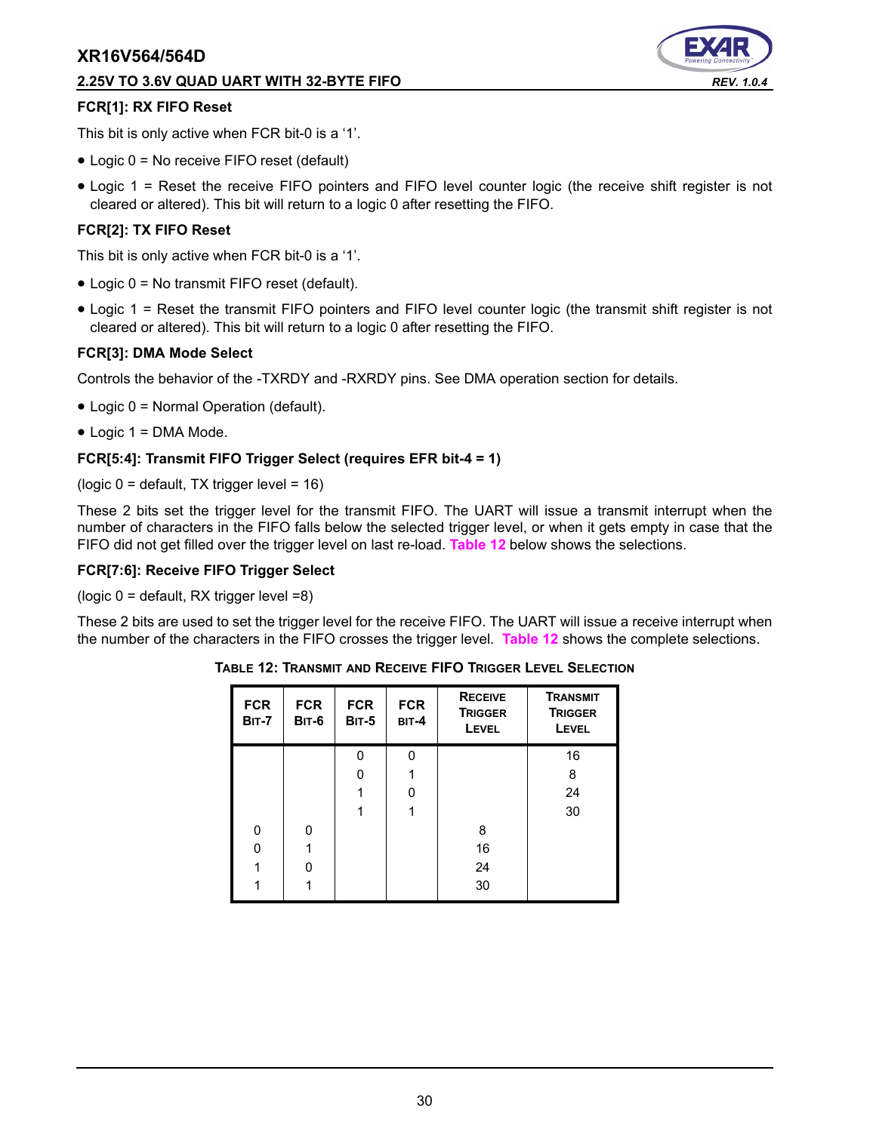#### **2.25V TO 3.6V QUAD UART WITH 32-BYTE FIFO** *REV. 1.0.4*



#### **FCR[1]: RX FIFO Reset**

This bit is only active when FCR bit-0 is a '1'.

- Logic 0 = No receive FIFO reset (default)
- Logic 1 = Reset the receive FIFO pointers and FIFO level counter logic (the receive shift register is not cleared or altered). This bit will return to a logic 0 after resetting the FIFO.

#### **FCR[2]: TX FIFO Reset**

This bit is only active when FCR bit-0 is a '1'.

- Logic 0 = No transmit FIFO reset (default).
- Logic 1 = Reset the transmit FIFO pointers and FIFO level counter logic (the transmit shift register is not cleared or altered). This bit will return to a logic 0 after resetting the FIFO.

#### **FCR[3]: DMA Mode Select**

Controls the behavior of the -TXRDY and -RXRDY pins. See DMA operation section for details.

- Logic 0 = Normal Operation (default).
- Logic 1 = DMA Mode.

#### **FCR[5:4]: Transmit FIFO Trigger Select (requires EFR bit-4 = 1)**

(logic 0 = default, TX trigger level = 16)

These 2 bits set the trigger level for the transmit FIFO. The UART will issue a transmit interrupt when the number of characters in the FIFO falls below the selected trigger level, or when it gets empty in case that the FIFO did not get filled over the trigger level on last re-load. **[Table](#page-29-0) 12** below shows the selections.

#### **FCR[7:6]: Receive FIFO Trigger Select**

(logic 0 = default, RX trigger level =8)

<span id="page-29-0"></span>These 2 bits are used to set the trigger level for the receive FIFO. The UART will issue a receive interrupt when the number of the characters in the FIFO crosses the trigger level. **[Table](#page-29-0) 12** shows the complete selections.

| <b>FCR</b><br><b>BIT-7</b> | <b>FCR</b><br><b>BIT-6</b> | <b>FCR</b><br><b>BIT-5</b> | <b>FCR</b><br>BIT-4 | <b>RECEIVE</b><br><b>TRIGGER</b><br><b>LEVEL</b> | <b>TRANSMIT</b><br><b>TRIGGER</b><br><b>LEVEL</b> |
|----------------------------|----------------------------|----------------------------|---------------------|--------------------------------------------------|---------------------------------------------------|
|                            |                            | O                          | ŋ                   |                                                  | 16                                                |
|                            |                            | n                          |                     |                                                  | 8                                                 |
|                            |                            |                            | ŋ                   |                                                  | 24                                                |
|                            |                            |                            | 1                   |                                                  | 30                                                |
| 0                          | 0                          |                            |                     | 8                                                |                                                   |
| O                          |                            |                            |                     | 16                                               |                                                   |
|                            | ŋ                          |                            |                     | 24                                               |                                                   |
|                            |                            |                            |                     | 30                                               |                                                   |

**TABLE 12: TRANSMIT AND RECEIVE FIFO TRIGGER LEVEL SELECTION**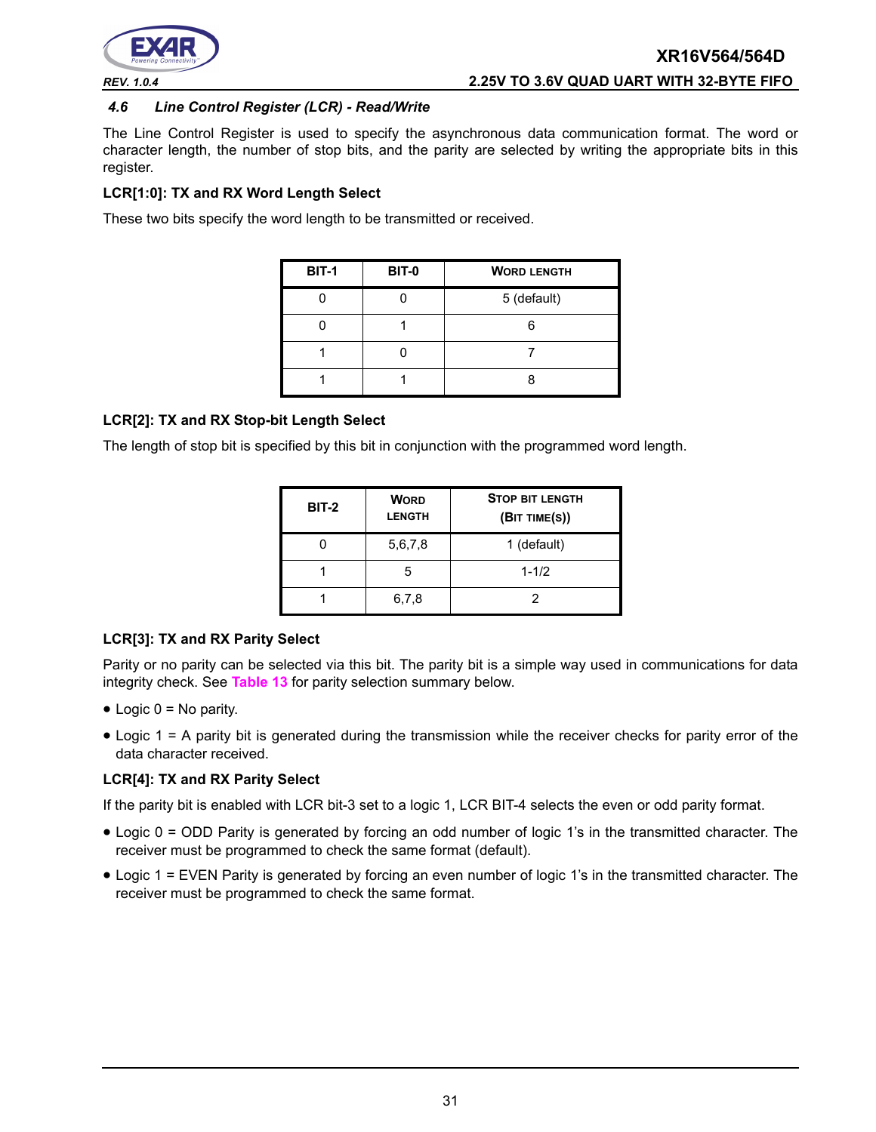

#### *4.6 Line Control Register (LCR) - Read/Write*

The Line Control Register is used to specify the asynchronous data communication format. The word or character length, the number of stop bits, and the parity are selected by writing the appropriate bits in this register.

#### **LCR[1:0]: TX and RX Word Length Select**

These two bits specify the word length to be transmitted or received.

| <b>BIT-1</b> | <b>BIT-0</b> | <b>WORD LENGTH</b> |  |
|--------------|--------------|--------------------|--|
|              |              | 5 (default)        |  |
|              |              |                    |  |
|              |              |                    |  |
|              |              |                    |  |

#### **LCR[2]: TX and RX Stop-bit Length Select**

The length of stop bit is specified by this bit in conjunction with the programmed word length.

| <b>BIT-2</b> | <b>WORD</b><br><b>LENGTH</b> | <b>STOP BIT LENGTH</b><br>(BIT TIME(S)) |
|--------------|------------------------------|-----------------------------------------|
|              | 5,6,7,8                      | 1 (default)                             |
|              | 5                            | $1 - 1/2$                               |
|              | 6,7,8                        |                                         |

#### **LCR[3]: TX and RX Parity Select**

Parity or no parity can be selected via this bit. The parity bit is a simple way used in communications for data integrity check. See **[Table](#page-31-0) 13** for parity selection summary below.

- $\bullet$  Logic 0 = No parity.
- Logic 1 = A parity bit is generated during the transmission while the receiver checks for parity error of the data character received.

#### **LCR[4]: TX and RX Parity Select**

If the parity bit is enabled with LCR bit-3 set to a logic 1, LCR BIT-4 selects the even or odd parity format.

- Logic 0 = ODD Parity is generated by forcing an odd number of logic 1's in the transmitted character. The receiver must be programmed to check the same format (default).
- Logic 1 = EVEN Parity is generated by forcing an even number of logic 1's in the transmitted character. The receiver must be programmed to check the same format.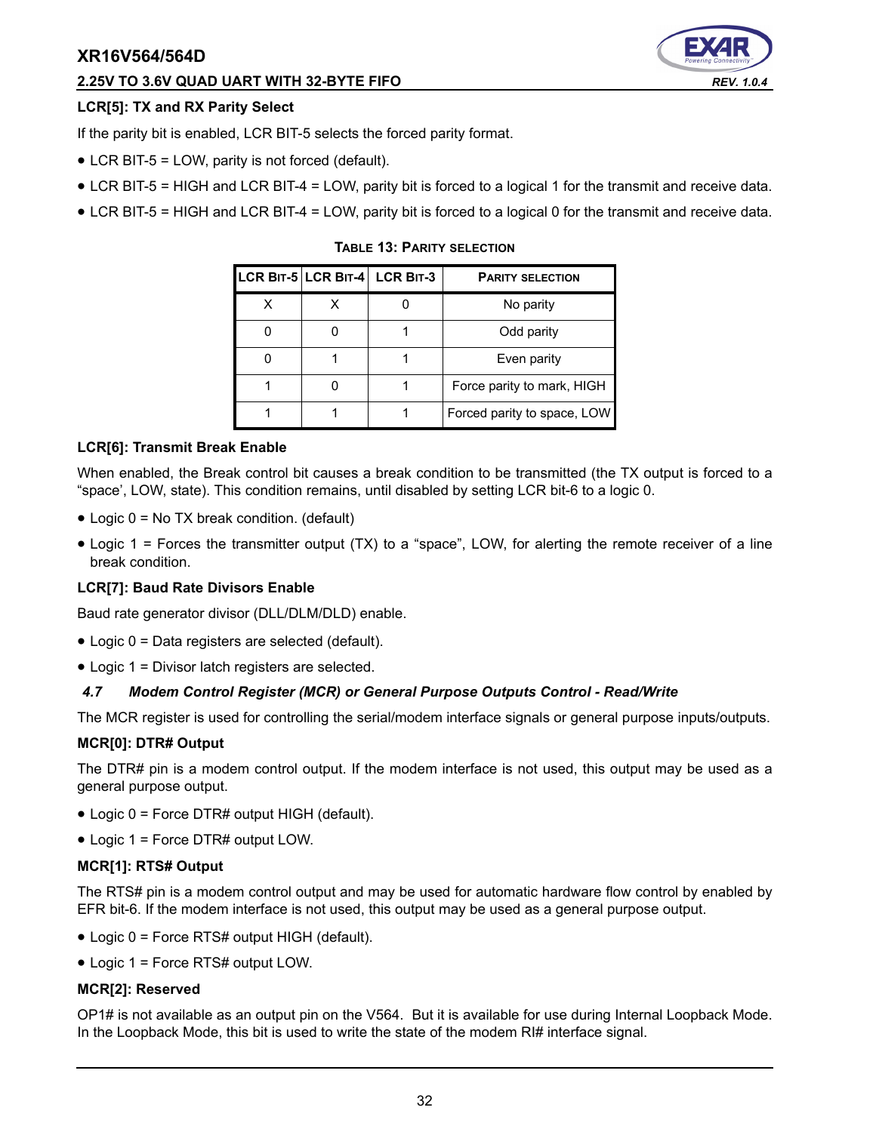#### **2.25V TO 3.6V QUAD UART WITH 32-BYTE FIFO** *REV. 1.0.4*

### **LCR[5]: TX and RX Parity Select**

If the parity bit is enabled, LCR BIT-5 selects the forced parity format.

- LCR BIT-5 = LOW, parity is not forced (default).
- LCR BIT-5 = HIGH and LCR BIT-4 = LOW, parity bit is forced to a logical 1 for the transmit and receive data.
- <span id="page-31-0"></span>• LCR BIT-5 = HIGH and LCR BIT-4 = LOW, parity bit is forced to a logical 0 for the transmit and receive data.

|  | LCR BIT-5 LCR BIT-4 LCR BIT-3 | <b>PARITY SELECTION</b>     |
|--|-------------------------------|-----------------------------|
|  |                               | No parity                   |
|  |                               | Odd parity                  |
|  |                               | Even parity                 |
|  |                               | Force parity to mark, HIGH  |
|  |                               | Forced parity to space, LOW |

**TABLE 13: PARITY SELECTION**

#### **LCR[6]: Transmit Break Enable**

When enabled, the Break control bit causes a break condition to be transmitted (the TX output is forced to a "space', LOW, state). This condition remains, until disabled by setting LCR bit-6 to a logic 0.

- Logic 0 = No TX break condition. (default)
- Logic 1 = Forces the transmitter output (TX) to a "space", LOW, for alerting the remote receiver of a line break condition.

#### **LCR[7]: Baud Rate Divisors Enable**

Baud rate generator divisor (DLL/DLM/DLD) enable.

- Logic 0 = Data registers are selected (default).
- Logic 1 = Divisor latch registers are selected.

#### *4.7 Modem Control Register (MCR) or General Purpose Outputs Control - Read/Write*

The MCR register is used for controlling the serial/modem interface signals or general purpose inputs/outputs.

#### **MCR[0]: DTR# Output**

The DTR# pin is a modem control output. If the modem interface is not used, this output may be used as a general purpose output.

- Logic 0 = Force DTR# output HIGH (default).
- Logic 1 = Force DTR# output LOW.

#### **MCR[1]: RTS# Output**

The RTS# pin is a modem control output and may be used for automatic hardware flow control by enabled by EFR bit-6. If the modem interface is not used, this output may be used as a general purpose output.

- Logic 0 = Force RTS# output HIGH (default).
- Logic 1 = Force RTS# output LOW.

#### **MCR[2]: Reserved**

OP1# is not available as an output pin on the V564. But it is available for use during Internal Loopback Mode. In the Loopback Mode, this bit is used to write the state of the modem RI# interface signal.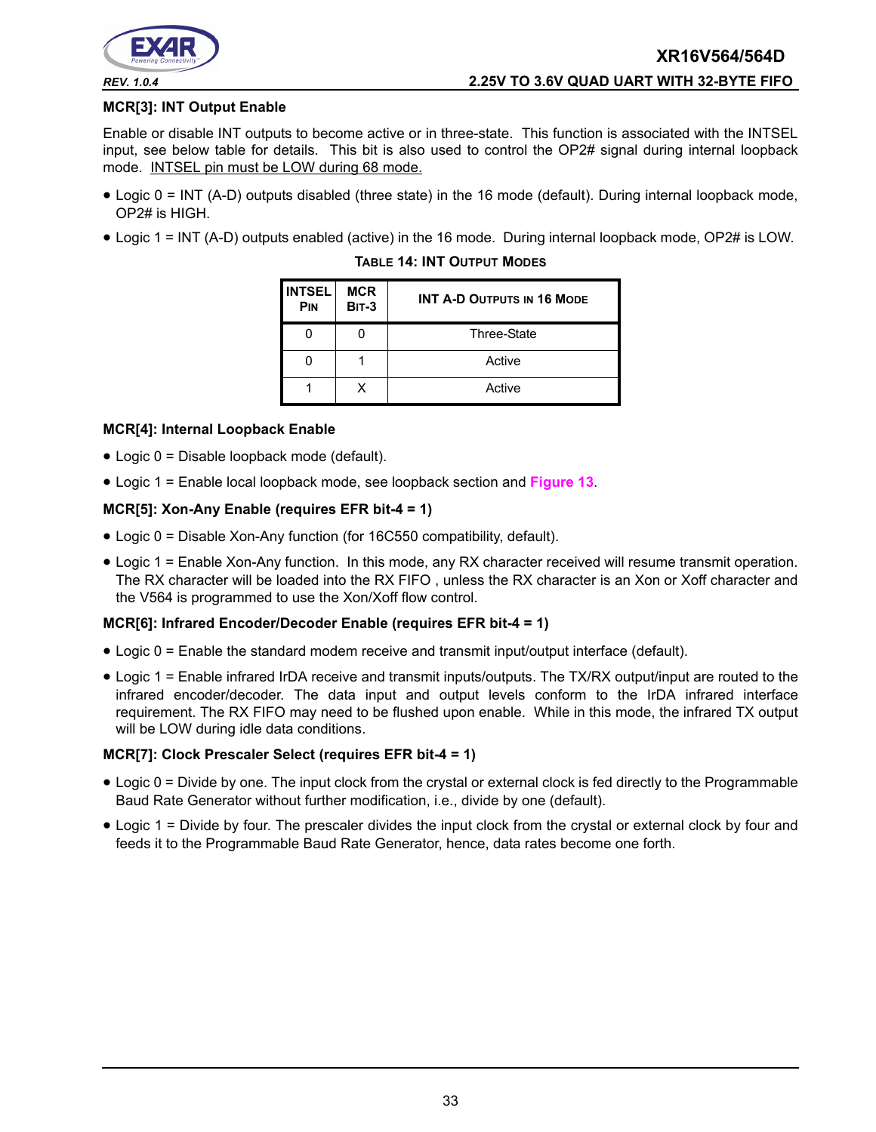

#### **MCR[3]: INT Output Enable**

Enable or disable INT outputs to become active or in three-state. This function is associated with the INTSEL input, see below table for details. This bit is also used to control the OP2# signal during internal loopback mode. INTSEL pin must be LOW during 68 mode.

- Logic 0 = INT (A-D) outputs disabled (three state) in the 16 mode (default). During internal loopback mode, OP2# is HIGH.
- Logic 1 = INT (A-D) outputs enabled (active) in the 16 mode. During internal loopback mode, OP2# is LOW.

| <b>INTSEL</b><br>PIN | <b>MCR</b><br><b>BIT-3</b> | <b>INT A-D OUTPUTS IN 16 MODE</b> |  |  |  |  |
|----------------------|----------------------------|-----------------------------------|--|--|--|--|
|                      |                            | Three-State                       |  |  |  |  |
|                      |                            | Active                            |  |  |  |  |
|                      | x                          | Active                            |  |  |  |  |

#### **TABLE 14: INT OUTPUT MODES**

#### **MCR[4]: Internal Loopback Enable**

- Logic 0 = Disable loopback mode (default).
- Logic 1 = Enable local loopback mode, see loopback section and **[Figure](#page-22-0) 13**.

#### **MCR[5]: Xon-Any Enable (requires EFR bit-4 = 1)**

- Logic 0 = Disable Xon-Any function (for 16C550 compatibility, default).
- Logic 1 = Enable Xon-Any function. In this mode, any RX character received will resume transmit operation. The RX character will be loaded into the RX FIFO , unless the RX character is an Xon or Xoff character and the V564 is programmed to use the Xon/Xoff flow control.

#### **MCR[6]: Infrared Encoder/Decoder Enable (requires EFR bit-4 = 1)**

- Logic 0 = Enable the standard modem receive and transmit input/output interface (default).
- Logic 1 = Enable infrared IrDA receive and transmit inputs/outputs. The TX/RX output/input are routed to the infrared encoder/decoder. The data input and output levels conform to the IrDA infrared interface requirement. The RX FIFO may need to be flushed upon enable. While in this mode, the infrared TX output will be LOW during idle data conditions.

#### **MCR[7]: Clock Prescaler Select (requires EFR bit-4 = 1)**

- Logic 0 = Divide by one. The input clock from the crystal or external clock is fed directly to the Programmable Baud Rate Generator without further modification, i.e., divide by one (default).
- Logic 1 = Divide by four. The prescaler divides the input clock from the crystal or external clock by four and feeds it to the Programmable Baud Rate Generator, hence, data rates become one forth.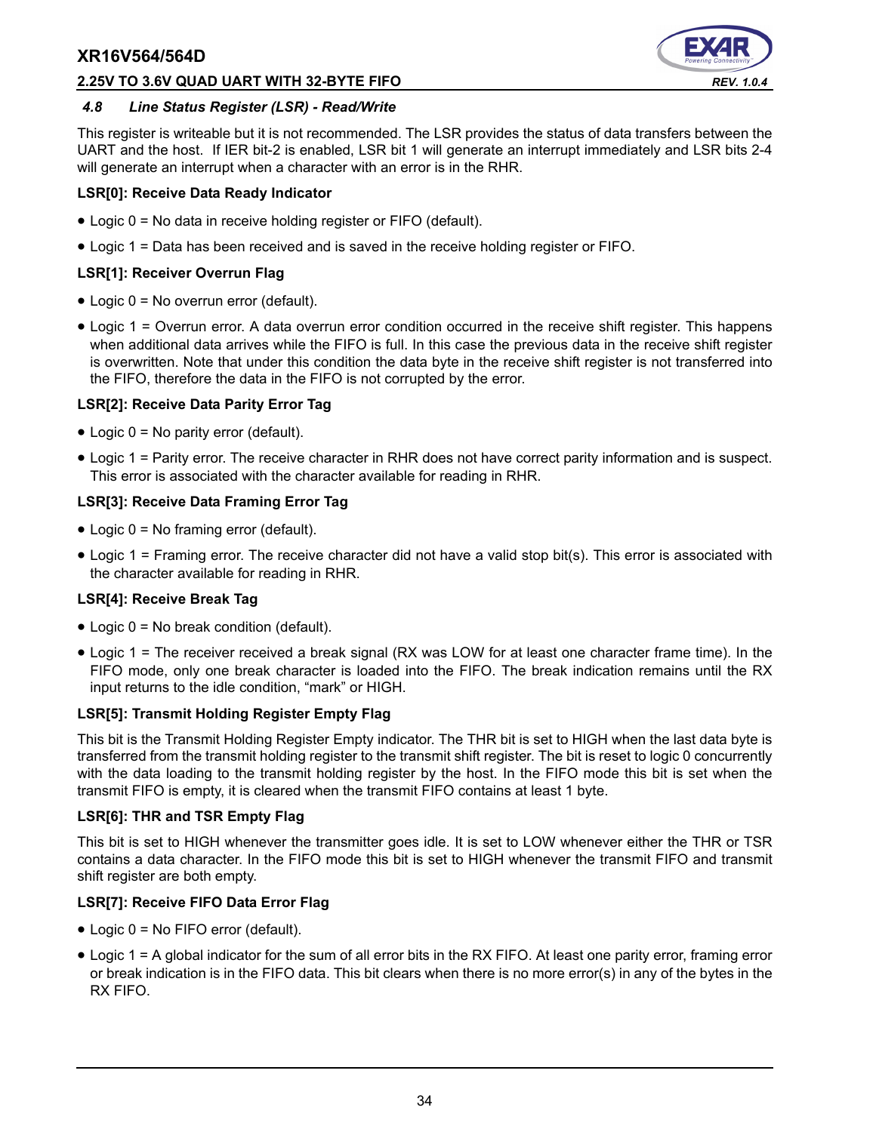#### **2.25V TO 3.6V QUAD UART WITH 32-BYTE FIFO** *REV. 1.0.4*



#### *4.8 Line Status Register (LSR) - Read/Write*

This register is writeable but it is not recommended. The LSR provides the status of data transfers between the UART and the host. If IER bit-2 is enabled, LSR bit 1 will generate an interrupt immediately and LSR bits 2-4 will generate an interrupt when a character with an error is in the RHR.

#### **LSR[0]: Receive Data Ready Indicator**

- Logic 0 = No data in receive holding register or FIFO (default).
- Logic 1 = Data has been received and is saved in the receive holding register or FIFO.

#### **LSR[1]: Receiver Overrun Flag**

- Logic 0 = No overrun error (default).
- Logic 1 = Overrun error. A data overrun error condition occurred in the receive shift register. This happens when additional data arrives while the FIFO is full. In this case the previous data in the receive shift register is overwritten. Note that under this condition the data byte in the receive shift register is not transferred into the FIFO, therefore the data in the FIFO is not corrupted by the error.

#### **LSR[2]: Receive Data Parity Error Tag**

- Logic 0 = No parity error (default).
- Logic 1 = Parity error. The receive character in RHR does not have correct parity information and is suspect. This error is associated with the character available for reading in RHR.

#### **LSR[3]: Receive Data Framing Error Tag**

- Logic 0 = No framing error (default).
- Logic 1 = Framing error. The receive character did not have a valid stop bit(s). This error is associated with the character available for reading in RHR.

#### **LSR[4]: Receive Break Tag**

- Logic 0 = No break condition (default).
- Logic 1 = The receiver received a break signal (RX was LOW for at least one character frame time). In the FIFO mode, only one break character is loaded into the FIFO. The break indication remains until the RX input returns to the idle condition, "mark" or HIGH.

#### **LSR[5]: Transmit Holding Register Empty Flag**

This bit is the Transmit Holding Register Empty indicator. The THR bit is set to HIGH when the last data byte is transferred from the transmit holding register to the transmit shift register. The bit is reset to logic 0 concurrently with the data loading to the transmit holding register by the host. In the FIFO mode this bit is set when the transmit FIFO is empty, it is cleared when the transmit FIFO contains at least 1 byte.

#### **LSR[6]: THR and TSR Empty Flag**

This bit is set to HIGH whenever the transmitter goes idle. It is set to LOW whenever either the THR or TSR contains a data character. In the FIFO mode this bit is set to HIGH whenever the transmit FIFO and transmit shift register are both empty.

#### **LSR[7]: Receive FIFO Data Error Flag**

- Logic 0 = No FIFO error (default).
- Logic 1 = A global indicator for the sum of all error bits in the RX FIFO. At least one parity error, framing error or break indication is in the FIFO data. This bit clears when there is no more error(s) in any of the bytes in the RX FIFO.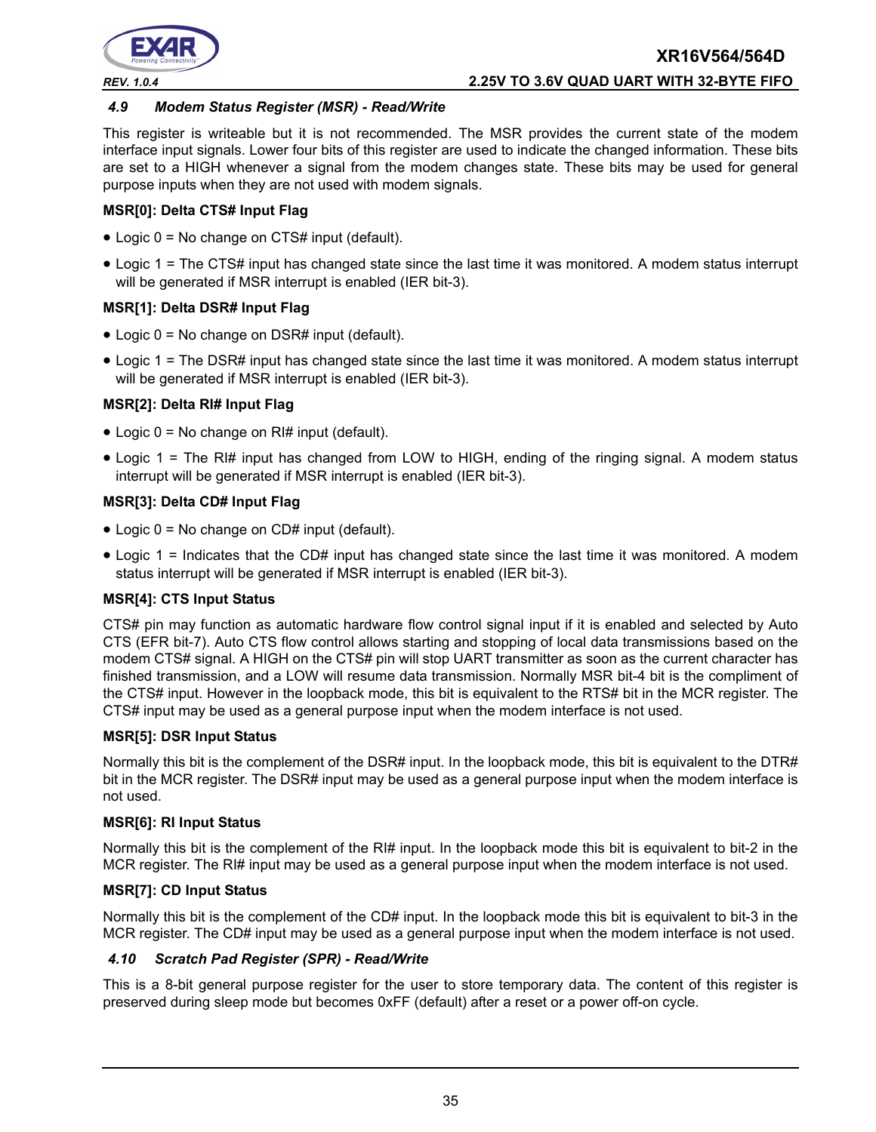

## *4.9 Modem Status Register (MSR) - Read/Write*

This register is writeable but it is not recommended. The MSR provides the current state of the modem interface input signals. Lower four bits of this register are used to indicate the changed information. These bits are set to a HIGH whenever a signal from the modem changes state. These bits may be used for general purpose inputs when they are not used with modem signals.

#### **MSR[0]: Delta CTS# Input Flag**

- Logic 0 = No change on CTS# input (default).
- Logic 1 = The CTS# input has changed state since the last time it was monitored. A modem status interrupt will be generated if MSR interrupt is enabled (IER bit-3).

#### **MSR[1]: Delta DSR# Input Flag**

- Logic 0 = No change on DSR# input (default).
- Logic 1 = The DSR# input has changed state since the last time it was monitored. A modem status interrupt will be generated if MSR interrupt is enabled (IER bit-3).

#### **MSR[2]: Delta RI# Input Flag**

- Logic 0 = No change on RI# input (default).
- Logic 1 = The RI# input has changed from LOW to HIGH, ending of the ringing signal. A modem status interrupt will be generated if MSR interrupt is enabled (IER bit-3).

#### **MSR[3]: Delta CD# Input Flag**

- Logic 0 = No change on CD# input (default).
- Logic 1 = Indicates that the CD# input has changed state since the last time it was monitored. A modem status interrupt will be generated if MSR interrupt is enabled (IER bit-3).

#### **MSR[4]: CTS Input Status**

CTS# pin may function as automatic hardware flow control signal input if it is enabled and selected by Auto CTS (EFR bit-7). Auto CTS flow control allows starting and stopping of local data transmissions based on the modem CTS# signal. A HIGH on the CTS# pin will stop UART transmitter as soon as the current character has finished transmission, and a LOW will resume data transmission. Normally MSR bit-4 bit is the compliment of the CTS# input. However in the loopback mode, this bit is equivalent to the RTS# bit in the MCR register. The CTS# input may be used as a general purpose input when the modem interface is not used.

#### **MSR[5]: DSR Input Status**

Normally this bit is the complement of the DSR# input. In the loopback mode, this bit is equivalent to the DTR# bit in the MCR register. The DSR# input may be used as a general purpose input when the modem interface is not used.

#### **MSR[6]: RI Input Status**

Normally this bit is the complement of the RI# input. In the loopback mode this bit is equivalent to bit-2 in the MCR register. The RI# input may be used as a general purpose input when the modem interface is not used.

#### **MSR[7]: CD Input Status**

Normally this bit is the complement of the CD# input. In the loopback mode this bit is equivalent to bit-3 in the MCR register. The CD# input may be used as a general purpose input when the modem interface is not used.

#### *4.10 Scratch Pad Register (SPR) - Read/Write*

This is a 8-bit general purpose register for the user to store temporary data. The content of this register is preserved during sleep mode but becomes 0xFF (default) after a reset or a power off-on cycle.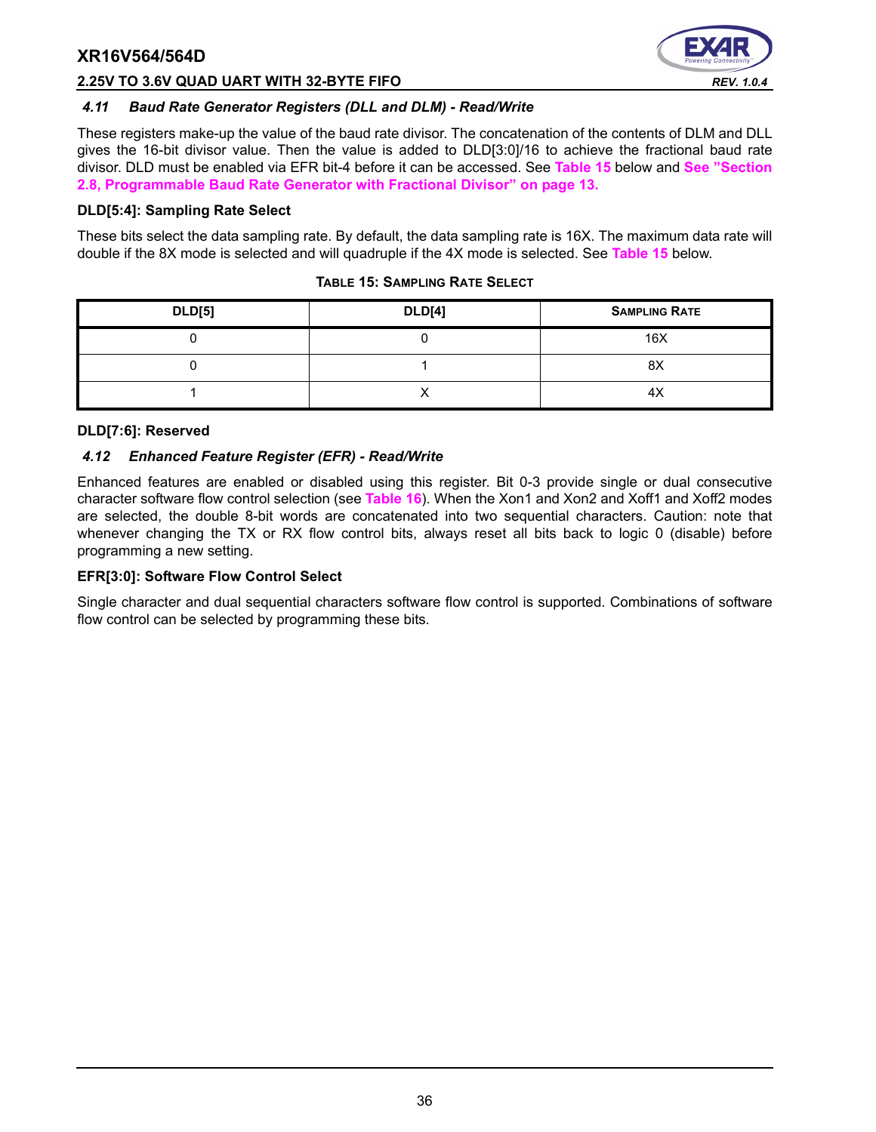

#### **2.25V TO 3.6V QUAD UART WITH 32-BYTE FIFO** *REV. 1.0.4*

#### *4.11 Baud Rate Generator Registers (DLL and DLM) - Read/Write*

These registers make-up the value of the baud rate divisor. The concatenation of the contents of DLM and DLL gives the 16-bit divisor value. Then the value is added to DLD[3:0]/16 to achieve the fractional baud rate divisor. DLD must be enabled via EFR bit-4 before it can be accessed. See **[Table](#page-35-0) 15** below and **[See "Section](#page-12-1) [2.8, Programmable Baud Rate Generator with Fractional Divisor" on page](#page-12-1) 13.**

#### **DLD[5:4]: Sampling Rate Select**

These bits select the data sampling rate. By default, the data sampling rate is 16X. The maximum data rate will double if the 8X mode is selected and will quadruple if the 4X mode is selected. See **[Table](#page-35-0) 15** below.

| <b>TABLE 15: SAMPLING RATE SELECT</b> |  |  |
|---------------------------------------|--|--|
|                                       |  |  |

<span id="page-35-0"></span>

| <b>DLD[5]</b> | <b>DLD[4]</b> | <b>SAMPLING RATE</b> |
|---------------|---------------|----------------------|
|               |               | 16 <sub>X</sub>      |
|               |               | 8X                   |
|               |               | 4 <sup>2</sup>       |

#### **DLD[7:6]: Reserved**

#### *4.12 Enhanced Feature Register (EFR) - Read/Write*

Enhanced features are enabled or disabled using this register. Bit 0-3 provide single or dual consecutive character software flow control selection (see **[Table](#page-36-0) 16**). When the Xon1 and Xon2 and Xoff1 and Xoff2 modes are selected, the double 8-bit words are concatenated into two sequential characters. Caution: note that whenever changing the TX or RX flow control bits, always reset all bits back to logic 0 (disable) before programming a new setting.

#### **EFR[3:0]: Software Flow Control Select**

Single character and dual sequential characters software flow control is supported. Combinations of software flow control can be selected by programming these bits.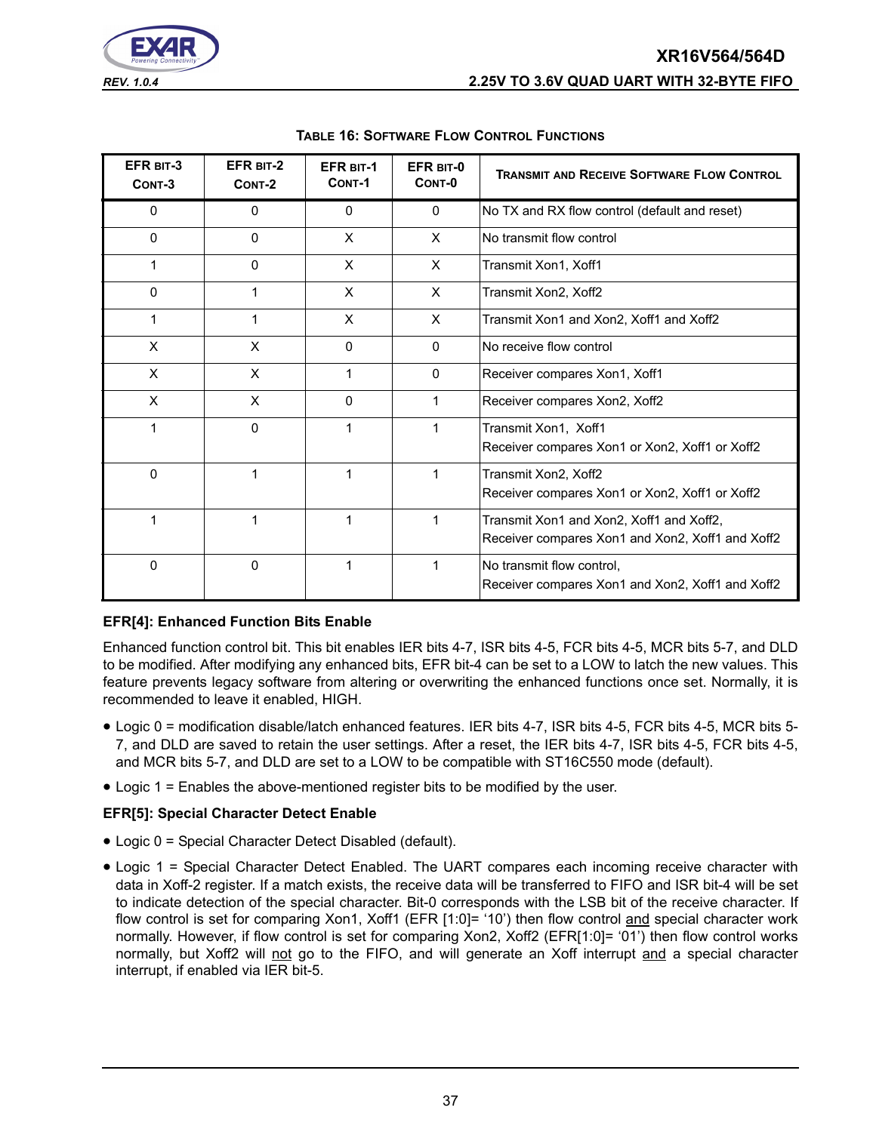# **XR16V564/564D** *REV. 1.0.4* **2.25V TO 3.6V QUAD UART WITH 32-BYTE FIFO**



<span id="page-36-0"></span>

| EFR BIT-3<br>CONT-3 | EFR BIT-2<br>CONT-2 | <b>EFR BIT-1</b><br>CONT-1 | EFR BIT-0<br>CONT-0 | <b>TRANSMIT AND RECEIVE SOFTWARE FLOW CONTROL</b>                                            |
|---------------------|---------------------|----------------------------|---------------------|----------------------------------------------------------------------------------------------|
| 0                   | 0                   | $\mathbf{0}$               | $\mathbf{0}$        | No TX and RX flow control (default and reset)                                                |
| $\Omega$            | 0                   | X                          | $\times$            | No transmit flow control                                                                     |
|                     | $\Omega$            | X                          | X                   | Transmit Xon1, Xoff1                                                                         |
| 0                   | 1                   | X                          | X                   | Transmit Xon2, Xoff2                                                                         |
| 1                   | 1                   | X                          | $\times$            | Transmit Xon1 and Xon2, Xoff1 and Xoff2                                                      |
| X                   | X                   | 0                          | $\Omega$            | No receive flow control                                                                      |
| X                   | X                   |                            | $\Omega$            | Receiver compares Xon1, Xoff1                                                                |
| X                   | X                   | $\Omega$                   | 1                   | Receiver compares Xon2, Xoff2                                                                |
| 1                   | 0                   | 1                          | 1                   | Transmit Xon1, Xoff1<br>Receiver compares Xon1 or Xon2, Xoff1 or Xoff2                       |
| 0                   | 1                   |                            |                     | Transmit Xon2, Xoff2<br>Receiver compares Xon1 or Xon2, Xoff1 or Xoff2                       |
|                     | 1                   |                            |                     | Transmit Xon1 and Xon2, Xoff1 and Xoff2,<br>Receiver compares Xon1 and Xon2, Xoff1 and Xoff2 |
| 0                   | 0                   |                            |                     | No transmit flow control,<br>Receiver compares Xon1 and Xon2, Xoff1 and Xoff2                |

#### **TABLE 16: SOFTWARE FLOW CONTROL FUNCTIONS**

## **EFR[4]: Enhanced Function Bits Enable**

Enhanced function control bit. This bit enables IER bits 4-7, ISR bits 4-5, FCR bits 4-5, MCR bits 5-7, and DLD to be modified. After modifying any enhanced bits, EFR bit-4 can be set to a LOW to latch the new values. This feature prevents legacy software from altering or overwriting the enhanced functions once set. Normally, it is recommended to leave it enabled, HIGH.

- Logic 0 = modification disable/latch enhanced features. IER bits 4-7, ISR bits 4-5, FCR bits 4-5, MCR bits 5- 7, and DLD are saved to retain the user settings. After a reset, the IER bits 4-7, ISR bits 4-5, FCR bits 4-5, and MCR bits 5-7, and DLD are set to a LOW to be compatible with ST16C550 mode (default).
- Logic 1 = Enables the above-mentioned register bits to be modified by the user.

#### **EFR[5]: Special Character Detect Enable**

- Logic 0 = Special Character Detect Disabled (default).
- Logic 1 = Special Character Detect Enabled. The UART compares each incoming receive character with data in Xoff-2 register. If a match exists, the receive data will be transferred to FIFO and ISR bit-4 will be set to indicate detection of the special character. Bit-0 corresponds with the LSB bit of the receive character. If flow control is set for comparing Xon1, Xoff1 (EFR [1:0]= '10') then flow control and special character work normally. However, if flow control is set for comparing Xon2, Xoff2 (EFR[1:0]= '01') then flow control works normally, but Xoff2 will not go to the FIFO, and will generate an Xoff interrupt and a special character interrupt, if enabled via IER bit-5.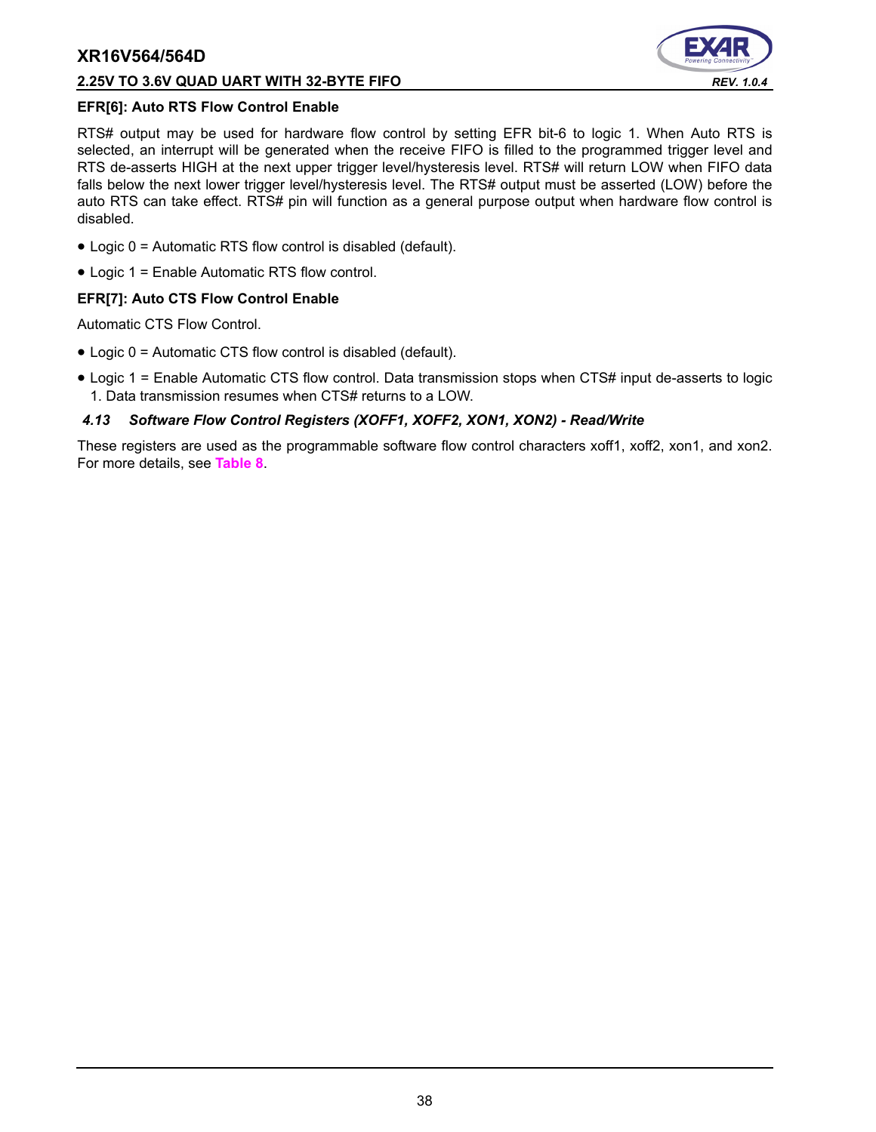#### **2.25V TO 3.6V QUAD UART WITH 32-BYTE FIFO** *REV. 1.0.4*



#### **EFR[6]: Auto RTS Flow Control Enable**

RTS# output may be used for hardware flow control by setting EFR bit-6 to logic 1. When Auto RTS is selected, an interrupt will be generated when the receive FIFO is filled to the programmed trigger level and RTS de-asserts HIGH at the next upper trigger level/hysteresis level. RTS# will return LOW when FIFO data falls below the next lower trigger level/hysteresis level. The RTS# output must be asserted (LOW) before the auto RTS can take effect. RTS# pin will function as a general purpose output when hardware flow control is disabled.

- Logic 0 = Automatic RTS flow control is disabled (default).
- Logic 1 = Enable Automatic RTS flow control.

#### **EFR[7]: Auto CTS Flow Control Enable**

Automatic CTS Flow Control.

- Logic 0 = Automatic CTS flow control is disabled (default).
- Logic 1 = Enable Automatic CTS flow control. Data transmission stops when CTS# input de-asserts to logic 1. Data transmission resumes when CTS# returns to a LOW.

#### *4.13 Software Flow Control Registers (XOFF1, XOFF2, XON1, XON2) - Read/Write*

These registers are used as the programmable software flow control characters xoff1, xoff2, xon1, and xon2. For more details, see **[Table](#page-19-0) 8**.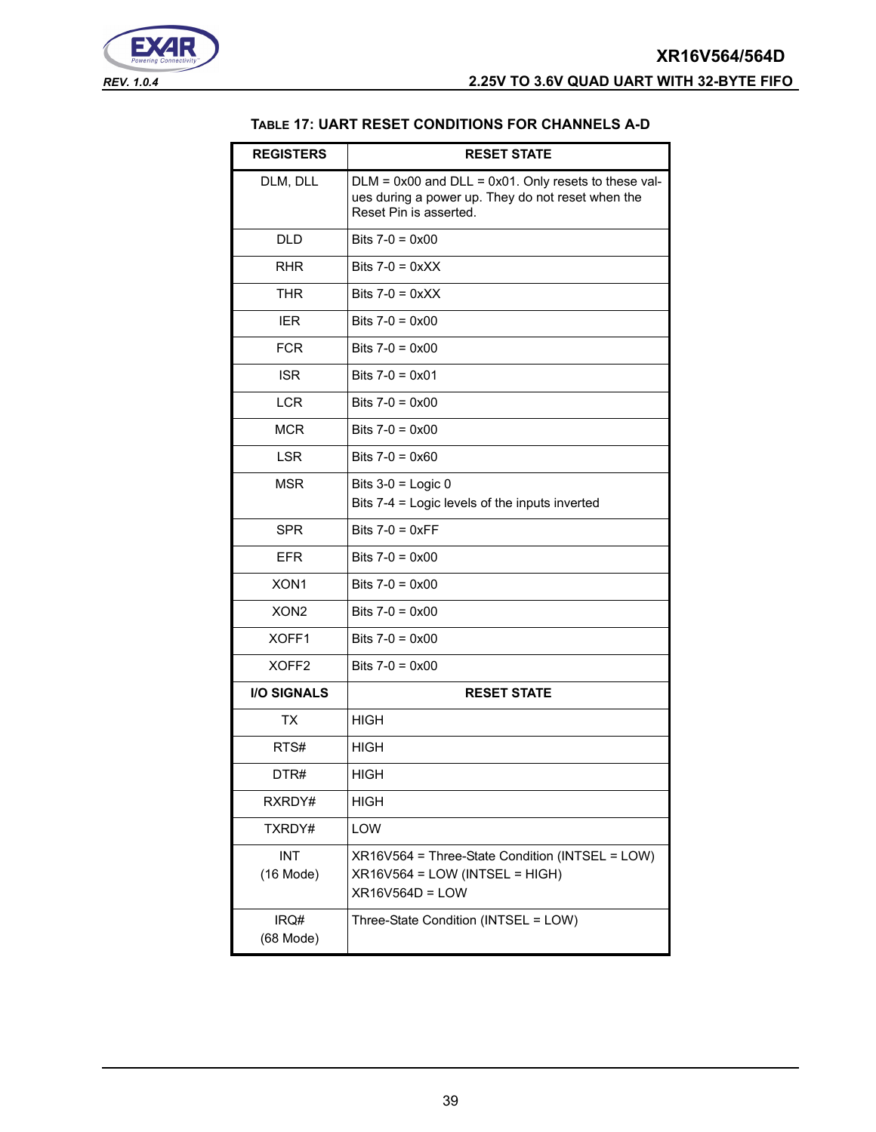<span id="page-38-0"></span>



### **TABLE 17: UART RESET CONDITIONS FOR CHANNELS A-D**

| <b>REGISTERS</b>          | <b>RESET STATE</b>                                                                                                                       |
|---------------------------|------------------------------------------------------------------------------------------------------------------------------------------|
| DLM, DLL                  | $DLM = 0x00$ and $DLL = 0x01$ . Only resets to these val-<br>ues during a power up. They do not reset when the<br>Reset Pin is asserted. |
| <b>DLD</b>                | Bits $7-0 = 0 \times 00$                                                                                                                 |
| <b>RHR</b>                | Bits $7-0 = 0 \times XX$                                                                                                                 |
| <b>THR</b>                | Bits $7-0 = 0xXX$                                                                                                                        |
| <b>IER</b>                | Bits $7-0 = 0 \times 00$                                                                                                                 |
| <b>FCR</b>                | Bits $7-0 = 0 \times 00$                                                                                                                 |
| <b>ISR</b>                | Bits $7-0 = 0 \times 01$                                                                                                                 |
| <b>LCR</b>                | Bits $7-0 = 0 \times 00$                                                                                                                 |
| <b>MCR</b>                | Bits $7-0 = 0 \times 00$                                                                                                                 |
| <b>LSR</b>                | Bits $7-0 = 0 \times 60$                                                                                                                 |
| <b>MSR</b>                | Bits $3-0$ = Logic 0<br>Bits 7-4 = Logic levels of the inputs inverted                                                                   |
| <b>SPR</b>                | Bits $7-0 = 0 \times FF$                                                                                                                 |
| <b>EFR</b>                | Bits $7-0 = 0 \times 00$                                                                                                                 |
| XON1                      | Bits $7-0 = 0 \times 00$                                                                                                                 |
| XON <sub>2</sub>          | Bits $7-0 = 0 \times 00$                                                                                                                 |
| XOFF1                     | Bits $7-0 = 0 \times 00$                                                                                                                 |
| XOFF <sub>2</sub>         | Bits $7-0 = 0 \times 00$                                                                                                                 |
| <b>I/O SIGNALS</b>        | <b>RESET STATE</b>                                                                                                                       |
| <b>TX</b>                 | <b>HIGH</b>                                                                                                                              |
| RTS#                      | <b>HIGH</b>                                                                                                                              |
| DTR#                      | <b>HIGH</b>                                                                                                                              |
| RXRDY#                    | <b>HIGH</b>                                                                                                                              |
| TXRDY#                    | LOW                                                                                                                                      |
| <b>INT</b><br>$(16$ Mode) | XR16V564 = Three-State Condition (INTSEL = LOW)<br>XR16V564 = LOW (INTSEL = HIGH)<br>$XR16V564D = LOW$                                   |
| IRQ#<br>(68 Mode)         | Three-State Condition (INTSEL = LOW)                                                                                                     |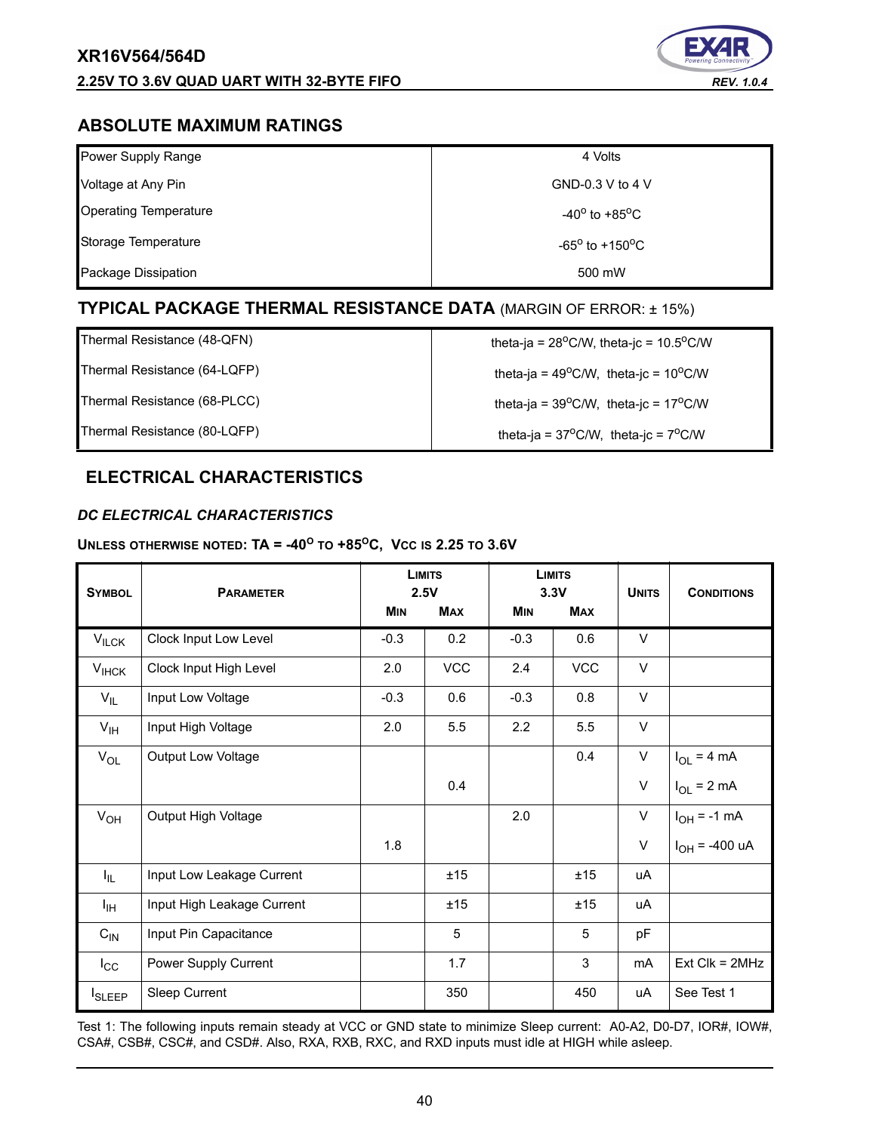

# **ABSOLUTE MAXIMUM RATINGS**

| Power Supply Range           | 4 Volts                           |
|------------------------------|-----------------------------------|
| Voltage at Any Pin           | GND-0.3 V to 4 V                  |
| <b>Operating Temperature</b> | $-40^{\circ}$ to $+85^{\circ}$ C  |
| Storage Temperature          | $-65^{\circ}$ to $+150^{\circ}$ C |
| Package Dissipation          | 500 mW                            |

# **TYPICAL PACKAGE THERMAL RESISTANCE DATA** (MARGIN OF ERROR: ± 15%)

Thermal Resistance (48-QFN)  $\qquad \qquad$  theta-ja = 28<sup>o</sup>C/W, theta-jc = 10.5<sup>o</sup>C/W

Thermal Resistance (64-LQFP)  $\qquad \qquad$  theta-ja = 49<sup>o</sup>C/W, theta-jc = 10<sup>o</sup>C/W

Thermal Resistance (68-PLCC)  $\qquad \qquad$  theta-ja = 39<sup>o</sup>C/W, theta-jc = 17<sup>o</sup>C/W

Thermal Resistance (80-LQFP) theta-ja =  $37^{\circ}$ C/W, theta-jc =  $7^{\circ}$ C/W

# **ELECTRICAL CHARACTERISTICS**

## <span id="page-39-0"></span>*DC ELECTRICAL CHARACTERISTICS*

### **UNLESS OTHERWISE NOTED: TA =**  $-40^{\circ}$  **TO**  $+85^{\circ}$ **C, Vcc is 2.25 TO 3.6V**

| <b>SYMBOL</b>     | <b>PARAMETER</b>           |            | <b>LIMITS</b><br>2.5V | <b>LIMITS</b><br>3.3V |            | <b>UNITS</b> | <b>CONDITIONS</b>  |
|-------------------|----------------------------|------------|-----------------------|-----------------------|------------|--------------|--------------------|
|                   |                            | <b>MIN</b> | <b>MAX</b>            | <b>MIN</b>            | <b>MAX</b> |              |                    |
| $V_{\text{ILCK}}$ | Clock Input Low Level      | $-0.3$     | 0.2                   | $-0.3$                | 0.6        | $\vee$       |                    |
| $V_{IHCK}$        | Clock Input High Level     | 2.0        | <b>VCC</b>            | 2.4                   | <b>VCC</b> | $\vee$       |                    |
| $V_{IL}$          | Input Low Voltage          | $-0.3$     | 0.6                   | $-0.3$                | 0.8        | $\vee$       |                    |
| $V_{\text{IH}}$   | Input High Voltage         | 2.0        | 5.5                   | 2.2                   | 5.5        | $\vee$       |                    |
| $V_{OL}$          | Output Low Voltage         |            |                       |                       | 0.4        | V            | $I_{OL}$ = 4 mA    |
|                   |                            |            | 0.4                   |                       |            | $\vee$       | $I_{OL}$ = 2 mA    |
| $V_{OH}$          | Output High Voltage        |            |                       | 2.0                   |            | $\vee$       | $I_{OH} = -1$ mA   |
|                   |                            | 1.8        |                       |                       |            | $\vee$       | $I_{OH}$ = -400 uA |
| I <sub>IL</sub>   | Input Low Leakage Current  |            | ±15                   |                       | ±15        | uA           |                    |
| Iн                | Input High Leakage Current |            | ±15                   |                       | ±15        | uA           |                    |
| $C_{\text{IN}}$   | Input Pin Capacitance      |            | 5                     |                       | 5          | pF           |                    |
| $I_{\rm CC}$      | Power Supply Current       |            | 1.7                   |                       | 3          | mA           | $Ext$ Clk = $2MHz$ |
| <b>I</b> SLEEP    | Sleep Current              |            | 350                   |                       | 450        | uA           | See Test 1         |

Test 1: The following inputs remain steady at VCC or GND state to minimize Sleep current: A0-A2, D0-D7, IOR#, IOW#, CSA#, CSB#, CSC#, and CSD#. Also, RXA, RXB, RXC, and RXD inputs must idle at HIGH while asleep.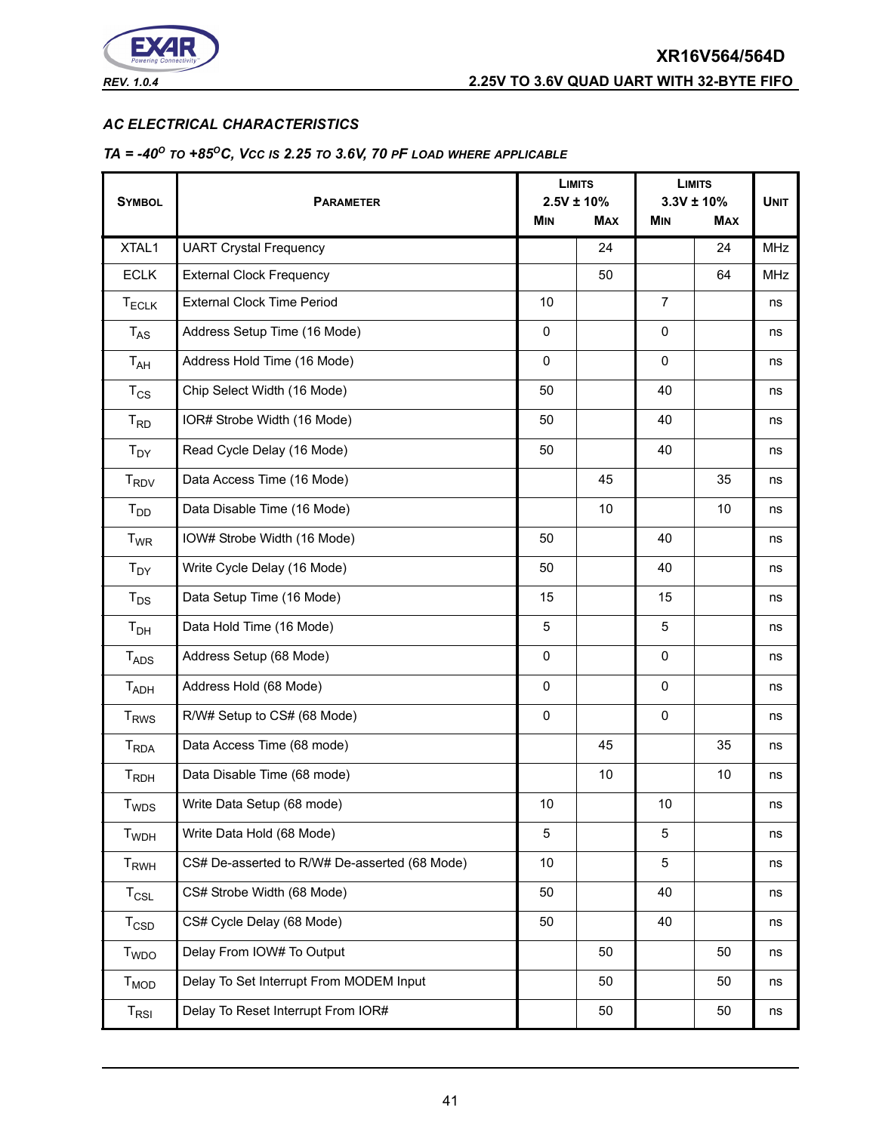

#### *AC ELECTRICAL CHARACTERISTICS*

#### *TA = -40O TO +85OC, VCC IS 2.25 TO 3.6V, 70 PF LOAD WHERE APPLICABLE*

|                         |                                               |             | <b>LIMITS</b>   |                | <b>LIMITS</b> |             |
|-------------------------|-----------------------------------------------|-------------|-----------------|----------------|---------------|-------------|
| <b>SYMBOL</b>           | <b>PARAMETER</b>                              |             | $2.5V \pm 10\%$ | $3.3V \pm 10%$ |               | <b>UNIT</b> |
|                         |                                               | <b>MIN</b>  | <b>MAX</b>      | <b>MIN</b>     | <b>MAX</b>    |             |
| XTAL1                   | <b>UART Crystal Frequency</b>                 |             | 24              |                | 24            | <b>MHz</b>  |
| <b>ECLK</b>             | <b>External Clock Frequency</b>               |             | 50              |                | 64            | MHz         |
| $T_{\text{ECLK}}$       | <b>External Clock Time Period</b>             | 10          |                 | $\overline{7}$ |               | ns          |
| $T_{AS}$                | Address Setup Time (16 Mode)                  | $\mathbf 0$ |                 | $\mathbf 0$    |               | ns          |
| T <sub>AH</sub>         | Address Hold Time (16 Mode)                   | $\mathbf 0$ |                 | $\mathbf 0$    |               | ns          |
| $T_{CS}$                | Chip Select Width (16 Mode)                   | 50          |                 | 40             |               | ns          |
| $T_{RD}$                | IOR# Strobe Width (16 Mode)                   | 50          |                 | 40             |               | ns          |
| $T_{DY}$                | Read Cycle Delay (16 Mode)                    | 50          |                 | 40             |               | ns          |
| <b>T<sub>RDV</sub></b>  | Data Access Time (16 Mode)                    |             | 45              |                | 35            | ns          |
| $T_{DD}$                | Data Disable Time (16 Mode)                   |             | 10              |                | 10            | ns          |
| $T_{WR}$                | IOW# Strobe Width (16 Mode)                   | 50          |                 | 40             |               | ns          |
| $T_{DY}$                | Write Cycle Delay (16 Mode)                   | 50          |                 | 40             |               | ns          |
| $T_{DS}$                | Data Setup Time (16 Mode)                     | 15          |                 | 15             |               | ns          |
| T <sub>DH</sub>         | Data Hold Time (16 Mode)                      | 5           |                 | 5              |               | ns          |
| T <sub>ADS</sub>        | Address Setup (68 Mode)                       | $\mathbf 0$ |                 | 0              |               | ns          |
| <b>TADH</b>             | Address Hold (68 Mode)                        | $\Omega$    |                 | $\mathsf 0$    |               | ns          |
| <b>T<sub>RWS</sub></b>  | R/W# Setup to CS# (68 Mode)                   | $\mathbf 0$ |                 | $\mathbf 0$    |               | ns          |
| <b>T</b> <sub>RDA</sub> | Data Access Time (68 mode)                    |             | 45              |                | 35            | ns          |
| $T_{RDH}$               | Data Disable Time (68 mode)                   |             | 10              |                | 10            | ns          |
| T <sub>WDS</sub>        | Write Data Setup (68 mode)                    | 10          |                 | 10             |               | ns          |
| <b>T</b> <sub>WDH</sub> | Write Data Hold (68 Mode)                     | 5           |                 | 5              |               | ns          |
| <b>T</b> <sub>RWH</sub> | CS# De-asserted to R/W# De-asserted (68 Mode) | 10          |                 | 5              |               | ns          |
| $T_{CSL}$               | CS# Strobe Width (68 Mode)                    | 50          |                 | 40             |               | ns          |
| $T_{\text{CSD}}$        | CS# Cycle Delay (68 Mode)                     | 50          |                 | 40             |               | ns          |
| <b>T</b> <sub>WDO</sub> | Delay From IOW# To Output                     |             | 50              |                | 50            | ns          |
| T <sub>MOD</sub>        | Delay To Set Interrupt From MODEM Input       |             | 50              |                | 50            | ns          |
| $T_{RSI}$               | Delay To Reset Interrupt From IOR#            |             | 50              |                | 50            | ns          |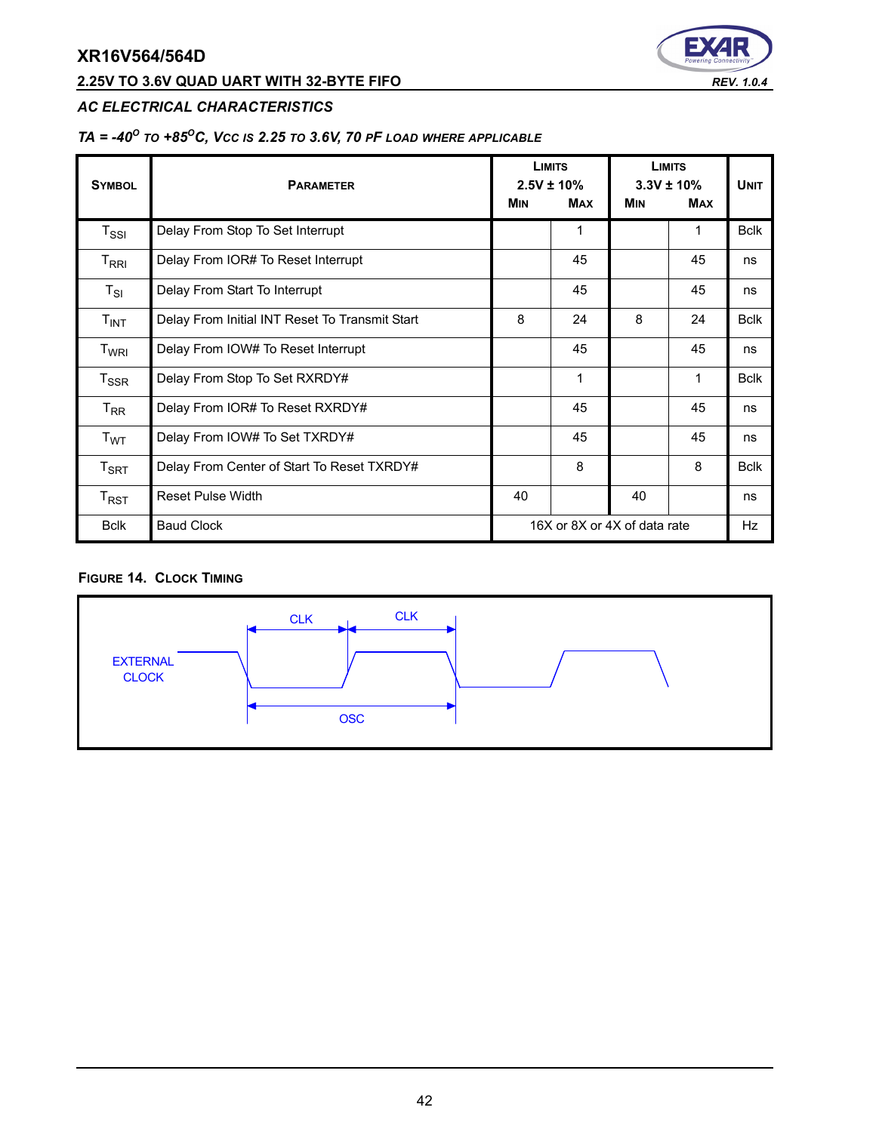# **2.25V TO 3.6V QUAD UART WITH 32-BYTE FIFO** *REV. 1.0.4*



## *AC ELECTRICAL CHARACTERISTICS*

# *TA = -40O TO +85OC, VCC IS 2.25 TO 3.6V, 70 PF LOAD WHERE APPLICABLE*

| <b>SYMBOL</b>               | <b>PARAMETER</b>                               |                              | <b>LIMITS</b><br>$2.5V \pm 10\%$ | LIMITS<br>$3.3V \pm 10\%$ | <b>UNIT</b> |             |
|-----------------------------|------------------------------------------------|------------------------------|----------------------------------|---------------------------|-------------|-------------|
|                             |                                                | <b>MIN</b>                   | <b>MAX</b>                       | <b>MIN</b>                | <b>MAX</b>  |             |
| $T_{\rm SSI}$               | Delay From Stop To Set Interrupt               |                              | 1                                |                           | 1           | <b>Bclk</b> |
| $T_{\sf RRI}$               | Delay From IOR# To Reset Interrupt             |                              | 45                               |                           | 45          | ns          |
| $T_{SI}$                    | Delay From Start To Interrupt                  |                              | 45                               |                           | 45          | ns          |
| $T_{INT}$                   | Delay From Initial INT Reset To Transmit Start | 8                            | 24                               | 8                         | 24          | <b>Bclk</b> |
| T <sub>WRI</sub>            | Delay From IOW# To Reset Interrupt             |                              | 45                               |                           | 45          | ns          |
| $T_{\rm SSR}$               | Delay From Stop To Set RXRDY#                  |                              | 1                                |                           | 1           | <b>Bclk</b> |
| $T_{RR}$                    | Delay From IOR# To Reset RXRDY#                |                              | 45                               |                           | 45          | ns          |
| T <sub>WT</sub>             | Delay From IOW# To Set TXRDY#                  |                              | 45                               |                           | 45          | ns          |
| $\mathsf{T}_{\mathsf{SRT}}$ | Delay From Center of Start To Reset TXRDY#     | 8                            |                                  |                           | 8           | <b>Bclk</b> |
| $T_{RST}$                   | <b>Reset Pulse Width</b>                       | 40                           |                                  | 40                        |             | ns          |
| <b>Bclk</b>                 | <b>Baud Clock</b>                              | 16X or 8X or 4X of data rate |                                  |                           | Hz          |             |

#### **FIGURE 14. CLOCK TIMING**

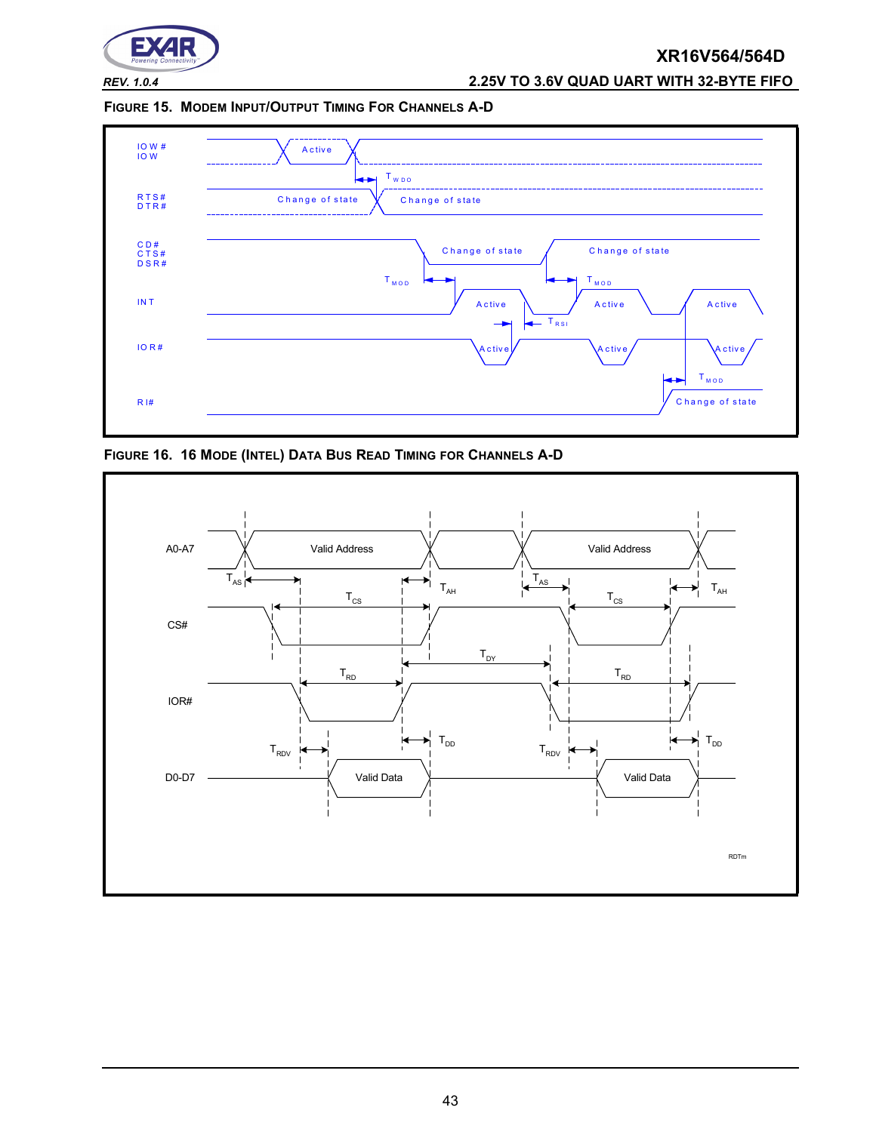

*REV. 1.0.4* **2.25V TO 3.6V QUAD UART WITH 32-BYTE FIFO**

**FIGURE 15. MODEM INPUT/OUTPUT TIMING FOR CHANNELS A-D**



**FIGURE 16. 16 MODE (INTEL) DATA BUS READ TIMING FOR CHANNELS A-D**

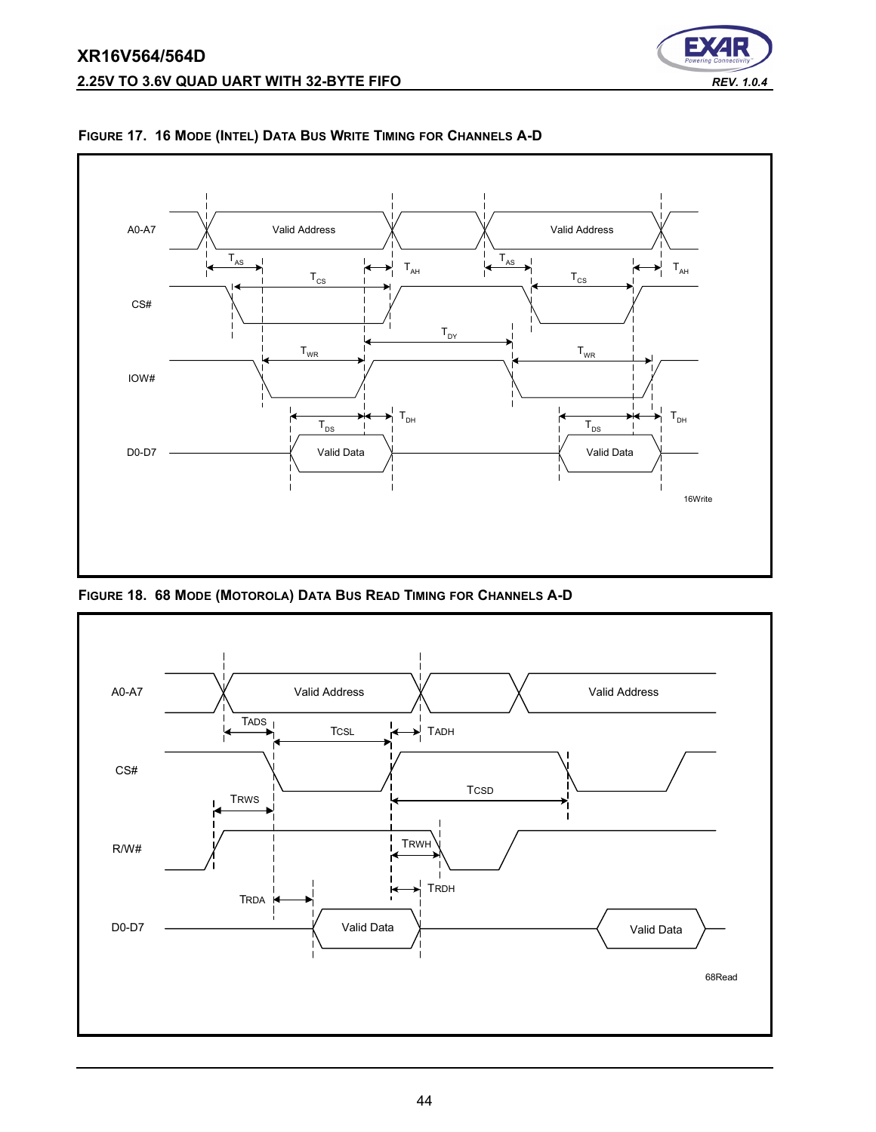



**FIGURE 17. 16 MODE (INTEL) DATA BUS WRITE TIMING FOR CHANNELS A-D**

**FIGURE 18. 68 MODE (MOTOROLA) DATA BUS READ TIMING FOR CHANNELS A-D**

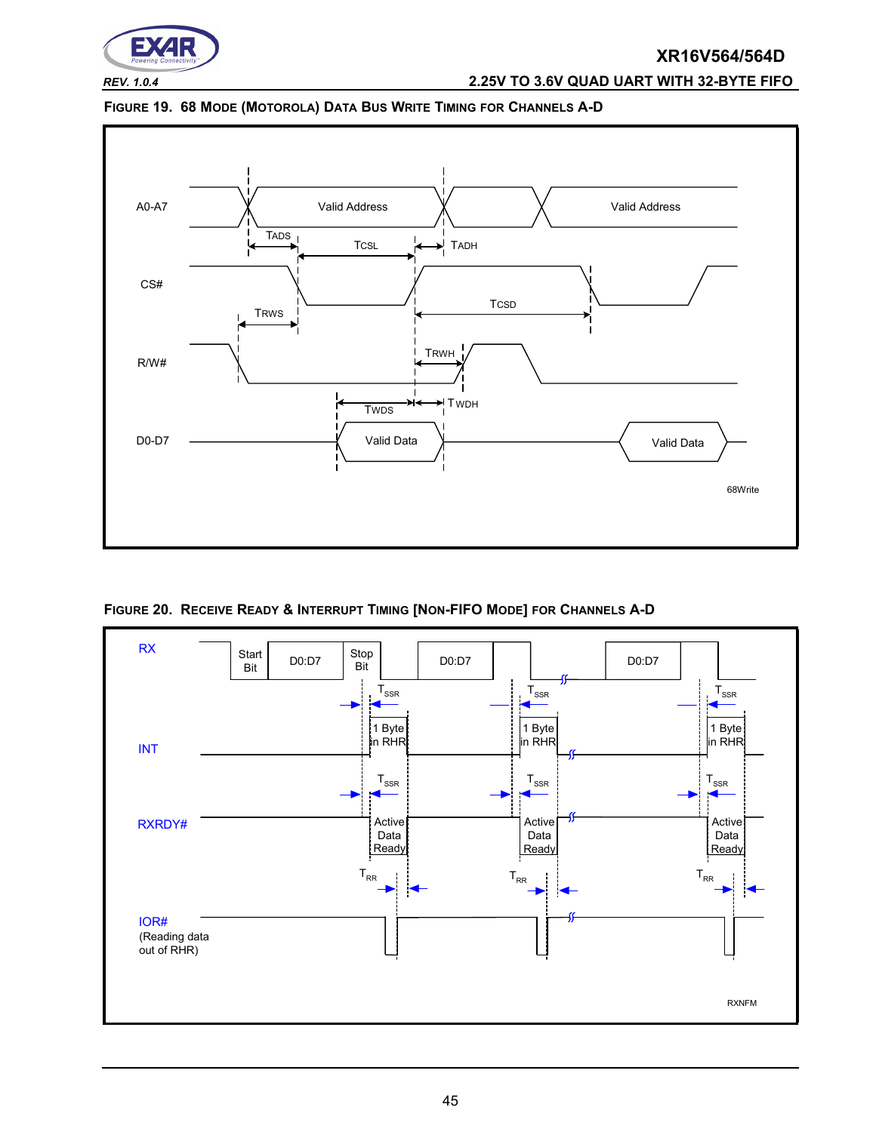

# *REV. 1.0.4* **2.25V TO 3.6V QUAD UART WITH 32-BYTE FIFO**





<span id="page-44-0"></span>**FIGURE 20. RECEIVE READY & INTERRUPT TIMING [NON-FIFO MODE] FOR CHANNELS A-D**

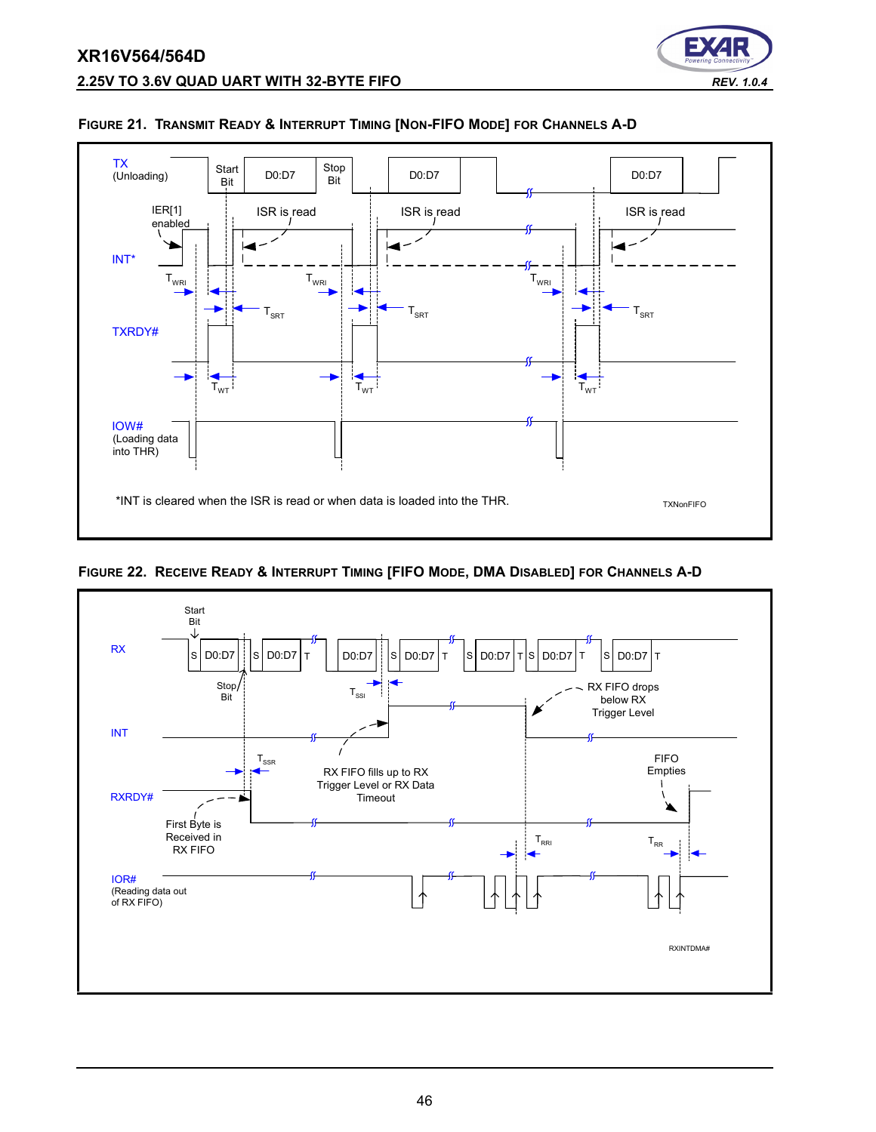

#### **FIGURE 21. TRANSMIT READY & INTERRUPT TIMING [NON-FIFO MODE] FOR CHANNELS A-D**





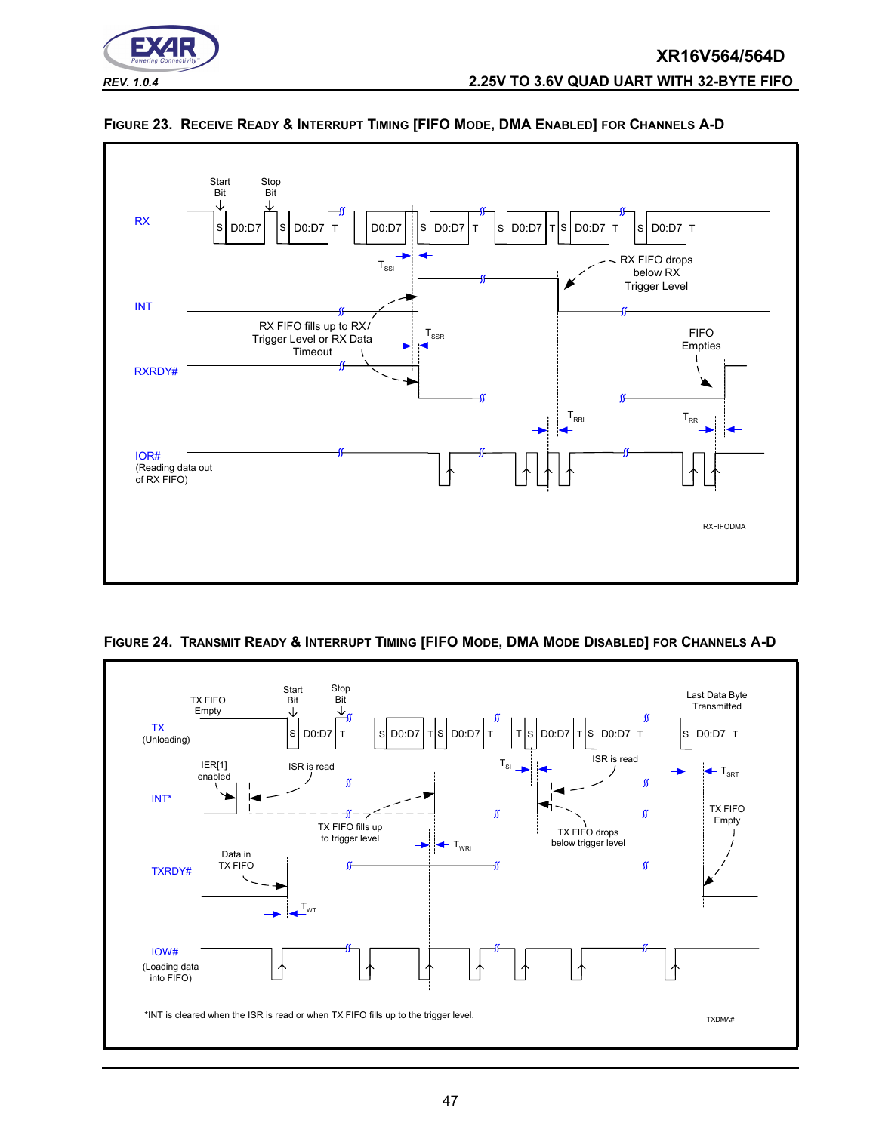



#### **FIGURE 23. RECEIVE READY & INTERRUPT TIMING [FIFO MODE, DMA ENABLED] FOR CHANNELS A-D**



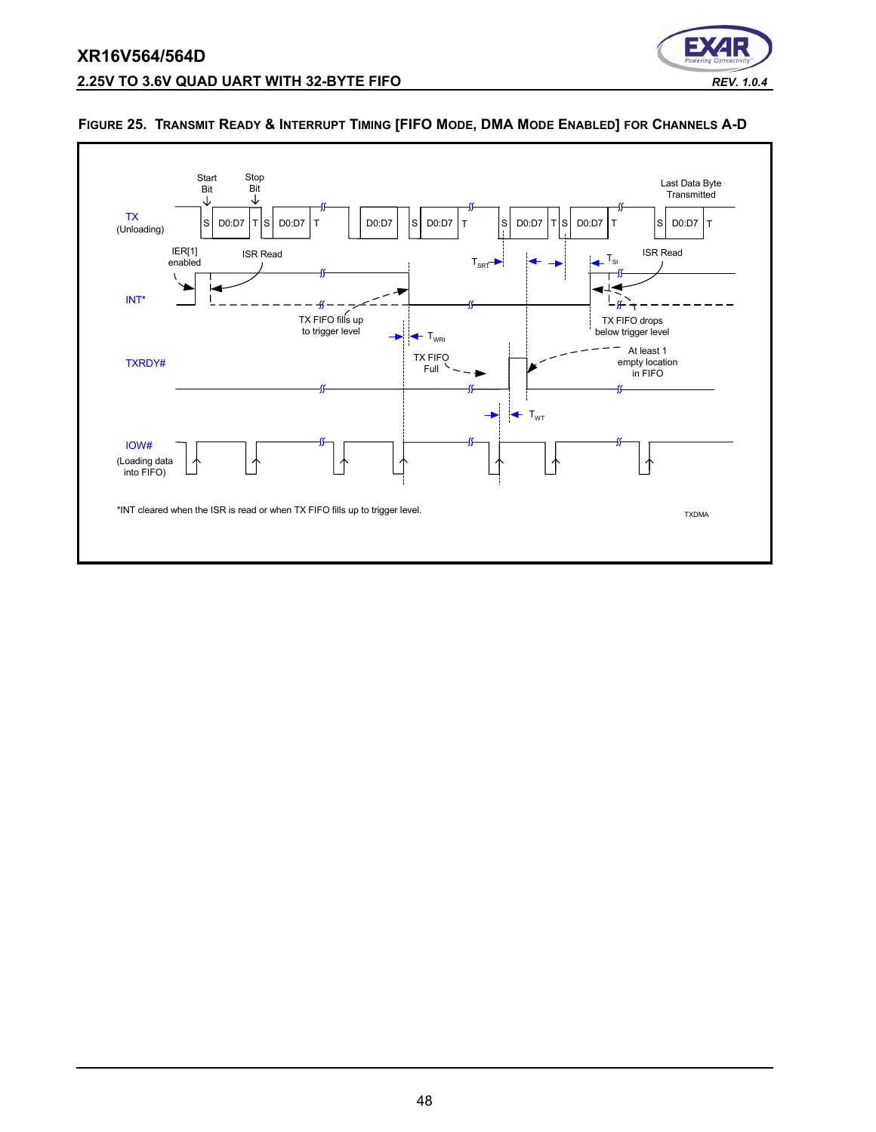



#### <span id="page-47-0"></span>**FIGURE 25. TRANSMIT READY & INTERRUPT TIMING [FIFO MODE, DMA MODE ENABLED] FOR CHANNELS A-D**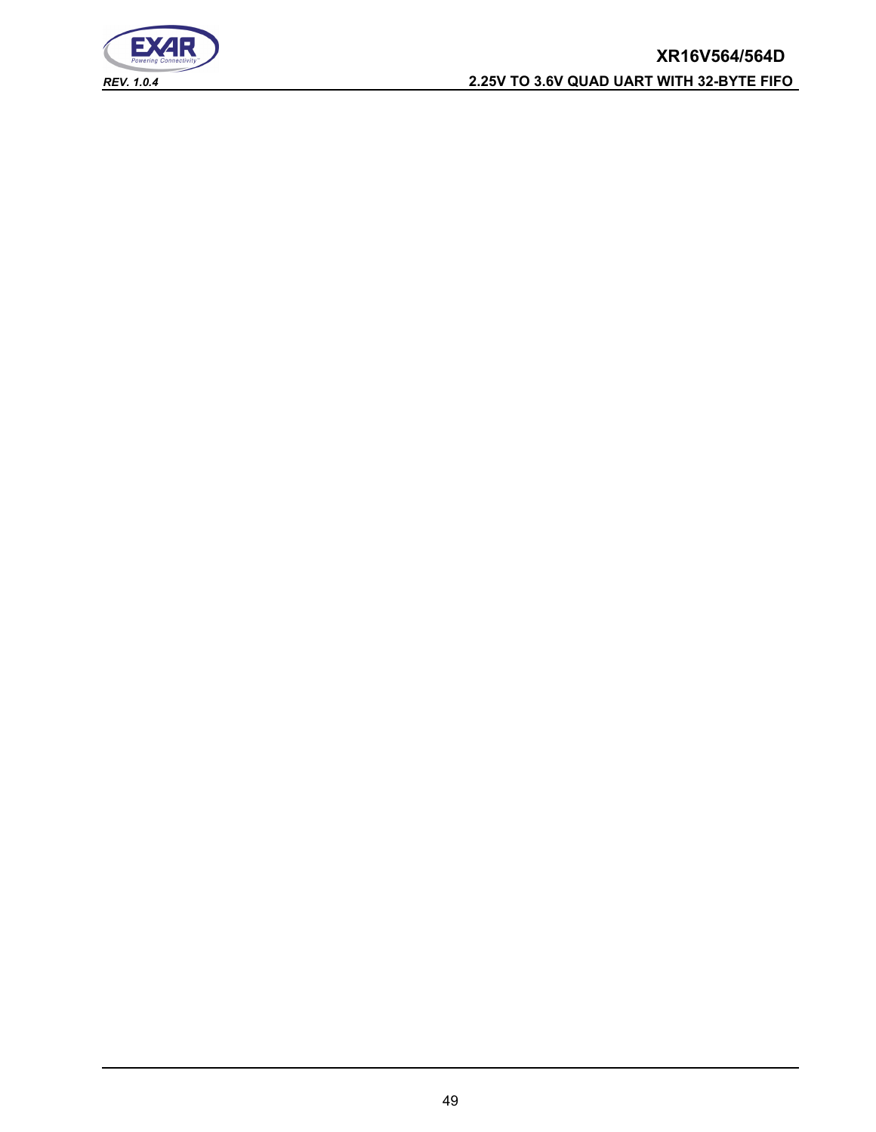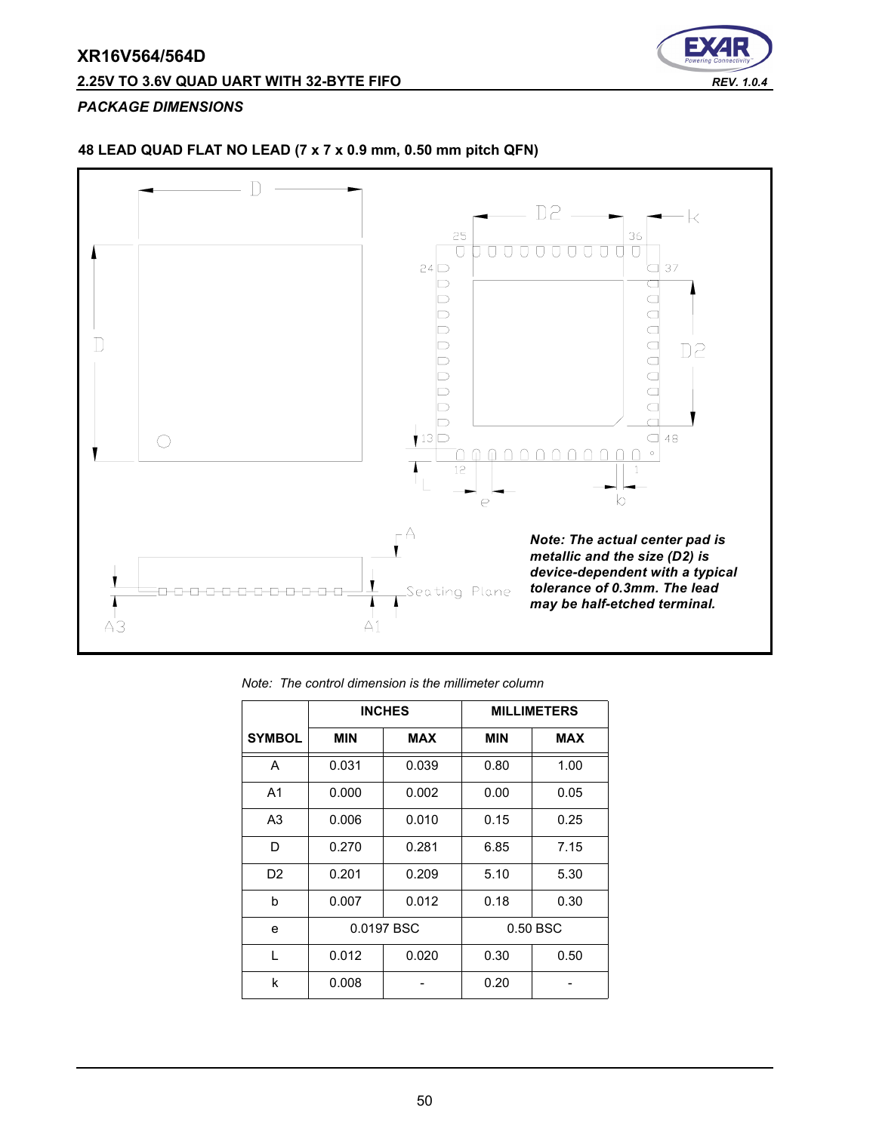# **2.25V TO 3.6V QUAD UART WITH 32-BYTE FIFO** *REV. 1.0.4*



*PACKAGE DIMENSIONS*



# **48 LEAD QUAD FLAT NO LEAD (7 x 7 x 0.9 mm, 0.50 mm pitch QFN)**

*Note: The control dimension is the millimeter column*

|                |            | <b>INCHES</b> |            | <b>MILLIMETERS</b> |  |
|----------------|------------|---------------|------------|--------------------|--|
| <b>SYMBOL</b>  | <b>MIN</b> | <b>MAX</b>    | <b>MIN</b> | <b>MAX</b>         |  |
| A              | 0.031      | 0.039         | 0.80       | 1.00               |  |
| A <sub>1</sub> | 0.000      | 0.002         | 0.00       | 0.05               |  |
| A3             | 0.006      | 0.010         | 0.15       | 0.25               |  |
| D              | 0.270      | 0.281         | 6.85       | 7.15               |  |
| D <sub>2</sub> | 0.201      | 0.209         | 5.10       | 5.30               |  |
| b              | 0.007      | 0.012         | 0.18       | 0.30               |  |
| e              |            | 0.0197 BSC    | 0.50 BSC   |                    |  |
| L              | 0.012      | 0.020         | 0.30       | 0.50               |  |
| k              | 0.008      |               | 0.20       |                    |  |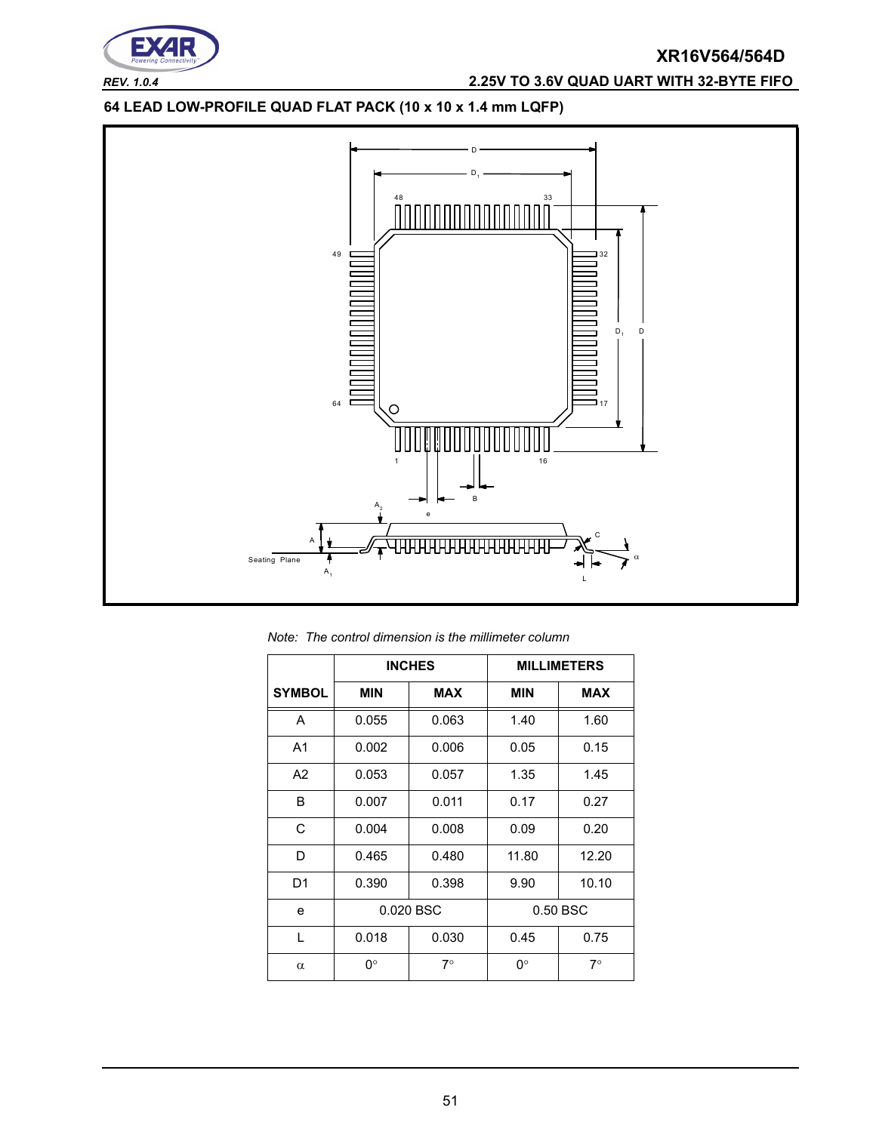

*REV. 1.0.4* **2.25V TO 3.6V QUAD UART WITH 32-BYTE FIFO**

**64 LEAD LOW-PROFILE QUAD FLAT PACK (10 x 10 x 1.4 mm LQFP)**



*Note: The control dimension is the millimeter column*

|                |            | <b>INCHES</b> |            | <b>MILLIMETERS</b> |  |
|----------------|------------|---------------|------------|--------------------|--|
| <b>SYMBOL</b>  | <b>MIN</b> | <b>MAX</b>    | <b>MIN</b> | <b>MAX</b>         |  |
| A              | 0.055      | 0.063         | 1.40       | 1.60               |  |
| A <sub>1</sub> | 0.002      | 0.006         | 0.05       | 0.15               |  |
| A <sub>2</sub> | 0.053      | 0.057         | 1.35       | 1.45               |  |
| B              | 0.007      | 0.011         | 0.17       | 0.27               |  |
| C              | 0.004      | 0.008         | 0.09       | 0.20               |  |
| D              | 0.465      | 0.480         | 11.80      | 12.20              |  |
| D <sub>1</sub> | 0.390      | 0.398         | 9.90       | 10.10              |  |
| e              |            | 0.020 BSC     | 0.50 BSC   |                    |  |
| L              | 0.018      | 0.030         | 0.45       | 0.75               |  |
| $\alpha$       | 0°         | $7^\circ$     | 0°         | $7^\circ$          |  |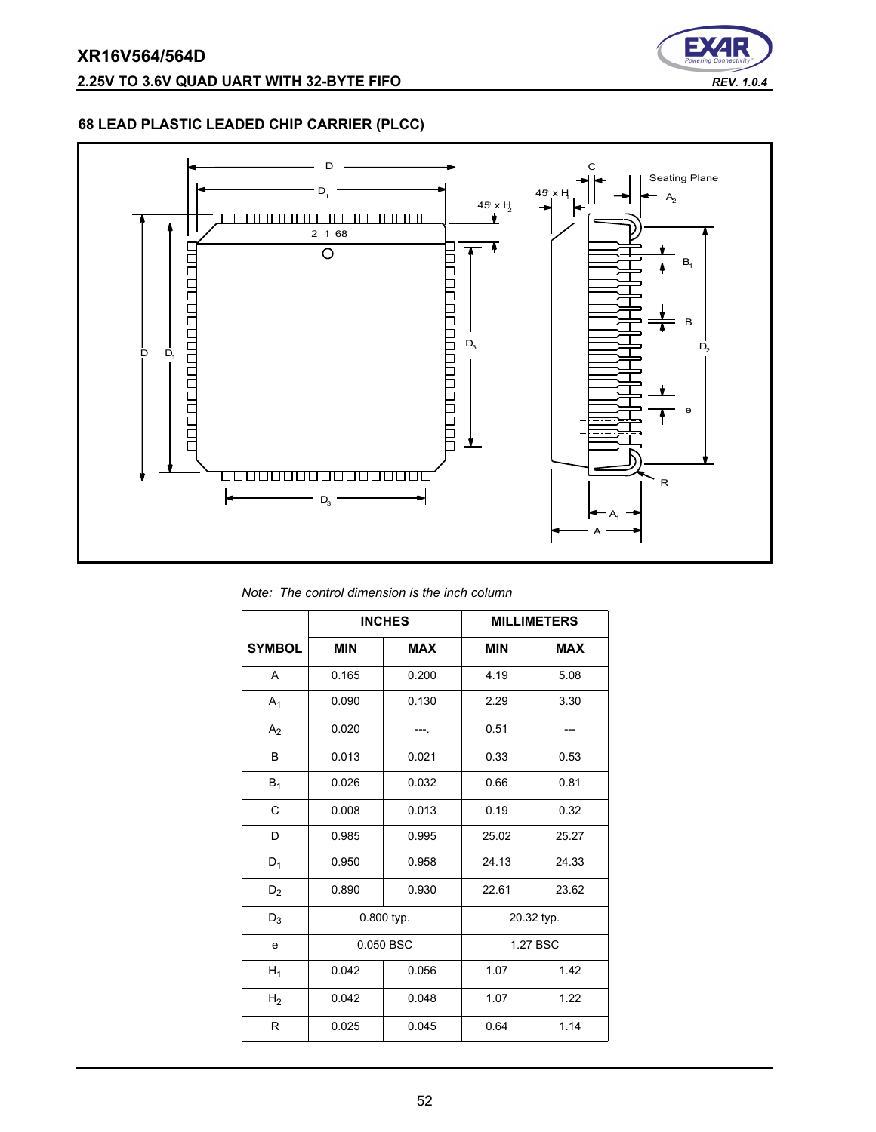# **2.25V TO 3.6V QUAD UART WITH 32-BYTE FIFO** *REV. 1.0.4*



### **68 LEAD PLASTIC LEADED CHIP CARRIER (PLCC)**



*Note: The control dimension is the inch column*

|                | <b>INCHES</b> |            | <b>MILLIMETERS</b> |            |
|----------------|---------------|------------|--------------------|------------|
| <b>SYMBOL</b>  | <b>MIN</b>    | <b>MAX</b> | <b>MIN</b>         | <b>MAX</b> |
| A              | 0.165         | 0.200      | 4.19               | 5.08       |
| $A_1$          | 0.090         | 0.130      | 2.29               | 3.30       |
| A <sub>2</sub> | 0.020         |            | 0.51               |            |
| B              | 0.013         | 0.021      | 0.33               | 0.53       |
| $B_1$          | 0.026         | 0.032      | 0.66               | 0.81       |
| $\mathsf{C}$   | 0.008         | 0.013      | 0.19               | 0.32       |
| D              | 0.985         | 0.995      | 25.02              | 25.27      |
| $D_1$          | 0.950         | 0.958      | 24.13              | 24.33      |
| $D_2$          | 0.890         | 0.930      | 22.61              | 23.62      |
| $D_3$          | 0.800 typ.    |            | 20.32 typ.         |            |
| e              | 0.050 BSC     |            | 1.27 BSC           |            |
| $H_1$          | 0.042         | 0.056      | 1.07               | 1.42       |
| H <sub>2</sub> | 0.042         | 0.048      | 1.07               | 1.22       |
| R              | 0.025         | 0.045      | 0.64               | 1.14       |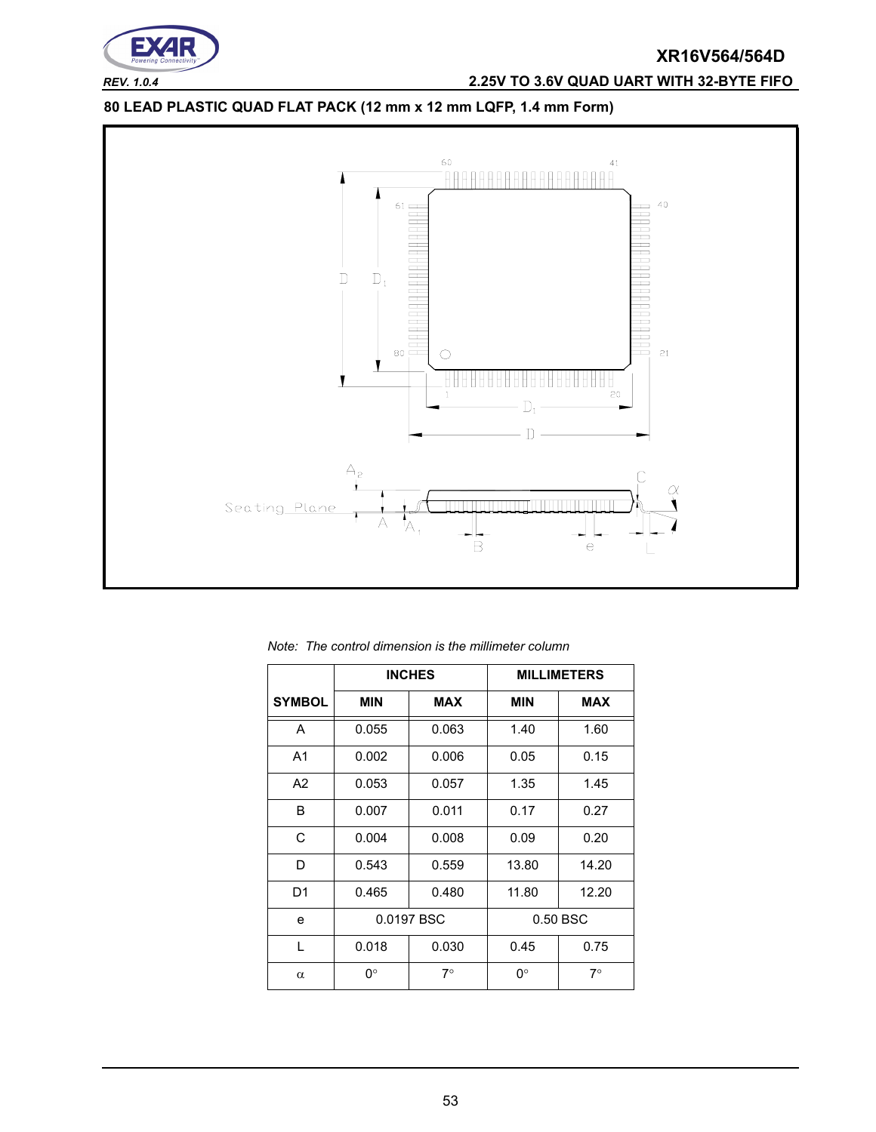

# *REV. 1.0.4* **2.25V TO 3.6V QUAD UART WITH 32-BYTE FIFO**

**80 LEAD PLASTIC QUAD FLAT PACK (12 mm x 12 mm LQFP, 1.4 mm Form)**



|                |            | <b>INCHES</b> | <b>MILLIMETERS</b> |            |
|----------------|------------|---------------|--------------------|------------|
| <b>SYMBOL</b>  | <b>MIN</b> | <b>MAX</b>    | <b>MIN</b>         | <b>MAX</b> |
| A              | 0.055      | 0.063         | 1.40               | 1.60       |
| A <sub>1</sub> | 0.002      | 0.006         | 0.05               | 0.15       |
| A2             | 0.053      | 0.057         | 1.35               | 1.45       |
| B              | 0.007      | 0.011         | 0.17               | 0.27       |
| C              | 0.004      | 0.008         | 0.09               | 0.20       |
| D              | 0.543      | 0.559         | 13.80              | 14.20      |
| D <sub>1</sub> | 0.465      | 0.480         | 11.80              | 12.20      |
| e              | 0.0197 BSC |               | 0.50 BSC           |            |
| L              | 0.018      | 0.030         | 0.45               | 0.75       |
| $\alpha$       | O°         | $7^\circ$     | 0°                 | $7^\circ$  |

*Note: The control dimension is the millimeter column*